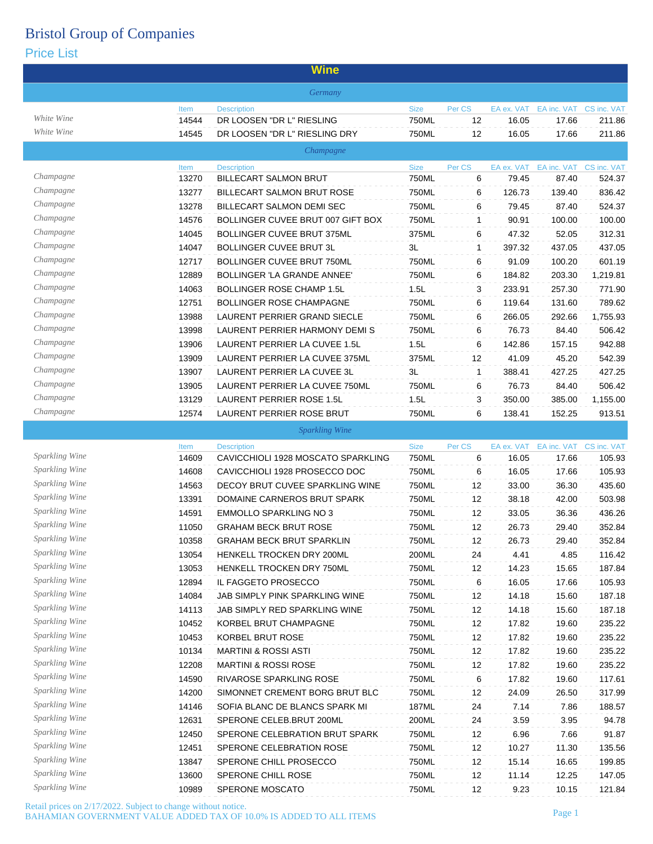### Price List

|                                         |       | <u>vvirie</u>                      |             |              |            |                         |             |
|-----------------------------------------|-------|------------------------------------|-------------|--------------|------------|-------------------------|-------------|
|                                         |       | Germany                            |             |              |            |                         |             |
|                                         | Item  | <b>Description</b>                 | <b>Size</b> | Per CS       | EA ex. VAT | EA inc. VAT CS inc. VAT |             |
| White Wine                              | 14544 | DR LOOSEN "DR L" RIESLING          | 750ML       | 12           | 16.05      | 17.66                   | 211.86      |
| White Wine                              | 14545 | DR LOOSEN "DR L" RIESLING DRY      | 750ML       | 12           | 16.05      | 17.66                   | 211.86      |
|                                         |       | Champagne                          |             |              |            |                         |             |
| Champagne                               | Item  | <b>Description</b>                 | <b>Size</b> | Per CS       | EA ex. VAT | EA inc. VAT CS inc. VAT |             |
|                                         | 13270 | <b>BILLECART SALMON BRUT</b>       | 750ML       | 6            | 79.45      | 87.40                   | 524.37      |
| Champagne                               | 13277 | <b>BILLECART SALMON BRUT ROSE</b>  | 750ML       | 6            | 126.73     | 139.40                  | 836.42      |
| Champagne                               | 13278 | BILLECART SALMON DEMI SEC          | 750ML       | 6            | 79.45      | 87.40                   | 524.37      |
| Champagne<br>Champagne                  | 14576 | BOLLINGER CUVEE BRUT 007 GIFT BOX  | 750ML       | $\mathbf{1}$ | 90.91      | 100.00                  | 100.00      |
| Champagne                               | 14045 | BOLLINGER CUVEE BRUT 375ML         | 375ML       | 6            | 47.32      | 52.05                   | 312.31      |
| Champagne                               | 14047 | <b>BOLLINGER CUVEE BRUT 3L</b>     | 3L          | $\mathbf{1}$ | 397.32     | 437.05                  | 437.05      |
| Champagne                               | 12717 | BOLLINGER CUVEE BRUT 750ML         | 750ML       | 6            | 91.09      | 100.20                  | 601.19      |
| Champagne                               | 12889 | <b>BOLLINGER 'LA GRANDE ANNEE'</b> | 750ML       | 6            | 184.82     | 203.30                  | 1,219.81    |
| Champagne                               | 14063 | <b>BOLLINGER ROSE CHAMP 1.5L</b>   | 1.5L        | 3            | 233.91     | 257.30                  | 771.90      |
|                                         | 12751 | <b>BOLLINGER ROSE CHAMPAGNE</b>    | 750ML       | 6            | 119.64     | 131.60                  | 789.62      |
| Champagne<br>Champagne                  | 13988 | LAURENT PERRIER GRAND SIECLE       | 750ML       | 6            | 266.05     | 292.66                  | 1.755.93    |
|                                         | 13998 | LAURENT PERRIER HARMONY DEMI S     | 750ML       | 6            | 76.73      | 84.40                   | 506.42      |
| Champagne                               | 13906 | LAURENT PERRIER LA CUVEE 1.5L      | 1.5L        | 6            | 142.86     | 157.15                  | 942.88      |
| Champagne                               | 13909 | LAURENT PERRIER LA CUVEE 375ML     | 375ML       | 12           | 41.09      | 45.20                   | 542.39      |
| Champagne                               | 13907 | LAURENT PERRIER LA CUVEE 3L        | 3L          | $\mathbf{1}$ | 388.41     | 427.25                  | 427.25      |
| Champagne                               | 13905 | LAURENT PERRIER LA CUVEE 750ML     | 750ML       | 6            | 76.73      | 84.40                   | 506.42      |
| Champagne                               | 13129 | <b>LAURENT PERRIER ROSE 1.5L</b>   | 1.5L        | 3            | 350.00     | 385.00                  | 1,155.00    |
| Champagne                               | 12574 | <b>LAURENT PERRIER ROSE BRUT</b>   | 750ML       | 6            | 138.41     | 152.25                  | 913.51      |
|                                         |       | <b>Sparkling Wine</b>              |             |              |            |                         |             |
| Sparkling Wine                          | Item  | <b>Description</b>                 | <b>Size</b> | Per CS       | EA ex. VAT | EA inc. VAT             | CS inc. VAT |
|                                         | 14609 | CAVICCHIOLI 1928 MOSCATO SPARKLING | 750ML       | 6            | 16.05      | 17.66                   | 105.93      |
| Sparkling Wine<br>Sparkling Wine        | 14608 | CAVICCHIOLI 1928 PROSECCO DOC      | 750ML       | 6            | 16.05      | 17.66                   | 105.93      |
|                                         | 14563 | DECOY BRUT CUVEE SPARKLING WINE    | 750ML       | 12           | 33.00      | 36.30                   | 435.60      |
| Sparkling Wine                          | 13391 | DOMAINE CARNEROS BRUT SPARK        | 750ML       | 12           | 38.18      | 42.00                   | 503.98      |
| <b>Sparkling Wine</b>                   | 14591 | <b>EMMOLLO SPARKLING NO 3</b>      | 750ML       | 12           | 33.05      | 36.36                   | 436.26      |
| <b>Sparkling Wine</b><br>Sparkling Wine | 11050 | <b>GRAHAM BECK BRUT ROSE</b>       | 750ML       | 12           | 26.73      | 29.40                   | 352.84      |
|                                         | 10358 | <b>GRAHAM BECK BRUT SPARKLIN</b>   | 750ML       | 12           | 26.73      | 29.40                   | 352.84      |
| Sparkling Wine                          | 13054 | HENKELL TROCKEN DRY 200ML          | 200ML       | 24           | 4.41       | 4.85                    | 116.42      |
| Sparkling Wine                          | 13053 | HENKELL TROCKEN DRY 750ML          | 750ML       | 12           | 14.23      | 15.65                   | 187.84      |
| Sparkling Wine<br>Sparkling Wine        | 12894 | IL FAGGETO PROSECCO                | 750ML       | 6            | 16.05      | 17.66                   | 105.93      |
|                                         | 14084 | JAB SIMPLY PINK SPARKLING WINE     | 750ML       | 12           | 14.18      | 15.60                   | 187.18      |
| Sparkling Wine<br>Sparkling Wine        | 14113 | JAB SIMPLY RED SPARKLING WINE      | 750ML       | 12           | 14.18      | 15.60                   | 187.18      |
| Sparkling Wine                          | 10452 | KORBEL BRUT CHAMPAGNE              | 750ML       | 12           | 17.82      | 19.60                   | 235.22      |
| Sparkling Wine                          | 10453 | KORBEL BRUT ROSE                   | 750ML       | 12           | 17.82      | 19.60                   | 235.22      |
|                                         | 10134 | <b>MARTINI &amp; ROSSI ASTI</b>    | 750ML       | 12           | 17.82      | 19.60                   | 235.22      |
| <b>Sparkling Wine</b>                   | 12208 | <b>MARTINI &amp; ROSSI ROSE</b>    | 750ML       | 12           | 17.82      | 19.60                   | 235.22      |
| Sparkling Wine                          | 14590 | RIVAROSE SPARKLING ROSE            | 750ML       | 6            | 17.82      | 19.60                   | 117.61      |
| Sparkling Wine                          | 14200 | SIMONNET CREMENT BORG BRUT BLC     | 750ML       | 12           | 24.09      | 26.50                   | 317.99      |
| Sparkling Wine                          | 14146 | SOFIA BLANC DE BLANCS SPARK MI     | 187ML       | 24           | 7.14       | 7.86                    | 188.57      |
| Sparkling Wine                          | 12631 | SPERONE CELEB.BRUT 200ML           | 200ML       | 24           | 3.59       | 3.95                    | 94.78       |
| Sparkling Wine                          | 12450 | SPERONE CELEBRATION BRUT SPARK     | 750ML       | 12           | 6.96       | 7.66                    | 91.87       |
| <b>Sparkling Wine</b><br>Sparkling Wine | 12451 | SPERONE CELEBRATION ROSE           | 750ML       | 12           | 10.27      | 11.30                   | 135.56      |
| Sparkling Wine                          | 13847 | SPERONE CHILL PROSECCO             | 750ML       | 12           | 15.14      | 16.65                   | 199.85      |
| Sparkling Wine                          | 13600 | SPERONE CHILL ROSE                 | 750ML       | 12           | 11.14      | 12.25                   | 147.05      |
|                                         | 10989 | SPERONE MOSCATO                    | 750ML       | 12           | 9.23       | 10.15                   | 121.84      |

**Wine**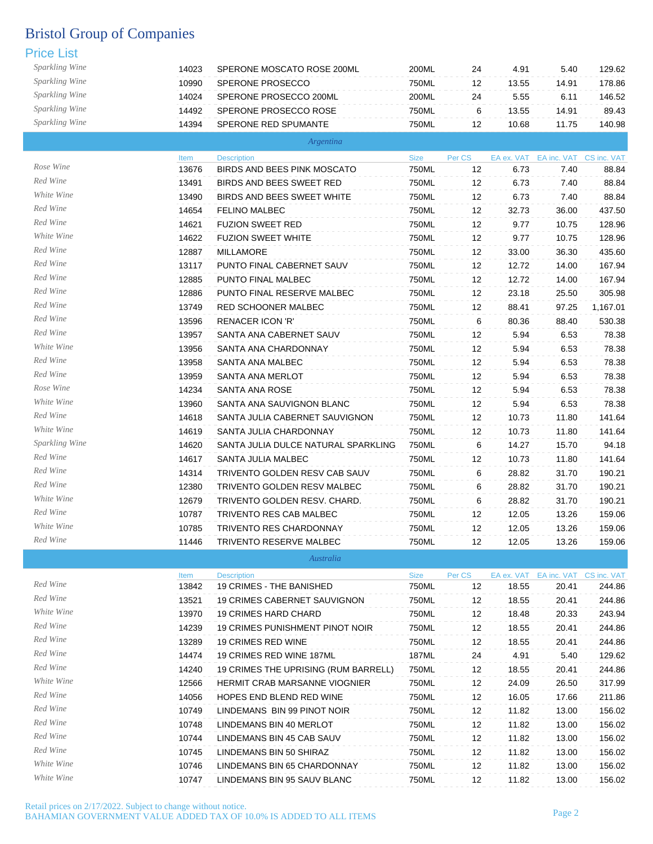| Sparkling Wine | 14023 | SPERONE MOSCATO ROSE 200ML           | 200ML       | 24     | 4.91  | 5.40                               | 129.62   |
|----------------|-------|--------------------------------------|-------------|--------|-------|------------------------------------|----------|
| Sparkling Wine | 10990 | SPERONE PROSECCO                     | 750ML       | 12     | 13.55 | 14.91                              | 178.86   |
| Sparkling Wine | 14024 | SPERONE PROSECCO 200ML               | 200ML       | 24     | 5.55  | 6.11                               | 146.52   |
| Sparkling Wine | 14492 | SPERONE PROSECCO ROSE                | 750ML       | 6      | 13.55 | 14.91                              | 89.43    |
| Sparkling Wine | 14394 | SPERONE RED SPUMANTE                 | 750ML       | 12     | 10.68 | 11.75                              | 140.98   |
|                |       | Argentina                            |             |        |       |                                    |          |
|                | Item  | <b>Description</b>                   | <b>Size</b> | Per CS |       | EA ex. VAT EA inc. VAT CS inc. VAT |          |
| Rose Wine      | 13676 | BIRDS AND BEES PINK MOSCATO          | 750ML       | 12     | 6.73  | 7.40                               | 88.84    |
| Red Wine       | 13491 | BIRDS AND BEES SWEET RED             | 750ML       | 12     | 6.73  | 7.40                               | 88.84    |
| White Wine     | 13490 | BIRDS AND BEES SWEET WHITE           | 750ML       | 12     | 6.73  | 7.40                               | 88.84    |
| Red Wine       | 14654 | <b>FELINO MALBEC</b>                 | 750ML       | 12     | 32.73 | 36.00                              | 437.50   |
| Red Wine       | 14621 | <b>FUZION SWEET RED</b>              | 750ML       | 12     | 9.77  | 10.75                              | 128.96   |
| White Wine     | 14622 | <b>FUZION SWEET WHITE</b>            | 750ML       | 12     | 9.77  | 10.75                              | 128.96   |
| Red Wine       | 12887 | MILLAMORE                            | 750ML       | 12     | 33.00 | 36.30                              | 435.60   |
| Red Wine       | 13117 | PUNTO FINAL CABERNET SAUV            | 750ML       | 12     | 12.72 | 14.00                              | 167.94   |
| Red Wine       | 12885 | PUNTO FINAL MALBEC                   | 750ML       | 12     | 12.72 | 14.00                              | 167.94   |
| Red Wine       | 12886 | PUNTO FINAL RESERVE MALBEC           | 750ML       | 12     | 23.18 | 25.50                              | 305.98   |
| Red Wine       | 13749 | RED SCHOONER MALBEC                  | 750ML       | 12     | 88.41 | 97.25                              | 1,167.01 |
| Red Wine       | 13596 | <b>RENACER ICON 'R'</b>              | 750ML       | 6      | 80.36 | 88.40                              | 530.38   |
| Red Wine       | 13957 | SANTA ANA CABERNET SAUV              | 750ML       | 12     | 5.94  | 6.53                               | 78.38    |
| White Wine     | 13956 | SANTA ANA CHARDONNAY                 | 750ML       | 12     | 5.94  | 6.53                               | 78.38    |
| Red Wine       | 13958 | SANTA ANA MALBEC                     | 750ML       | 12     | 5.94  | 6.53                               | 78.38    |
| Red Wine       | 13959 | SANTA ANA MERLOT                     | 750ML       | 12     | 5.94  | 6.53                               | 78.38    |
| Rose Wine      | 14234 | SANTA ANA ROSE                       | 750ML       | 12     | 5.94  | 6.53                               | 78.38    |
| White Wine     | 13960 | SANTA ANA SAUVIGNON BLANC            | 750ML       | 12     | 5.94  | 6.53                               | 78.38    |
| Red Wine       | 14618 | SANTA JULIA CABERNET SAUVIGNON       | 750ML       | 12     | 10.73 | 11.80                              | 141.64   |
| White Wine     | 14619 | SANTA JULIA CHARDONNAY               | 750ML       | 12     | 10.73 | 11.80                              | 141.64   |
| Sparkling Wine | 14620 | SANTA JULIA DULCE NATURAL SPARKLING  | 750ML       | 6      | 14.27 | 15.70                              | 94.18    |
| Red Wine       | 14617 | SANTA JULIA MALBEC                   | 750ML       | 12     | 10.73 | 11.80                              | 141.64   |
| Red Wine       | 14314 | TRIVENTO GOLDEN RESV CAB SAUV        | 750ML       | 6      | 28.82 | 31.70                              | 190.21   |
| Red Wine       | 12380 | TRIVENTO GOLDEN RESV MALBEC          | 750ML       | 6      | 28.82 | 31.70                              | 190.21   |
| White Wine     | 12679 | TRIVENTO GOLDEN RESV. CHARD.         | 750ML       | 6      | 28.82 | 31.70                              | 190.21   |
| Red Wine       | 10787 | TRIVENTO RES CAB MALBEC              | 750ML       | 12     | 12.05 | 13.26                              | 159.06   |
| White Wine     | 10785 | TRIVENTO RES CHARDONNAY              | 750ML       | 12     | 12.05 | 13.26                              | 159.06   |
| Red Wine       | 11446 | TRIVENTO RESERVE MALBEC              | 750ML       | 12     | 12.05 | 13.26                              | 159.06   |
|                |       | Australia                            |             |        |       |                                    |          |
|                | Item  | <b>Description</b>                   | Size        | Per CS |       | EA ex. VAT EA inc. VAT CS inc. VAT |          |
| Red Wine       | 13842 | 19 CRIMES - THE BANISHED             | 750ML       | 12     | 18.55 | 20.41                              | 244.86   |
| Red Wine       | 13521 | 19 CRIMES CABERNET SAUVIGNON         | 750ML       | 12     | 18.55 | 20.41                              | 244.86   |
| White Wine     | 13970 | <b>19 CRIMES HARD CHARD</b>          | 750ML       | 12     | 18.48 | 20.33                              | 243.94   |
| Red Wine       | 14239 | 19 CRIMES PUNISHMENT PINOT NOIR      | 750ML       | 12     | 18.55 | 20.41                              | 244.86   |
| Red Wine       | 13289 | 19 CRIMES RED WINE                   | 750ML       | 12     | 18.55 | 20.41                              | 244.86   |
| Red Wine       | 14474 | 19 CRIMES RED WINE 187ML             | 187ML       | 24     | 4.91  | 5.40                               | 129.62   |
| Red Wine       | 14240 | 19 CRIMES THE UPRISING (RUM BARRELL) | 750ML       | 12     | 18.55 | 20.41                              | 244.86   |
| White Wine     | 12566 | HERMIT CRAB MARSANNE VIOGNIER        | 750ML       | 12     | 24.09 | 26.50                              | 317.99   |
| Red Wine       | 14056 | HOPES END BLEND RED WINE             | 750ML       | 12     | 16.05 | 17.66                              | 211.86   |
| Red Wine       | 10749 | LINDEMANS BIN 99 PINOT NOIR          | 750ML       | 12     | 11.82 | 13.00                              | 156.02   |
| Red Wine       | 10748 | LINDEMANS BIN 40 MERLOT              | 750ML       | 12     | 11.82 | 13.00                              | 156.02   |
| Red Wine       | 10744 | LINDEMANS BIN 45 CAB SAUV            | 750ML       | 12     | 11.82 | 13.00                              | 156.02   |
| Red Wine       | 10745 | LINDEMANS BIN 50 SHIRAZ              | 750ML       | 12     | 11.82 | 13.00                              | 156.02   |
| White Wine     | 10746 | LINDEMANS BIN 65 CHARDONNAY          | 750ML       | 12     | 11.82 | 13.00                              | 156.02   |
| White Wine     | 10747 | LINDEMANS BIN 95 SAUV BLANC          | 750ML       | 12     | 11.82 | 13.00                              | 156.02   |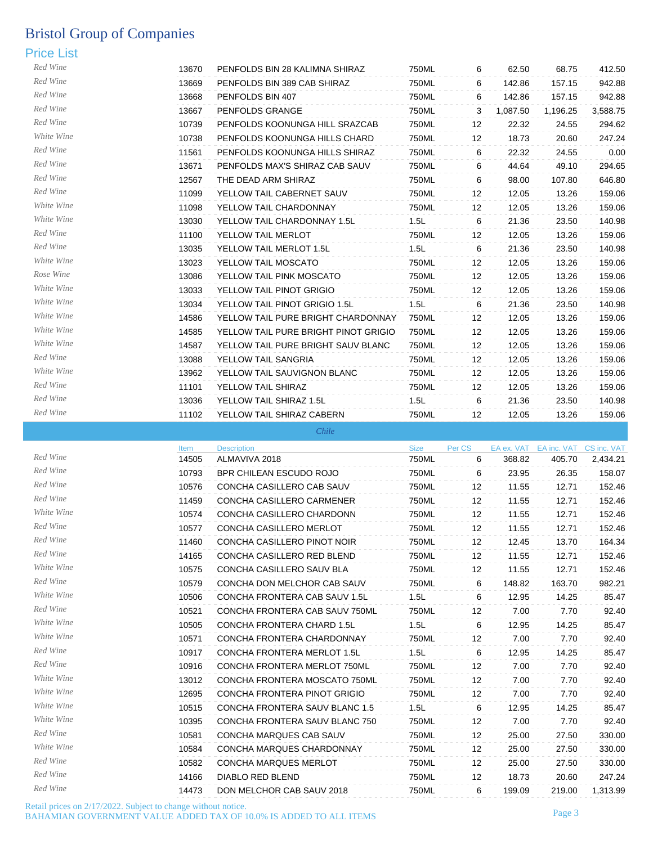## Price List

| Red Wine   | 13670 | PENFOLDS BIN 28 KALIMNA SHIRAZ       | 750ML | 6                 | 62.50    | 68.75    | 412.50   |
|------------|-------|--------------------------------------|-------|-------------------|----------|----------|----------|
| Red Wine   | 13669 | PENFOLDS BIN 389 CAB SHIRAZ          | 750ML | 6                 | 142.86   | 157.15   | 942.88   |
| Red Wine   | 13668 | PENFOLDS BIN 407                     | 750ML | 6                 | 142.86   | 157.15   | 942.88   |
| Red Wine   | 13667 | PENFOLDS GRANGE                      | 750ML | 3                 | 1,087.50 | 1,196.25 | 3,588.75 |
| Red Wine   | 10739 | PENFOLDS KOONUNGA HILL SRAZCAB       | 750ML | 12                | 22.32    | 24.55    | 294.62   |
| White Wine | 10738 | PENFOLDS KOONUNGA HILLS CHARD        | 750ML | 12                | 18.73    | 20.60    | 247.24   |
| Red Wine   | 11561 | PENFOLDS KOONUNGA HILLS SHIRAZ       | 750ML | 6                 | 22.32    | 24.55    | 0.00     |
| Red Wine   | 13671 | PENFOLDS MAX'S SHIRAZ CAB SAUV       | 750ML | 6                 | 44.64    | 49.10    | 294.65   |
| Red Wine   | 12567 | THE DEAD ARM SHIRAZ                  | 750ML | 6                 | 98.00    | 107.80   | 646.80   |
| Red Wine   | 11099 | YELLOW TAIL CABERNET SAUV            | 750ML | 12                | 12.05    | 13.26    | 159.06   |
| White Wine | 11098 | YELLOW TAIL CHARDONNAY               | 750ML | 12                | 12.05    | 13.26    | 159.06   |
| White Wine | 13030 | YELLOW TAIL CHARDONNAY 1.5L          | 1.5L  | 6                 | 21.36    | 23.50    | 140.98   |
| Red Wine   | 11100 | YELLOW TAIL MERLOT                   | 750ML | 12                | 12.05    | 13.26    | 159.06   |
| Red Wine   | 13035 | YELLOW TAIL MERLOT 1.5L              | 1.5L  | 6                 | 21.36    | 23.50    | 140.98   |
| White Wine | 13023 | YELLOW TAIL MOSCATO                  | 750ML | 12                | 12.05    | 13.26    | 159.06   |
| Rose Wine  | 13086 | YELLOW TAIL PINK MOSCATO             | 750ML | 12                | 12.05    | 13.26    | 159.06   |
| White Wine | 13033 | YELLOW TAIL PINOT GRIGIO             | 750ML | 12                | 12.05    | 13.26    | 159.06   |
| White Wine | 13034 | YELLOW TAIL PINOT GRIGIO 1.5L        | 1.5L  | 6                 | 21.36    | 23.50    | 140.98   |
| White Wine | 14586 | YELLOW TAIL PURE BRIGHT CHARDONNAY   | 750ML | $12 \overline{ }$ | 12.05    | 13.26    | 159.06   |
| White Wine | 14585 | YELLOW TAIL PURE BRIGHT PINOT GRIGIO | 750ML | 12                | 12.05    | 13.26    | 159.06   |
| White Wine | 14587 | YELLOW TAIL PURE BRIGHT SAUV BLANC   | 750ML | 12                | 12.05    | 13.26    | 159.06   |
| Red Wine   | 13088 | YELLOW TAIL SANGRIA                  | 750ML | 12                | 12.05    | 13.26    | 159.06   |
| White Wine | 13962 | YELLOW TAIL SAUVIGNON BLANC          | 750ML | 12                | 12.05    | 13.26    | 159.06   |
| Red Wine   | 11101 | YELLOW TAIL SHIRAZ                   | 750ML | 12                | 12.05    | 13.26    | 159.06   |
| Red Wine   | 13036 | YELLOW TAIL SHIRAZ 1.5L              | 1.5L  | 6                 | 21.36    | 23.50    | 140.98   |
| Red Wine   | 11102 | YELLOW TAIL SHIRAZ CABERN            | 750ML | $12 \overline{ }$ | 12.05    | 13.26    | 159.06   |

*Chile*

|            | Item  | <b>Description</b>                 | <b>Size</b> | Per CS            |        |        | EA ex. VAT EA inc. VAT CS inc. VAT |
|------------|-------|------------------------------------|-------------|-------------------|--------|--------|------------------------------------|
| Red Wine   | 14505 | ALMAVIVA 2018                      | 750ML       | 6                 | 368.82 | 405.70 | 2,434.21                           |
| Red Wine   | 10793 | <b>BPR CHILEAN ESCUDO ROJO</b>     | 750ML       | 6                 | 23.95  | 26.35  | 158.07                             |
| Red Wine   | 10576 | CONCHA CASILLERO CAB SAUV          | 750ML       | $12 \overline{ }$ | 11.55  | 12.71  | 152.46                             |
| Red Wine   | 11459 | CONCHA CASILLERO CARMENER          | 750ML       | 12                | 11.55  | 12.71  | 152.46                             |
| White Wine | 10574 | CONCHA CASILLERO CHARDONN          | 750ML       | 12                | 11.55  | 12.71  | 152.46                             |
| Red Wine   | 10577 | <b>CONCHA CASILLERO MERLOT</b>     | 750ML       | 12                | 11.55  | 12.71  | 152.46                             |
| Red Wine   | 11460 | CONCHA CASILLERO PINOT NOIR        | 750ML       | 12                | 12.45  | 13.70  | 164.34                             |
| Red Wine   | 14165 | CONCHA CASILLERO RED BLEND         | 750ML       | 12                | 11.55  | 12.71  | 152.46                             |
| White Wine | 10575 | CONCHA CASILLERO SAUV BLA          | 750ML       | 12                | 11.55  | 12.71  | 152.46                             |
| Red Wine   | 10579 | CONCHA DON MELCHOR CAB SAUV        | 750ML       | 6                 | 148.82 | 163.70 | 982.21                             |
| White Wine | 10506 | CONCHA FRONTERA CAB SAUV 1.5L      | 1.5L        | 6                 | 12.95  | 14.25  | 85.47                              |
| Red Wine   | 10521 | CONCHA FRONTERA CAB SAUV 750ML     | 750ML       | 12                | 7.00   | 7.70   | 92.40                              |
| White Wine | 10505 | CONCHA FRONTERA CHARD 1.5L         | 1.5L        | 6                 | 12.95  | 14.25  | 85.47                              |
| White Wine | 10571 | CONCHA FRONTERA CHARDONNAY         | 750ML       | 12                | 7.00   | 7.70   | 92.40                              |
| Red Wine   | 10917 | <b>CONCHA FRONTERA MERLOT 1.5L</b> | 1.5L        | 6                 | 12.95  | 14.25  | 85.47                              |
| Red Wine   | 10916 | CONCHA FRONTERA MERLOT 750ML       | 750ML       | 12                | 7.00   | 7.70   | 92.40                              |
| White Wine | 13012 | CONCHA FRONTERA MOSCATO 750ML      | 750ML       | 12                | 7.00   | 7.70   | 92.40                              |
| White Wine | 12695 | CONCHA FRONTERA PINOT GRIGIO       | 750ML       | 12                | 7.00   | 7.70   | 92.40                              |
| White Wine | 10515 | CONCHA FRONTERA SAUV BLANC 1.5     | 1.5L        | 6                 | 12.95  | 14.25  | 85.47                              |
| White Wine | 10395 | CONCHA FRONTERA SAUV BLANC 750     | 750ML       | 12                | 7.00   | 7.70   | 92.40                              |
| Red Wine   | 10581 | CONCHA MARQUES CAB SAUV            | 750ML       | 12                | 25.00  | 27.50  | 330.00                             |
| White Wine | 10584 | CONCHA MARQUES CHARDONNAY          | 750ML       | 12                | 25.00  | 27.50  | 330.00                             |
| Red Wine   | 10582 | <b>CONCHA MARQUES MERLOT</b>       | 750ML       | 12                | 25.00  | 27.50  | 330.00                             |
| Red Wine   | 14166 | DIABLO RED BLEND                   | 750ML       | 12                | 18.73  | 20.60  | 247.24                             |
| Red Wine   | 14473 | DON MELCHOR CAB SAUV 2018          | 750ML       | 6                 | 199.09 | 219.00 | 1,313.99                           |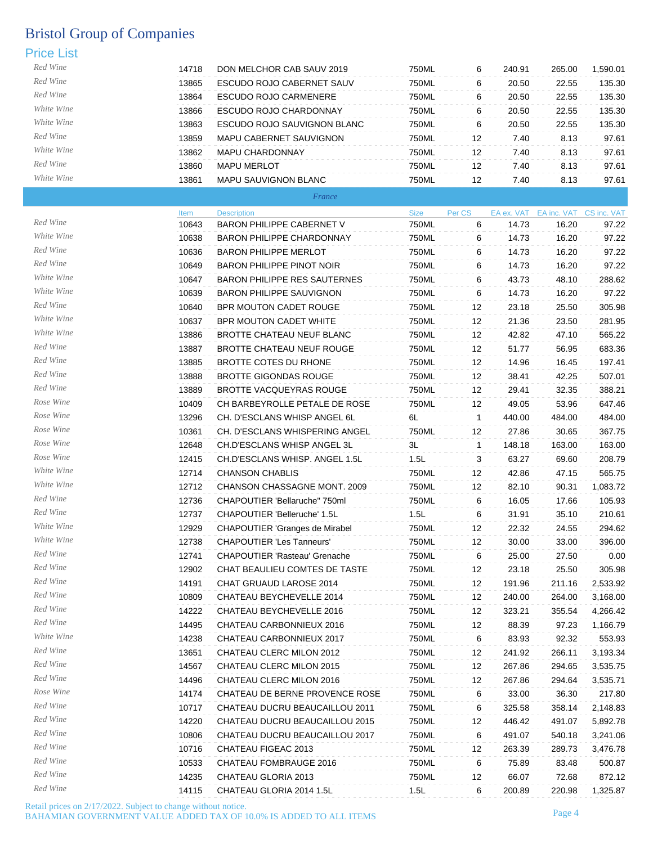| Red Wine   | 14718         | DON MELCHOR CAB SAUV 2019                       | 750ML                | 6            | 240.91 | 265.00                                      | 1,590.01 |
|------------|---------------|-------------------------------------------------|----------------------|--------------|--------|---------------------------------------------|----------|
| Red Wine   | 13865         | ESCUDO ROJO CABERNET SAUV                       | 750ML                | 6            | 20.50  | 22.55                                       | 135.30   |
| Red Wine   | 13864         | <b>ESCUDO ROJO CARMENERE</b>                    | 750ML                | 6            | 20.50  | 22.55                                       | 135.30   |
| White Wine | 13866         | ESCUDO ROJO CHARDONNAY                          | 750ML                | 6            | 20.50  | 22.55                                       | 135.30   |
| White Wine | 13863         | ESCUDO ROJO SAUVIGNON BLANC                     | 750ML                | 6            | 20.50  | 22.55                                       | 135.30   |
| Red Wine   | 13859         | MAPU CABERNET SAUVIGNON                         | 750ML                | 12           | 7.40   | 8.13                                        | 97.61    |
| White Wine | 13862         | MAPU CHARDONNAY                                 | 750ML                | 12           | 7.40   | 8.13                                        | 97.61    |
| Red Wine   | 13860         | <b>MAPU MERLOT</b>                              | 750ML                | 12           | 7.40   | 8.13                                        | 97.61    |
| White Wine | 13861         | MAPU SAUVIGNON BLANC                            | 750ML                | 12           | 7.40   | 8.13                                        | 97.61    |
|            |               | France                                          |                      |              |        |                                             |          |
|            |               |                                                 |                      |              |        |                                             |          |
| Red Wine   | Item<br>10643 | <b>Description</b><br>BARON PHILIPPE CABERNET V | <b>Size</b><br>750ML | Per CS<br>6  | 14.73  | EA ex. VAT EA inc. VAT CS inc. VAT<br>16.20 | 97.22    |
| White Wine | 10638         | BARON PHILIPPE CHARDONNAY                       | 750ML                | 6            | 14.73  | 16.20                                       | 97.22    |
| Red Wine   | 10636         | <b>BARON PHILIPPE MERLOT</b>                    | 750ML                |              | 14.73  | 16.20                                       | 97.22    |
| Red Wine   |               |                                                 |                      | 6            |        |                                             |          |
| White Wine | 10649         | <b>BARON PHILIPPE PINOT NOIR</b>                | 750ML                | 6            | 14.73  | 16.20                                       | 97.22    |
| White Wine | 10647         | <b>BARON PHILIPPE RES SAUTERNES</b>             | 750ML                | 6            | 43.73  | 48.10                                       | 288.62   |
| Red Wine   | 10639         | <b>BARON PHILIPPE SAUVIGNON</b>                 | 750ML                | 6            | 14.73  | 16.20                                       | 97.22    |
|            | 10640         | <b>BPR MOUTON CADET ROUGE</b>                   | 750ML                | 12           | 23.18  | 25.50                                       | 305.98   |
| White Wine | 10637         | BPR MOUTON CADET WHITE                          | 750ML                | 12           | 21.36  | 23.50                                       | 281.95   |
| White Wine | 13886         | <b>BROTTE CHATEAU NEUF BLANC</b>                | <b>750ML</b>         | 12           | 42.82  | 47.10                                       | 565.22   |
| Red Wine   | 13887         | BROTTE CHATEAU NEUF ROUGE                       | 750ML                | 12           | 51.77  | 56.95                                       | 683.36   |
| Red Wine   | 13885         | BROTTE COTES DU RHONE                           | 750ML                | 12           | 14.96  | 16.45                                       | 197.41   |
| Red Wine   | 13888         | <b>BROTTE GIGONDAS ROUGE</b>                    | 750ML                | 12           | 38.41  | 42.25                                       | 507.01   |
| Red Wine   | 13889         | BROTTE VACQUEYRAS ROUGE                         | 750ML                | 12           | 29.41  | 32.35                                       | 388.21   |
| Rose Wine  | 10409         | CH BARBEYROLLE PETALE DE ROSE                   | 750ML                | 12           | 49.05  | 53.96                                       | 647.46   |
| Rose Wine  | 13296         | CH. D'ESCLANS WHISP ANGEL 6L                    | 6L                   | $\mathbf{1}$ | 440.00 | 484.00                                      | 484.00   |
| Rose Wine  | 10361         | CH. D'ESCLANS WHISPERING ANGEL                  | 750ML                | 12           | 27.86  | 30.65                                       | 367.75   |
| Rose Wine  | 12648         | CH.D'ESCLANS WHISP ANGEL 3L                     | 3L                   | $\mathbf{1}$ | 148.18 | 163.00                                      | 163.00   |
| Rose Wine  | 12415         | CH.D'ESCLANS WHISP. ANGEL 1.5L                  | 1.5L                 | 3            | 63.27  | 69.60                                       | 208.79   |
| White Wine | 12714         | <b>CHANSON CHABLIS</b>                          | 750ML                | 12           | 42.86  | 47.15                                       | 565.75   |
| White Wine | 12712         | CHANSON CHASSAGNE MONT. 2009                    | 750ML                | 12           | 82.10  | 90.31                                       | 1,083.72 |
| Red Wine   | 12736         | CHAPOUTIER 'Bellaruche" 750ml                   | 750ML                | 6            | 16.05  | 17.66                                       | 105.93   |
| Red Wine   | 12737         | CHAPOUTIER 'Belleruche' 1.5L                    | 1.5L                 | 6            | 31.91  | 35.10                                       | 210.61   |
| White Wine | 12929         | <b>CHAPOUTIER 'Granges de Mirabel</b>           | 750ML                | 12           | 22.32  | 24.55                                       | 294.62   |
| White Wine | 12738         | <b>CHAPOUTIER 'Les Tanneurs'</b>                | 750ML                | 12           | 30.00  | 33.00                                       | 396.00   |
| Red Wine   | 12741         | <b>CHAPOUTIER 'Rasteau' Grenache</b>            | 750ML                | 6            | 25.00  | 27.50                                       | 0.00     |
| Red Wine   | 12902         | CHAT BEAULIEU COMTES DE TASTE                   | 750ML                | 12           | 23.18  | 25.50                                       | 305.98   |
| Red Wine   | 14191         | CHAT GRUAUD LAROSE 2014                         | 750ML                | 12           | 191.96 | 211.16                                      | 2,533.92 |
| Red Wine   | 10809         | CHATEAU BEYCHEVELLE 2014                        | 750ML                | 12           | 240.00 | 264.00                                      | 3,168.00 |
| Red Wine   | 14222         | CHATEAU BEYCHEVELLE 2016                        | 750ML                | 12           | 323.21 | 355.54                                      | 4,266.42 |
| Red Wine   | 14495         | CHATEAU CARBONNIEUX 2016                        | 750ML                | 12           | 88.39  | 97.23                                       | 1,166.79 |
| White Wine | 14238         | CHATEAU CARBONNIEUX 2017                        | 750ML                | 6            | 83.93  | 92.32                                       | 553.93   |
| Red Wine   | 13651         | CHATEAU CLERC MILON 2012                        | 750ML                | 12           | 241.92 | 266.11                                      | 3,193.34 |
| Red Wine   | 14567         | CHATEAU CLERC MILON 2015                        | 750ML                | 12           | 267.86 | 294.65                                      | 3,535.75 |
| Red Wine   | 14496         | CHATEAU CLERC MILON 2016                        | 750ML                | 12           | 267.86 | 294.64                                      | 3,535.71 |
| Rose Wine  | 14174         | CHATEAU DE BERNE PROVENCE ROSE                  | 750ML                | 6            | 33.00  | 36.30                                       | 217.80   |
| Red Wine   | 10717         | CHATEAU DUCRU BEAUCAILLOU 2011                  | 750ML                | 6            | 325.58 | 358.14                                      | 2,148.83 |
| Red Wine   | 14220         | CHATEAU DUCRU BEAUCAILLOU 2015                  |                      |              |        |                                             |          |
| Red Wine   |               |                                                 | 750ML                | 12           | 446.42 | 491.07                                      | 5,892.78 |
| Red Wine   | 10806         | CHATEAU DUCRU BEAUCAILLOU 2017                  | 750ML                | 6            | 491.07 | 540.18                                      | 3,241.06 |
| Red Wine   | 10716         | CHATEAU FIGEAC 2013                             | 750ML                | 12           | 263.39 | 289.73                                      | 3,476.78 |
| Red Wine   | 10533         | CHATEAU FOMBRAUGE 2016                          | 750ML                | 6            | 75.89  | 83.48                                       | 500.87   |
| Red Wine   | 14235         | CHATEAU GLORIA 2013                             | 750ML                | 12           | 66.07  | 72.68                                       | 872.12   |
|            | 14115         | CHATEAU GLORIA 2014 1.5L                        | 1.5L                 | 6            | 200.89 | 220.98                                      | 1,325.87 |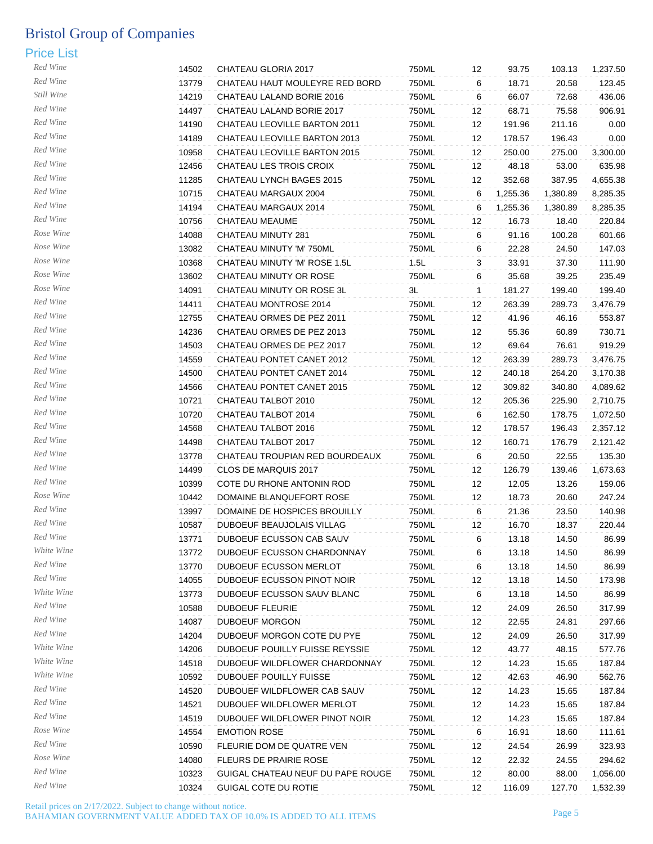| Red Wine   | 14502 | CHATEAU GLORIA 2017                 | 750ML | 12       | 93.75    | 103.13   | 1,237.50 |
|------------|-------|-------------------------------------|-------|----------|----------|----------|----------|
| Red Wine   | 13779 | CHATEAU HAUT MOULEYRE RED BORD      | 750ML | 6        | 18.71    | 20.58    | 123.45   |
| Still Wine | 14219 | CHATEAU LALAND BORIE 2016           | 750ML | 6        | 66.07    | 72.68    | 436.06   |
| Red Wine   | 14497 | CHATEAU LALAND BORIE 2017           | 750ML | 12       | 68.71    | 75.58    | 906.91   |
| Red Wine   | 14190 | <b>CHATEAU LEOVILLE BARTON 2011</b> | 750ML | 12       | 191.96   | 211.16   | 0.00     |
| Red Wine   | 14189 | CHATEAU LEOVILLE BARTON 2013        | 750ML | 12       | 178.57   | 196.43   | 0.00     |
| Red Wine   | 10958 | CHATEAU LEOVILLE BARTON 2015        | 750ML | 12       | 250.00   | 275.00   | 3,300.00 |
| Red Wine   | 12456 | CHATEAU LES TROIS CROIX             | 750ML | 12       | 48.18    | 53.00    | 635.98   |
| Red Wine   | 11285 | CHATEAU LYNCH BAGES 2015            | 750ML | 12       | 352.68   | 387.95   | 4,655.38 |
| Red Wine   | 10715 | CHATEAU MARGAUX 2004                | 750ML | 6        | 1,255.36 | 1,380.89 | 8,285.35 |
| Red Wine   | 14194 | CHATEAU MARGAUX 2014                | 750ML | 6        | 1,255.36 | 1,380.89 | 8,285.35 |
| Red Wine   | 10756 | CHATEAU MEAUME                      | 750ML | 12       | 16.73    | 18.40    | 220.84   |
| Rose Wine  | 14088 | CHATEAU MINUTY 281                  | 750ML | 6        | 91.16    | 100.28   | 601.66   |
| Rose Wine  | 13082 | CHATEAU MINUTY 'M' 750ML            | 750ML | 6        | 22.28    | 24.50    | 147.03   |
| Rose Wine  | 10368 | CHATEAU MINUTY 'M' ROSE 1.5L        | 1.5L  | 3        | 33.91    | 37.30    | 111.90   |
| Rose Wine  | 13602 | CHATEAU MINUTY OR ROSE              | 750ML | 6        | 35.68    | 39.25    | 235.49   |
| Rose Wine  | 14091 | CHATEAU MINUTY OR ROSE 3L           | 3L    | 1        | 181.27   | 199.40   | 199.40   |
| Red Wine   | 14411 | CHATEAU MONTROSE 2014               | 750ML | 12       | 263.39   | 289.73   | 3,476.79 |
| Red Wine   | 12755 | CHATEAU ORMES DE PEZ 2011           | 750ML | 12       | 41.96    | 46.16    | 553.87   |
| Red Wine   | 14236 | CHATEAU ORMES DE PEZ 2013           | 750ML |          | 55.36    | 60.89    | 730.71   |
| Red Wine   | 14503 | CHATEAU ORMES DE PEZ 2017           | 750ML | 12<br>12 | 69.64    | 76.61    | 919.29   |
| Red Wine   | 14559 | CHATEAU PONTET CANET 2012           | 750ML | 12       |          | 289.73   |          |
| Red Wine   |       |                                     |       |          | 263.39   |          | 3,476.75 |
| Red Wine   | 14500 | CHATEAU PONTET CANET 2014           | 750ML | 12       | 240.18   | 264.20   | 3,170.38 |
| Red Wine   | 14566 | CHATEAU PONTET CANET 2015           | 750ML | 12       | 309.82   | 340.80   | 4,089.62 |
| Red Wine   | 10721 | CHATEAU TALBOT 2010                 | 750ML | 12       | 205.36   | 225.90   | 2,710.75 |
| Red Wine   | 10720 | CHATEAU TALBOT 2014                 | 750ML | 6        | 162.50   | 178.75   | 1,072.50 |
| Red Wine   | 14568 | CHATEAU TALBOT 2016                 | 750ML | 12       | 178.57   | 196.43   | 2,357.12 |
| Red Wine   | 14498 | CHATEAU TALBOT 2017                 | 750ML | 12       | 160.71   | 176.79   | 2,121.42 |
| Red Wine   | 13778 | CHATEAU TROUPIAN RED BOURDEAUX      | 750ML | 6        | 20.50    | 22.55    | 135.30   |
| Red Wine   | 14499 | CLOS DE MARQUIS 2017                | 750ML | 12       | 126.79   | 139.46   | 1,673.63 |
|            | 10399 | COTE DU RHONE ANTONIN ROD           | 750ML | 12       | 12.05    | 13.26    | 159.06   |
| Rose Wine  | 10442 | DOMAINE BLANQUEFORT ROSE            | 750ML | 12       | 18.73    | 20.60    | 247.24   |
| Red Wine   | 13997 | DOMAINE DE HOSPICES BROUILLY        | 750ML | 6        | 21.36    | 23.50    | 140.98   |
| Red Wine   | 10587 | DUBOEUF BEAUJOLAIS VILLAG           | 750ML | 12       | 16.70    | 18.37    | 220.44   |
| Red Wine   | 13771 | DUBOEUF ECUSSON CAB SAUV            | 750ML | 6        | 13.18    | 14.50    | 86.99    |
| White Wine | 13772 | DUBOEUF ECUSSON CHARDONNAY          | 750ML | 6        | 13.18    | 14.50    | 86.99    |
| Red Wine   | 13770 | DUBOEUF ECUSSON MERLOT              | 750ML | 6        | 13.18    | 14.50    | 86.99    |
| Red Wine   | 14055 | DUBOEUF ECUSSON PINOT NOIR          | 750ML | 12       | 13.18    | 14.50    | 173.98   |
| White Wine | 13773 | DUBOEUF ECUSSON SAUV BLANC          | 750ML | 6        | 13.18    | 14.50    | 86.99    |
| Red Wine   | 10588 | <b>DUBOEUF FLEURIE</b>              | 750ML | 12       | 24.09    | 26.50    | 317.99   |
| Red Wine   | 14087 | <b>DUBOEUF MORGON</b>               | 750ML | 12       | 22.55    | 24.81    | 297.66   |
| Red Wine   | 14204 | DUBOEUF MORGON COTE DU PYE          | 750ML | 12       | 24.09    | 26.50    | 317.99   |
| White Wine | 14206 | DUBOEUF POUILLY FUISSE REYSSIE      | 750ML | 12       | 43.77    | 48.15    | 577.76   |
| White Wine | 14518 | DUBOEUF WILDFLOWER CHARDONNAY       | 750ML | 12       | 14.23    | 15.65    | 187.84   |
| White Wine | 10592 | DUBOUEF POUILLY FUISSE              | 750ML | 12       | 42.63    | 46.90    | 562.76   |
| Red Wine   | 14520 | DUBOUEF WILDFLOWER CAB SAUV         | 750ML | 12       | 14.23    | 15.65    | 187.84   |
| Red Wine   | 14521 | DUBOUEF WILDFLOWER MERLOT           | 750ML | 12       | 14.23    | 15.65    | 187.84   |
| Red Wine   | 14519 | DUBOUEF WILDFLOWER PINOT NOIR       | 750ML | 12       | 14.23    | 15.65    | 187.84   |
| Rose Wine  | 14554 | <b>EMOTION ROSE</b>                 | 750ML | 6        | 16.91    | 18.60    | 111.61   |
| Red Wine   | 10590 | FLEURIE DOM DE QUATRE VEN           | 750ML | 12       | 24.54    | 26.99    | 323.93   |
| Rose Wine  | 14080 | <b>FLEURS DE PRAIRIE ROSE</b>       | 750ML | 12       | 22.32    | 24.55    | 294.62   |
| Red Wine   | 10323 | GUIGAL CHATEAU NEUF DU PAPE ROUGE   | 750ML | 12       | 80.00    | 88.00    | 1,056.00 |
| Red Wine   | 10324 | <b>GUIGAL COTE DU ROTIE</b>         | 750ML | 12       | 116.09   | 127.70   | 1,532.39 |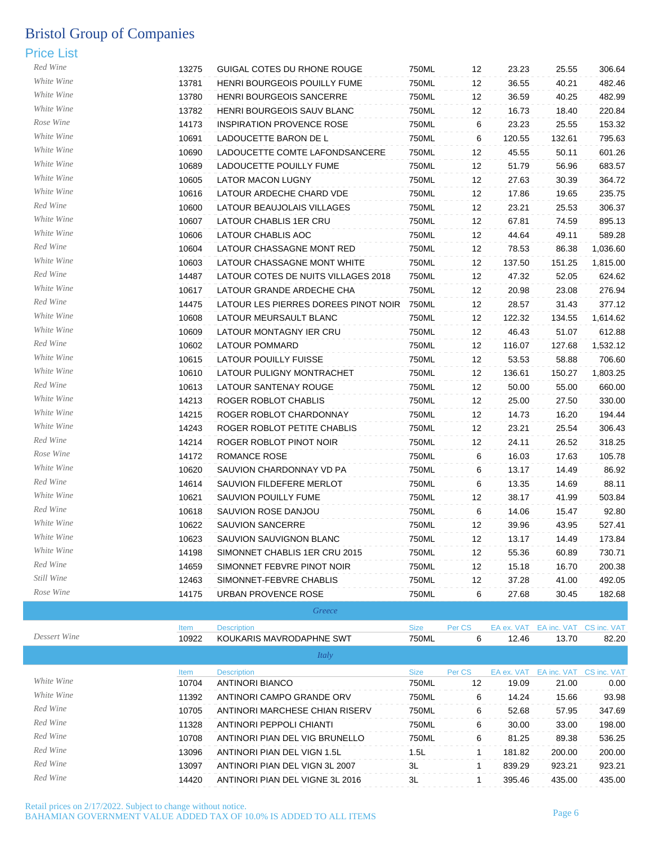| Red Wine     |       |                                      |             |        |        |                                    |          |
|--------------|-------|--------------------------------------|-------------|--------|--------|------------------------------------|----------|
| White Wine   | 13275 | GUIGAL COTES DU RHONE ROUGE          | 750ML       | 12     | 23.23  | 25.55                              | 306.64   |
| White Wine   | 13781 | <b>HENRI BOURGEOIS POUILLY FUME</b>  | 750ML       | 12     | 36.55  | 40.21                              | 482.46   |
| White Wine   | 13780 | HENRI BOURGEOIS SANCERRE             | 750ML       | 12     | 36.59  | 40.25                              | 482.99   |
| Rose Wine    | 13782 | HENRI BOURGEOIS SAUV BLANC           | 750ML       | 12     | 16.73  | 18.40                              | 220.84   |
| White Wine   | 14173 | <b>INSPIRATION PROVENCE ROSE</b>     | 750ML       | 6      | 23.23  | 25.55                              | 153.32   |
| White Wine   | 10691 | LADOUCETTE BARON DE L                | 750ML       | 6      | 120.55 | 132.61                             | 795.63   |
| White Wine   | 10690 | LADOUCETTE COMTE LAFONDSANCERE       | 750ML       | 12     | 45.55  | 50.11                              | 601.26   |
| White Wine   | 10689 | LADOUCETTE POUILLY FUME              | 750ML       | 12     | 51.79  | 56.96                              | 683.57   |
| White Wine   | 10605 | LATOR MACON LUGNY                    | 750ML       | 12     | 27.63  | 30.39                              | 364.72   |
| Red Wine     | 10616 | LATOUR ARDECHE CHARD VDE             | 750ML       | 12     | 17.86  | 19.65                              | 235.75   |
| White Wine   | 10600 | LATOUR BEAUJOLAIS VILLAGES           | 750ML       | 12     | 23.21  | 25.53                              | 306.37   |
| White Wine   | 10607 | LATOUR CHABLIS 1ER CRU               | 750ML       | 12     | 67.81  | 74.59                              | 895.13   |
|              | 10606 | LATOUR CHABLIS AOC                   | 750ML       | 12     | 44.64  | 49.11                              | 589.28   |
| Red Wine     | 10604 | LATOUR CHASSAGNE MONT RED            | 750ML       | 12     | 78.53  | 86.38                              | 1,036.60 |
| White Wine   | 10603 | LATOUR CHASSAGNE MONT WHITE          | 750ML       | 12     | 137.50 | 151.25                             | 1,815.00 |
| Red Wine     | 14487 | LATOUR COTES DE NUITS VILLAGES 2018  | 750ML       | 12     | 47.32  | 52.05                              | 624.62   |
| White Wine   | 10617 | LATOUR GRANDE ARDECHE CHA            | 750ML       | 12     | 20.98  | 23.08                              | 276.94   |
| Red Wine     | 14475 | LATOUR LES PIERRES DOREES PINOT NOIR | 750ML       | 12     | 28.57  | 31.43                              | 377.12   |
| White Wine   | 10608 | LATOUR MEURSAULT BLANC               | 750ML       | 12     | 122.32 | 134.55                             | 1,614.62 |
| White Wine   | 10609 | LATOUR MONTAGNY IER CRU              | 750ML       | 12     | 46.43  | 51.07                              | 612.88   |
| Red Wine     | 10602 | LATOUR POMMARD                       | 750ML       | 12     | 116.07 | 127.68                             | 1,532.12 |
| White Wine   | 10615 | LATOUR POUILLY FUISSE                | 750ML       | 12     | 53.53  | 58.88                              | 706.60   |
| White Wine   | 10610 | LATOUR PULIGNY MONTRACHET            | 750ML       | 12     | 136.61 | 150.27                             | 1,803.25 |
| Red Wine     | 10613 | LATOUR SANTENAY ROUGE                | 750ML       | 12     | 50.00  | 55.00                              | 660.00   |
| White Wine   | 14213 | ROGER ROBLOT CHABLIS                 | 750ML       | 12     | 25.00  | 27.50                              | 330.00   |
| White Wine   | 14215 | ROGER ROBLOT CHARDONNAY              | 750ML       | 12     | 14.73  | 16.20                              | 194.44   |
| White Wine   | 14243 | ROGER ROBLOT PETITE CHABLIS          | 750ML       | 12     | 23.21  | 25.54                              | 306.43   |
| Red Wine     | 14214 | ROGER ROBLOT PINOT NOIR              | 750ML       | 12     | 24.11  | 26.52                              | 318.25   |
| Rose Wine    | 14172 | <b>ROMANCE ROSE</b>                  | 750ML       | 6      | 16.03  | 17.63                              | 105.78   |
| White Wine   | 10620 | SAUVION CHARDONNAY VD PA             | 750ML       | 6      | 13.17  | 14.49                              | 86.92    |
| Red Wine     | 14614 | SAUVION FILDEFERE MERLOT             | 750ML       | 6      | 13.35  | 14.69                              | 88.11    |
| White Wine   | 10621 | SAUVION POUILLY FUME                 | 750ML       | 12     | 38.17  | 41.99                              | 503.84   |
| Red Wine     | 10618 | SAUVION ROSE DANJOU                  | 750ML       | 6      | 14.06  | 15.47                              | 92.80    |
| White Wine   | 10622 | SAUVION SANCERRE                     | 750ML       | 12     | 39.96  | 43.95                              | 527.41   |
| White Wine   | 10623 | SAUVION SAUVIGNON BLANC              | 750ML       | 12     | 13.17  | 14.49                              | 173.84   |
| White Wine   | 14198 | SIMONNET CHABLIS 1ER CRU 2015        | 750ML       | 12     | 55.36  | 60.89                              | 730.71   |
| Red Wine     | 14659 | SIMONNET FEBVRE PINOT NOIR           | 750ML       | 12     | 15.18  | 16.70                              | 200.38   |
| Still Wine   | 12463 | SIMONNET-FEBVRE CHABLIS              | 750ML       | 12     | 37.28  | 41.00                              | 492.05   |
| Rose Wine    | 14175 | <b>URBAN PROVENCE ROSE</b>           | 750ML       | 6      | 27.68  | 30.45                              | 182.68   |
|              |       | Greece                               |             |        |        |                                    |          |
|              | Item  | <b>Description</b>                   | <b>Size</b> | Per CS |        | EA ex. VAT EA inc. VAT CS inc. VAT |          |
| Dessert Wine | 10022 | <b>VOLIVADIC MAVIDODADUNE CIMT</b>   | 750M        |        | 121C   | 1270                               | 02.20    |

| Dessert Wine | 10922       | KOUKARIS MAVRODAPHNE SWT        | 750ML       | 6      | 12.46      | 13.70       | 82.20       |
|--------------|-------------|---------------------------------|-------------|--------|------------|-------------|-------------|
|              |             | Italy                           |             |        |            |             |             |
|              | <b>Item</b> | <b>Description</b>              | <b>Size</b> | Per CS | EA ex. VAT | EA inc. VAT | CS inc. VAT |
| White Wine   | 10704       | ANTINORI BIANCO                 | 750ML       | 12     | 19.09      | 21.00       | 0.00        |
| White Wine   | 11392       | ANTINORI CAMPO GRANDE ORV       | 750ML       | 6      | 14.24      | 15.66       | 93.98       |
| Red Wine     | 10705       | ANTINORI MARCHESE CHIAN RISERV  | 750ML       | 6      | 52.68      | 57.95       | 347.69      |
| Red Wine     | 11328       | ANTINORI PEPPOLI CHIANTI        | 750ML       | 6      | 30.00      | 33.00       | 198.00      |
| Red Wine     | 10708       | ANTINORI PIAN DEL VIG BRUNELLO  | 750ML       | 6      | 81.25      | 89.38       | 536.25      |
| Red Wine     | 13096       | ANTINORI PIAN DEL VIGN 1.5L     | 1.5L        |        | 181.82     | 200.00      | 200.00      |
| Red Wine     | 13097       | ANTINORI PIAN DEL VIGN 3L 2007  | 3L          |        | 839.29     | 923.21      | 923.21      |
| Red Wine     | 14420       | ANTINORI PIAN DEL VIGNE 3L 2016 | 3L          |        | 395.46     | 435.00      | 435.00      |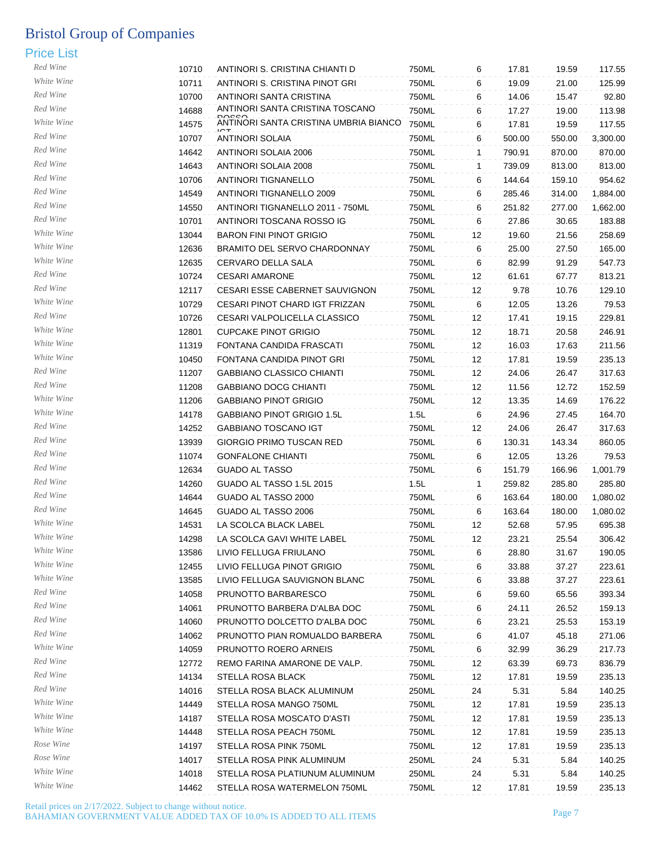| Red Wine   | 10710 | ANTINORI S. CRISTINA CHIANTI D        | 750ML | 6                 | 17.81  | 19.59  | 117.55   |
|------------|-------|---------------------------------------|-------|-------------------|--------|--------|----------|
| White Wine | 10711 | ANTINORI S. CRISTINA PINOT GRI        | 750ML | 6                 | 19.09  | 21.00  | 125.99   |
| Red Wine   | 10700 | ANTINORI SANTA CRISTINA               | 750ML | 6                 | 14.06  | 15.47  | 92.80    |
| Red Wine   | 14688 | ANTINORI SANTA CRISTINA TOSCANO       | 750ML | 6                 | 17.27  | 19.00  | 113.98   |
| White Wine | 14575 | ANTINORI SANTA CRISTINA UMBRIA BIANCO | 750ML | 6                 | 17.81  | 19.59  | 117.55   |
| Red Wine   | 10707 | ANTINORI SOLAIA                       | 750ML | 6                 | 500.00 | 550.00 | 3,300.00 |
| Red Wine   | 14642 | ANTINORI SOLAIA 2006                  | 750ML | $\mathbf{1}$      | 790.91 | 870.00 | 870.00   |
| Red Wine   | 14643 | ANTINORI SOLAIA 2008                  | 750ML | $\mathbf{1}$      | 739.09 | 813.00 | 813.00   |
| Red Wine   | 10706 | <b>ANTINORI TIGNANELLO</b>            | 750ML | 6                 | 144.64 | 159.10 | 954.62   |
| Red Wine   | 14549 | ANTINORI TIGNANELLO 2009              | 750ML | 6                 | 285.46 | 314.00 | 1,884.00 |
| Red Wine   | 14550 | ANTINORI TIGNANELLO 2011 - 750ML      | 750ML | 6                 | 251.82 | 277.00 | 1,662.00 |
| Red Wine   | 10701 | ANTINORI TOSCANA ROSSO IG             | 750ML | 6                 | 27.86  | 30.65  | 183.88   |
| White Wine | 13044 | <b>BARON FINI PINOT GRIGIO</b>        | 750ML | 12                | 19.60  | 21.56  | 258.69   |
| White Wine | 12636 | BRAMITO DEL SERVO CHARDONNAY          | 750ML | 6                 | 25.00  | 27.50  | 165.00   |
| White Wine | 12635 | CERVARO DELLA SALA                    | 750ML | 6                 | 82.99  | 91.29  | 547.73   |
| Red Wine   | 10724 | <b>CESARI AMARONE</b>                 | 750ML | 12                | 61.61  | 67.77  | 813.21   |
| Red Wine   | 12117 | CESARI ESSE CABERNET SAUVIGNON        | 750ML | 12                | 9.78   | 10.76  | 129.10   |
| White Wine | 10729 | CESARI PINOT CHARD IGT FRIZZAN        | 750ML | 6                 | 12.05  | 13.26  | 79.53    |
| Red Wine   | 10726 | CESARI VALPOLICELLA CLASSICO          | 750ML | 12                | 17.41  | 19.15  | 229.81   |
| White Wine | 12801 | <b>CUPCAKE PINOT GRIGIO</b>           | 750ML | 12                | 18.71  | 20.58  | 246.91   |
| White Wine | 11319 | FONTANA CANDIDA FRASCATI              | 750ML | 12                | 16.03  | 17.63  | 211.56   |
| White Wine | 10450 | FONTANA CANDIDA PINOT GRI             | 750ML | 12                | 17.81  | 19.59  | 235.13   |
| Red Wine   | 11207 | <b>GABBIANO CLASSICO CHIANTI</b>      | 750ML | 12                | 24.06  | 26.47  | 317.63   |
| Red Wine   | 11208 | <b>GABBIANO DOCG CHIANTI</b>          | 750ML | 12                | 11.56  | 12.72  | 152.59   |
| White Wine | 11206 | <b>GABBIANO PINOT GRIGIO</b>          | 750ML | 12                | 13.35  | 14.69  | 176.22   |
| White Wine | 14178 | GABBIANO PINOT GRIGIO 1.5L            | 1.5L  | 6                 | 24.96  | 27.45  | 164.70   |
| Red Wine   |       |                                       |       |                   |        |        |          |
| Red Wine   | 14252 | <b>GABBIANO TOSCANO IGT</b>           | 750ML | 12<br>6           | 24.06  | 26.47  | 317.63   |
| Red Wine   | 13939 | GIORGIO PRIMO TUSCAN RED              | 750ML |                   | 130.31 | 143.34 | 860.05   |
| Red Wine   | 11074 | <b>GONFALONE CHIANTI</b>              | 750ML | 6                 | 12.05  | 13.26  | 79.53    |
| Red Wine   | 12634 | <b>GUADO AL TASSO</b>                 | 750ML | 6                 | 151.79 | 166.96 | 1,001.79 |
| Red Wine   | 14260 | GUADO AL TASSO 1.5L 2015              | 1.5L  | 1                 | 259.82 | 285.80 | 285.80   |
| Red Wine   | 14644 | GUADO AL TASSO 2000                   | 750ML | 6                 | 163.64 | 180.00 | 1,080.02 |
| White Wine | 14645 | GUADO AL TASSO 2006                   | 750ML | 6                 | 163.64 | 180.00 | 1,080.02 |
|            | 14531 | LA SCOLCA BLACK LABEL                 | 750ML | $12 \overline{ }$ | 52.68  | 57.95  | 695.38   |
| White Wine | 14298 | LA SCOLCA GAVI WHITE LABEL            | 750ML | $12 \overline{ }$ | 23.21  | 25.54  | 306.42   |
| White Wine | 13586 | LIVIO FELLUGA FRIULANO                | 750ML | 6                 | 28.80  | 31.67  | 190.05   |
| White Wine | 12455 | LIVIO FELLUGA PINOT GRIGIO            | 750ML | 6                 | 33.88  | 37.27  | 223.61   |
| White Wine | 13585 | LIVIO FELLUGA SAUVIGNON BLANC         | 750ML | 6                 | 33.88  | 37.27  | 223.61   |
| Red Wine   | 14058 | PRUNOTTO BARBARESCO                   | 750ML | 6                 | 59.60  | 65.56  | 393.34   |
| Red Wine   | 14061 | PRUNOTTO BARBERA D'ALBA DOC           | 750ML | 6                 | 24.11  | 26.52  | 159.13   |
| Red Wine   | 14060 | PRUNOTTO DOLCETTO D'ALBA DOC          | 750ML | 6                 | 23.21  | 25.53  | 153.19   |
| Red Wine   | 14062 | PRUNOTTO PIAN ROMUALDO BARBERA        | 750ML | 6                 | 41.07  | 45.18  | 271.06   |
| White Wine | 14059 | PRUNOTTO ROERO ARNEIS                 | 750ML | 6                 | 32.99  | 36.29  | 217.73   |
| Red Wine   | 12772 | REMO FARINA AMARONE DE VALP.          | 750ML | 12                | 63.39  | 69.73  | 836.79   |
| Red Wine   | 14134 | STELLA ROSA BLACK                     | 750ML | 12                | 17.81  | 19.59  | 235.13   |
| Red Wine   | 14016 | STELLA ROSA BLACK ALUMINUM            | 250ML | 24                | 5.31   | 5.84   | 140.25   |
| White Wine | 14449 | STELLA ROSA MANGO 750ML               | 750ML | 12                | 17.81  | 19.59  | 235.13   |
| White Wine | 14187 | STELLA ROSA MOSCATO D'ASTI            | 750ML | 12                | 17.81  | 19.59  | 235.13   |
| White Wine | 14448 | STELLA ROSA PEACH 750ML               | 750ML | 12                | 17.81  | 19.59  | 235.13   |
| Rose Wine  | 14197 | STELLA ROSA PINK 750ML                | 750ML | 12                | 17.81  | 19.59  | 235.13   |
| Rose Wine  | 14017 | STELLA ROSA PINK ALUMINUM             | 250ML | 24                | 5.31   | 5.84   | 140.25   |
| White Wine | 14018 | STELLA ROSA PLATIUNUM ALUMINUM        | 250ML | 24                | 5.31   | 5.84   | 140.25   |
| White Wine | 14462 | STELLA ROSA WATERMELON 750ML          | 750ML | 12                | 17.81  | 19.59  | 235.13   |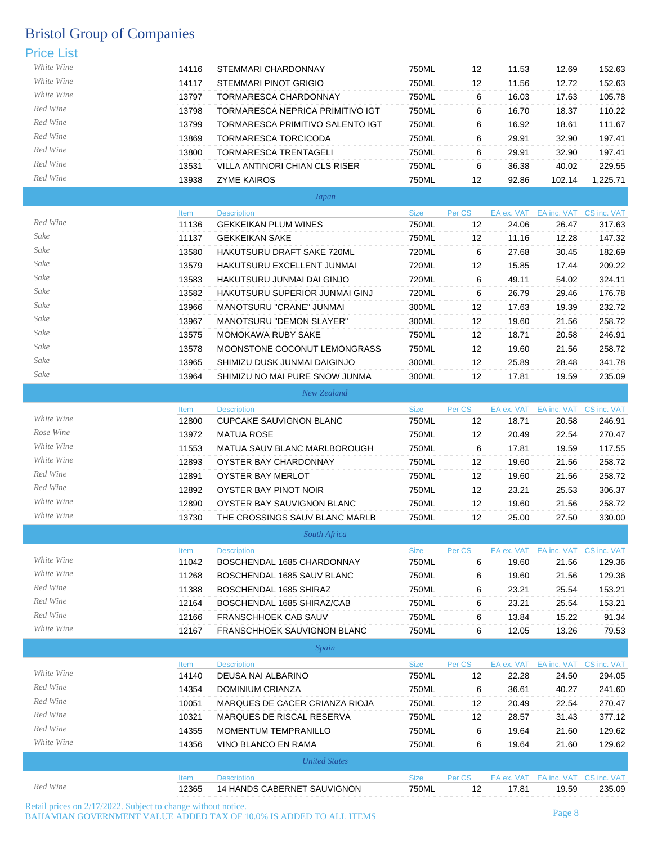| .          |       |                                    |             |                   |            |                                    |                         |
|------------|-------|------------------------------------|-------------|-------------------|------------|------------------------------------|-------------------------|
| White Wine | 14116 | STEMMARI CHARDONNAY                | 750ML       | 12                | 11.53      | 12.69                              | 152.63                  |
| White Wine | 14117 | <b>STEMMARI PINOT GRIGIO</b>       | 750ML       | $12 \overline{ }$ | 11.56      | 12.72                              | 152.63                  |
| White Wine | 13797 | TORMARESCA CHARDONNAY              | 750ML       | 6                 | 16.03      | 17.63                              | 105.78                  |
| Red Wine   | 13798 | TORMARESCA NEPRICA PRIMITIVO IGT   | 750ML       | 6                 | 16.70      | 18.37                              | 110.22                  |
| Red Wine   | 13799 | TORMARESCA PRIMITIVO SALENTO IGT   | 750ML       | 6                 | 16.92      | 18.61                              | 111.67                  |
| Red Wine   | 13869 | TORMARESCA TORCICODA               | 750ML       | 6                 | 29.91      | 32.90                              | 197.41                  |
| Red Wine   | 13800 | <b>TORMARESCA TRENTAGELI</b>       | 750ML       | 6                 | 29.91      | 32.90                              | 197.41                  |
| Red Wine   | 13531 | VILLA ANTINORI CHIAN CLS RISER     | 750ML       | 6                 | 36.38      | 40.02                              | 229.55                  |
| Red Wine   | 13938 | <b>ZYME KAIROS</b>                 | 750ML       | 12                | 92.86      | 102.14                             | 1,225.71                |
|            |       | Japan                              |             |                   |            |                                    |                         |
|            | Item  | <b>Description</b>                 | <b>Size</b> | Per CS            |            | EA ex. VAT EA inc. VAT CS inc. VAT |                         |
| Red Wine   | 11136 | <b>GEKKEIKAN PLUM WINES</b>        | 750ML       | $12 \overline{ }$ | 24.06      | 26.47                              | 317.63                  |
| Sake       | 11137 | <b>GEKKEIKAN SAKE</b>              | 750ML       | $12 \overline{ }$ | 11.16      | 12.28                              | 147.32                  |
| Sake       | 13580 | HAKUTSURU DRAFT SAKE 720ML         | 720ML       | 6                 | 27.68      | 30.45                              | 182.69                  |
| Sake       | 13579 | HAKUTSURU EXCELLENT JUNMAI         | 720ML       | 12                | 15.85      | 17.44                              | 209.22                  |
| Sake       | 13583 | HAKUTSURU JUNMAI DAI GINJO         | 720ML       | 6                 | 49.11      | 54.02                              | 324.11                  |
| Sake       | 13582 | HAKUTSURU SUPERIOR JUNMAI GINJ     | 720ML       | 6                 | 26.79      | 29.46                              | 176.78                  |
| Sake       | 13966 | MANOTSURU "CRANE" JUNMAI           | 300ML       | $12 \overline{ }$ | 17.63      | 19.39                              | 232.72                  |
| Sake       | 13967 | <b>MANOTSURU "DEMON SLAYER"</b>    | 300ML       | 12                | 19.60      | 21.56                              | 258.72                  |
| Sake       | 13575 | MOMOKAWA RUBY SAKE                 | 750ML       | $12 \overline{ }$ | 18.71      | 20.58                              | 246.91                  |
| Sake       | 13578 | MOONSTONE COCONUT LEMONGRASS       | 750ML       | 12                | 19.60      | 21.56                              | 258.72                  |
| Sake       | 13965 | SHIMIZU DUSK JUNMAI DAIGINJO       | 300ML       | 12                | 25.89      | 28.48                              | 341.78                  |
| Sake       | 13964 | SHIMIZU NO MAI PURE SNOW JUNMA     | 300ML       | $12 \overline{ }$ | 17.81      | 19.59                              | 235.09                  |
|            |       | New Zealand                        |             |                   |            |                                    |                         |
|            | Item  | <b>Description</b>                 | <b>Size</b> | Per CS            |            | EA ex. VAT EA inc. VAT CS inc. VAT |                         |
| White Wine | 12800 | <b>CUPCAKE SAUVIGNON BLANC</b>     | 750ML       | 12                | 18.71      | 20.58                              | 246.91                  |
| Rose Wine  | 13972 | <b>MATUA ROSE</b>                  | 750ML       | $12 \overline{ }$ | 20.49      | 22.54                              | 270.47                  |
| White Wine | 11553 | MATUA SAUV BLANC MARLBOROUGH       | 750ML       | 6                 | 17.81      | 19.59                              | 117.55                  |
| White Wine | 12893 | OYSTER BAY CHARDONNAY              | 750ML       | $12 \overline{ }$ | 19.60      | 21.56                              | 258.72                  |
| Red Wine   | 12891 | OYSTER BAY MERLOT                  | 750ML       | 12                | 19.60      | 21.56                              | 258.72                  |
| Red Wine   | 12892 | OYSTER BAY PINOT NOIR              | 750ML       | 12                | 23.21      | 25.53                              | 306.37                  |
| White Wine | 12890 | OYSTER BAY SAUVIGNON BLANC         | 750ML       | 12                | 19.60      | 21.56                              | 258.72                  |
| White Wine | 13730 | THE CROSSINGS SAUV BLANC MARLB     | 750ML       | 12                | 25.00      | 27.50                              | 330.00                  |
|            |       | South Africa                       |             |                   |            |                                    |                         |
|            | Item  | <b>Description</b>                 | <b>Size</b> | Per CS            |            | EA ex. VAT EA inc. VAT CS inc. VAT |                         |
| White Wine | 11042 | BOSCHENDAL 1685 CHARDONNAY         | 750ML       | 6                 | 19.60      | 21.56                              | 129.36                  |
| White Wine | 11268 | BOSCHENDAL 1685 SAUV BLANC         | 750ML       | 6                 | 19.60      | 21.56                              | 129.36                  |
| Red Wine   | 11388 | BOSCHENDAL 1685 SHIRAZ             | 750ML       | 6                 | 23.21      | 25.54                              | 153.21                  |
| Red Wine   | 12164 | BOSCHENDAL 1685 SHIRAZ/CAB         | 750ML       | 6                 | 23.21      | 25.54                              | 153.21                  |
| Red Wine   | 12166 | FRANSCHHOEK CAB SAUV               | 750ML       | 6                 | 13.84      | 15.22                              | 91.34                   |
| White Wine | 12167 | <b>FRANSCHHOEK SAUVIGNON BLANC</b> | 750ML       | 6                 | 12.05      | 13.26                              | 79.53                   |
|            |       | Spain                              |             |                   |            |                                    |                         |
|            | Item  | <b>Description</b>                 | Size        | Per CS            | EA ex. VAT |                                    | EA inc. VAT CS inc. VAT |
| White Wine | 14140 | DEUSA NAI ALBARINO                 | 750ML       | 12                | 22.28      | 24.50                              | 294.05                  |
| Red Wine   | 14354 | DOMINIUM CRIANZA                   | 750ML       | 6                 | 36.61      | 40.27                              | 241.60                  |
| Red Wine   | 10051 | MARQUES DE CACER CRIANZA RIOJA     | 750ML       | 12                | 20.49      | 22.54                              | 270.47                  |
| Red Wine   | 10321 | MARQUES DE RISCAL RESERVA          | 750ML       | 12                | 28.57      | 31.43                              | 377.12                  |
| Red Wine   | 14355 | <b>MOMENTUM TEMPRANILLO</b>        | 750ML       | 6                 | 19.64      | 21.60                              | 129.62                  |
| White Wine | 14356 | VINO BLANCO EN RAMA                | 750ML       | 6                 | 19.64      | 21.60                              | 129.62                  |
|            |       | <b>United States</b>               |             |                   |            |                                    |                         |
|            | Item  | <b>Description</b>                 | <b>Size</b> | Per CS            |            | EA ex. VAT EA inc. VAT CS inc. VAT |                         |
| Red Wine   | 12365 | 14 HANDS CABERNET SAUVIGNON        | 750ML       | 12                | 17.81      | 19.59                              | 235.09                  |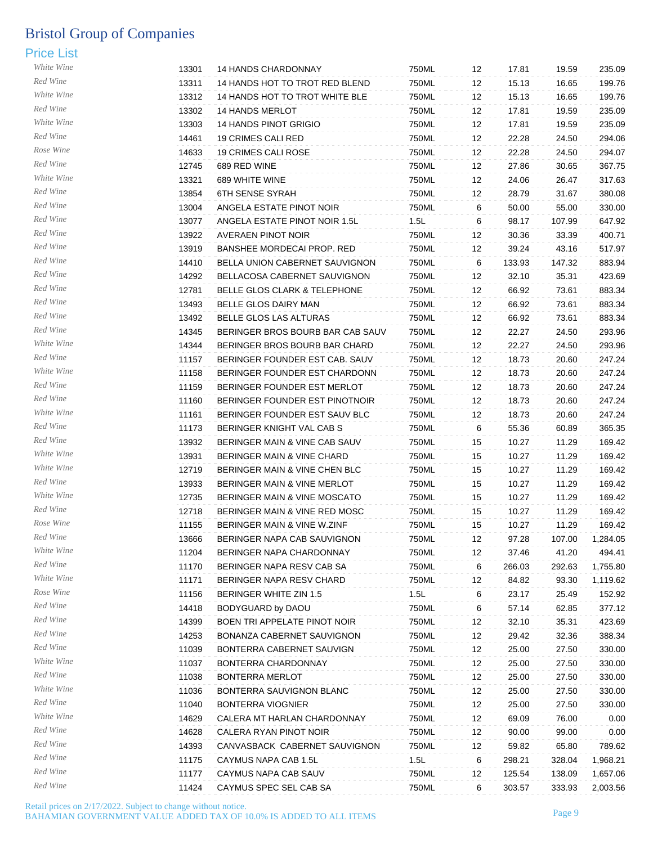| White Wine | 13301          | 14 HANDS CHARDONNAY               | 750ML | 12 | 17.81          | 19.59          | 235.09   |
|------------|----------------|-----------------------------------|-------|----|----------------|----------------|----------|
| Red Wine   | 13311          | 14 HANDS HOT TO TROT RED BLEND    | 750ML | 12 | 15.13          | 16.65          | 199.76   |
| White Wine | 13312          | 14 HANDS HOT TO TROT WHITE BLE    | 750ML | 12 | 15.13          | 16.65          | 199.76   |
| Red Wine   | 13302          | <b>14 HANDS MERLOT</b>            | 750ML | 12 | 17.81          | 19.59          | 235.09   |
| White Wine | 13303          | <b>14 HANDS PINOT GRIGIO</b>      | 750ML | 12 | 17.81          | 19.59          | 235.09   |
| Red Wine   | 14461          | 19 CRIMES CALI RED                | 750ML | 12 | 22.28          | 24.50          | 294.06   |
| Rose Wine  |                | <b>19 CRIMES CALI ROSE</b>        | 750ML |    |                |                | 294.07   |
| Red Wine   | 14633<br>12745 | 689 RED WINE                      | 750ML | 12 | 22.28<br>27.86 | 24.50<br>30.65 | 367.75   |
| White Wine |                |                                   |       | 12 |                |                |          |
| Red Wine   | 13321          | 689 WHITE WINE                    | 750ML | 12 | 24.06          | 26.47          | 317.63   |
| Red Wine   | 13854          | <b>6TH SENSE SYRAH</b>            | 750ML | 12 | 28.79          | 31.67          | 380.08   |
| Red Wine   | 13004          | ANGELA ESTATE PINOT NOIR          | 750ML | 6  | 50.00          | 55.00          | 330.00   |
| Red Wine   | 13077          | ANGELA ESTATE PINOT NOIR 1.5L     | 1.5L  | 6  | 98.17          | 107.99         | 647.92   |
| Red Wine   | 13922          | <b>AVERAEN PINOT NOIR</b>         | 750ML | 12 | 30.36          | 33.39          | 400.71   |
|            | 13919          | <b>BANSHEE MORDECAI PROP. RED</b> | 750ML | 12 | 39.24          | 43.16          | 517.97   |
| Red Wine   | 14410          | BELLA UNION CABERNET SAUVIGNON    | 750ML | 6  | 133.93         | 147.32         | 883.94   |
| Red Wine   | 14292          | BELLACOSA CABERNET SAUVIGNON      | 750ML | 12 | 32.10          | 35.31          | 423.69   |
| Red Wine   | 12781          | BELLE GLOS CLARK & TELEPHONE      | 750ML | 12 | 66.92          | 73.61          | 883.34   |
| Red Wine   | 13493          | BELLE GLOS DAIRY MAN              | 750ML | 12 | 66.92          | 73.61          | 883.34   |
| Red Wine   | 13492          | BELLE GLOS LAS ALTURAS            | 750ML | 12 | 66.92          | 73.61          | 883.34   |
| Red Wine   | 14345          | BERINGER BROS BOURB BAR CAB SAUV  | 750ML | 12 | 22.27          | 24.50          | 293.96   |
| White Wine | 14344          | BERINGER BROS BOURB BAR CHARD     | 750ML | 12 | 22.27          | 24.50          | 293.96   |
| Red Wine   | 11157          | BERINGER FOUNDER EST CAB. SAUV    | 750ML | 12 | 18.73          | 20.60          | 247.24   |
| White Wine | 11158          | BERINGER FOUNDER EST CHARDONN     | 750ML | 12 | 18.73          | 20.60          | 247.24   |
| Red Wine   | 11159          | BERINGER FOUNDER EST MERLOT       | 750ML | 12 | 18.73          | 20.60          | 247.24   |
| Red Wine   | 11160          | BERINGER FOUNDER EST PINOTNOIR    | 750ML | 12 | 18.73          | 20.60          | 247.24   |
| White Wine | 11161          | BERINGER FOUNDER EST SAUV BLC     | 750ML | 12 | 18.73          | 20.60          | 247.24   |
| Red Wine   | 11173          | BERINGER KNIGHT VAL CAB S         | 750ML | 6  | 55.36          | 60.89          | 365.35   |
| Red Wine   | 13932          | BERINGER MAIN & VINE CAB SAUV     | 750ML | 15 | 10.27          | 11.29          | 169.42   |
| White Wine | 13931          | BERINGER MAIN & VINE CHARD        | 750ML | 15 | 10.27          | 11.29          | 169.42   |
| White Wine | 12719          | BERINGER MAIN & VINE CHEN BLC     | 750ML | 15 | 10.27          | 11.29          | 169.42   |
| Red Wine   | 13933          | BERINGER MAIN & VINE MERLOT       | 750ML | 15 | 10.27          | 11.29          | 169.42   |
| White Wine | 12735          | BERINGER MAIN & VINE MOSCATO      | 750ML | 15 | 10.27          | 11.29          | 169.42   |
| Red Wine   | 12718          | BERINGER MAIN & VINE RED MOSC     | 750ML | 15 | 10.27          | 11.29          | 169.42   |
| Rose Wine  | 11155          | BERINGER MAIN & VINE W.ZINF       | 750ML | 15 | 10.27          | 11.29          | 169.42   |
| Red Wine   | 13666          | BERINGER NAPA CAB SAUVIGNON       | 750ML | 12 | 97.28          | 107.00         | 1,284.05 |
| White Wine | 11204          | BERINGER NAPA CHARDONNAY          | 750ML | 12 | 37.46          | 41.20          | 494.41   |
| Red Wine   | 11170          | BERINGER NAPA RESV CAB SA         | 750ML | 6  | 266.03         | 292.63         | 1,755.80 |
| White Wine | 11171          | BERINGER NAPA RESV CHARD          | 750ML | 12 | 84.82          | 93.30          | 1,119.62 |
| Rose Wine  | 11156          | <b>BERINGER WHITE ZIN 1.5</b>     | 1.5L  | 6  | 23.17          | 25.49          | 152.92   |
| Red Wine   | 14418          | BODYGUARD by DAOU                 | 750ML | 6  | 57.14          | 62.85          | 377.12   |
| Red Wine   | 14399          | BOEN TRI APPELATE PINOT NOIR      | 750ML | 12 | 32.10          | 35.31          | 423.69   |
| Red Wine   | 14253          | BONANZA CABERNET SAUVIGNON        | 750ML | 12 | 29.42          | 32.36          | 388.34   |
| Red Wine   | 11039          | BONTERRA CABERNET SAUVIGN         | 750ML | 12 | 25.00          | 27.50          | 330.00   |
| White Wine | 11037          | BONTERRA CHARDONNAY               | 750ML | 12 | 25.00          | 27.50          | 330.00   |
| Red Wine   | 11038          | BONTERRA MERLOT                   | 750ML | 12 | 25.00          | 27.50          | 330.00   |
| White Wine | 11036          | BONTERRA SAUVIGNON BLANC          | 750ML | 12 | 25.00          | 27.50          | 330.00   |
| Red Wine   | 11040          | <b>BONTERRA VIOGNIER</b>          | 750ML | 12 | 25.00          | 27.50          | 330.00   |
| White Wine | 14629          | CALERA MT HARLAN CHARDONNAY       | 750ML | 12 | 69.09          | 76.00          | 0.00     |
| Red Wine   | 14628          | CALERA RYAN PINOT NOIR            | 750ML | 12 | 90.00          | 99.00          | 0.00     |
| Red Wine   | 14393          | CANVASBACK CABERNET SAUVIGNON     | 750ML | 12 | 59.82          | 65.80          | 789.62   |
| Red Wine   | 11175          | CAYMUS NAPA CAB 1.5L              | 1.5L  | 6  | 298.21         | 328.04         | 1,968.21 |
| Red Wine   | 11177          | CAYMUS NAPA CAB SAUV              | 750ML | 12 | 125.54         | 138.09         | 1,657.06 |
| Red Wine   | 11424          | CAYMUS SPEC SEL CAB SA            | 750ML | 6  | 303.57         | 333.93         |          |
|            |                |                                   |       |    |                |                | 2,003.56 |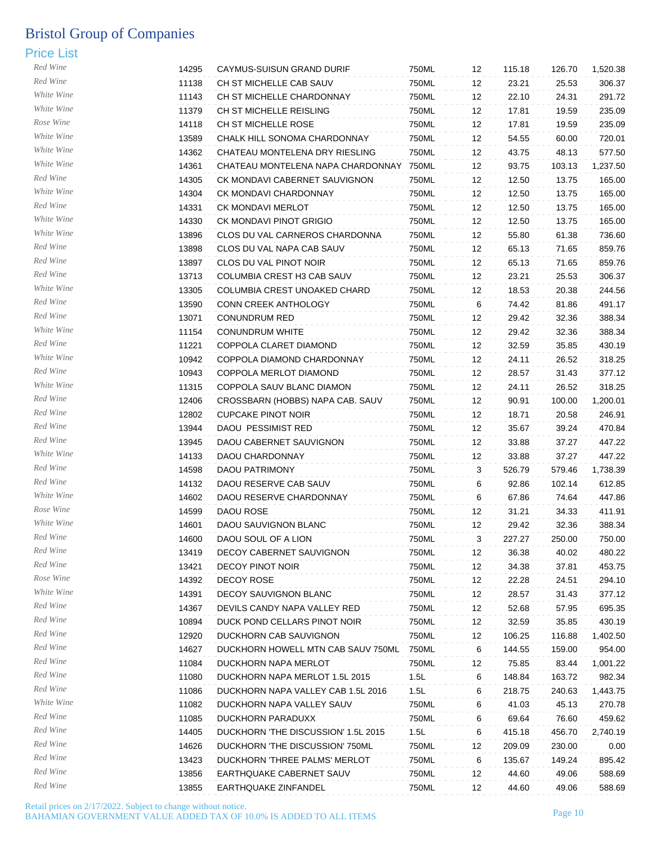| Red Wine               | 14295 | CAYMUS-SUISUN GRAND DURIF                    | 750ML | 12                | 115.18 | 126.70 | 1,520.38 |
|------------------------|-------|----------------------------------------------|-------|-------------------|--------|--------|----------|
| Red Wine               | 11138 | CH ST MICHELLE CAB SAUV                      | 750ML | 12                | 23.21  | 25.53  | 306.37   |
| White Wine             | 11143 | CH ST MICHELLE CHARDONNAY                    | 750ML | 12                | 22.10  | 24.31  | 291.72   |
| White Wine             | 11379 | CH ST MICHELLE REISLING                      | 750ML | 12                | 17.81  | 19.59  | 235.09   |
| Rose Wine              | 14118 | CH ST MICHELLE ROSE                          | 750ML | 12                | 17.81  | 19.59  | 235.09   |
| White Wine             | 13589 | CHALK HILL SONOMA CHARDONNAY                 | 750ML | 12                | 54.55  | 60.00  | 720.01   |
| White Wine             | 14362 | CHATEAU MONTELENA DRY RIESLING               | 750ML | 12                | 43.75  | 48.13  | 577.50   |
| White Wine             | 14361 | CHATEAU MONTELENA NAPA CHARDONNAY            | 750ML | 12                | 93.75  | 103.13 | 1,237.50 |
| Red Wine               | 14305 | CK MONDAVI CABERNET SAUVIGNON                | 750ML | 12                | 12.50  | 13.75  | 165.00   |
| White Wine             | 14304 | CK MONDAVI CHARDONNAY                        | 750ML | 12                | 12.50  | 13.75  | 165.00   |
| Red Wine               | 14331 | CK MONDAVI MERLOT                            | 750ML | 12                | 12.50  | 13.75  | 165.00   |
| White Wine             | 14330 | CK MONDAVI PINOT GRIGIO                      | 750ML | 12                | 12.50  | 13.75  | 165.00   |
| White Wine             | 13896 | CLOS DU VAL CARNEROS CHARDONNA               | 750ML | 12                | 55.80  | 61.38  | 736.60   |
| Red Wine               | 13898 | CLOS DU VAL NAPA CAB SAUV                    | 750ML | 12                | 65.13  | 71.65  | 859.76   |
| Red Wine               | 13897 | CLOS DU VAL PINOT NOIR                       | 750ML | 12                | 65.13  | 71.65  | 859.76   |
| Red Wine               | 13713 | COLUMBIA CREST H3 CAB SAUV                   | 750ML | 12                | 23.21  | 25.53  | 306.37   |
| White Wine             | 13305 | COLUMBIA CREST UNOAKED CHARD                 | 750ML | 12                | 18.53  | 20.38  | 244.56   |
| Red Wine               | 13590 |                                              |       | 6                 | 74.42  |        | 491.17   |
| Red Wine               |       | CONN CREEK ANTHOLOGY<br><b>CONUNDRUM RED</b> | 750ML |                   |        | 81.86  |          |
| White Wine             | 13071 |                                              | 750ML | 12                | 29.42  | 32.36  | 388.34   |
| Red Wine               | 11154 | <b>CONUNDRUM WHITE</b>                       | 750ML | 12                | 29.42  | 32.36  | 388.34   |
| White Wine             | 11221 | COPPOLA CLARET DIAMOND                       | 750ML | 12                | 32.59  | 35.85  | 430.19   |
| Red Wine               | 10942 | COPPOLA DIAMOND CHARDONNAY                   | 750ML | 12                | 24.11  | 26.52  | 318.25   |
| White Wine             | 10943 | COPPOLA MERLOT DIAMOND                       | 750ML | 12                | 28.57  | 31.43  | 377.12   |
| Red Wine               | 11315 | COPPOLA SAUV BLANC DIAMON                    | 750ML | 12                | 24.11  | 26.52  | 318.25   |
| Red Wine               | 12406 | CROSSBARN (HOBBS) NAPA CAB. SAUV             | 750ML | 12                | 90.91  | 100.00 | 1,200.01 |
| Red Wine               | 12802 | <b>CUPCAKE PINOT NOIR</b>                    | 750ML | 12                | 18.71  | 20.58  | 246.91   |
|                        | 13944 | DAOU PESSIMIST RED                           | 750ML | 12                | 35.67  | 39.24  | 470.84   |
| Red Wine<br>White Wine | 13945 | DAOU CABERNET SAUVIGNON                      | 750ML | 12                | 33.88  | 37.27  | 447.22   |
|                        | 14133 | DAOU CHARDONNAY                              | 750ML | 12                | 33.88  | 37.27  | 447.22   |
| Red Wine               | 14598 | DAOU PATRIMONY                               | 750ML | 3                 | 526.79 | 579.46 | 1,738.39 |
| Red Wine               | 14132 | DAOU RESERVE CAB SAUV                        | 750ML | 6                 | 92.86  | 102.14 | 612.85   |
| White Wine             | 14602 | DAOU RESERVE CHARDONNAY                      | 750ML | 6                 | 67.86  | 74.64  | 447.86   |
| Rose Wine              | 14599 | DAOU ROSE                                    | 750ML | 12                | 31.21  | 34.33  | 411.91   |
| White Wine             | 14601 | DAOU SAUVIGNON BLANC                         | 750ML | $12 \overline{ }$ | 29.42  | 32.36  | 388.34   |
| Red Wine               | 14600 | DAOU SOUL OF A LION                          | 750ML | 3                 | 227.27 | 250.00 | 750.00   |
| Red Wine               | 13419 | DECOY CABERNET SAUVIGNON                     | 750ML | 12                | 36.38  | 40.02  | 480.22   |
| Red Wine               | 13421 | <b>DECOY PINOT NOIR</b>                      | 750ML | 12                | 34.38  | 37.81  | 453.75   |
| Rose Wine              | 14392 | DECOY ROSE                                   | 750ML | 12                | 22.28  | 24.51  | 294.10   |
| White Wine             | 14391 | DECOY SAUVIGNON BLANC                        | 750ML | 12                | 28.57  | 31.43  | 377.12   |
| Red Wine               | 14367 | DEVILS CANDY NAPA VALLEY RED                 | 750ML | 12                | 52.68  | 57.95  | 695.35   |
| Red Wine               | 10894 | DUCK POND CELLARS PINOT NOIR                 | 750ML | 12                | 32.59  | 35.85  | 430.19   |
| Red Wine               | 12920 | DUCKHORN CAB SAUVIGNON                       | 750ML | 12                | 106.25 | 116.88 | 1,402.50 |
| Red Wine               | 14627 | DUCKHORN HOWELL MTN CAB SAUV 750ML           | 750ML | 6                 | 144.55 | 159.00 | 954.00   |
| Red Wine               | 11084 | DUCKHORN NAPA MERLOT                         | 750ML | 12                | 75.85  | 83.44  | 1,001.22 |
| Red Wine               | 11080 | DUCKHORN NAPA MERLOT 1.5L 2015               | 1.5L  | 6                 | 148.84 | 163.72 | 982.34   |
| Red Wine               | 11086 | DUCKHORN NAPA VALLEY CAB 1.5L 2016           | 1.5L  | 6                 | 218.75 | 240.63 | 1,443.75 |
| White Wine             | 11082 | DUCKHORN NAPA VALLEY SAUV                    | 750ML | 6                 | 41.03  | 45.13  | 270.78   |
| Red Wine               | 11085 | DUCKHORN PARADUXX                            | 750ML | 6                 | 69.64  | 76.60  | 459.62   |
| Red Wine               | 14405 | DUCKHORN 'THE DISCUSSION' 1.5L 2015          | 1.5L  | 6                 | 415.18 | 456.70 | 2,740.19 |
| Red Wine               | 14626 | DUCKHORN 'THE DISCUSSION' 750ML              | 750ML | 12                | 209.09 | 230.00 | 0.00     |
| Red Wine               | 13423 | DUCKHORN 'THREE PALMS' MERLOT                | 750ML | 6                 | 135.67 | 149.24 | 895.42   |
| Red Wine               | 13856 | EARTHQUAKE CABERNET SAUV                     | 750ML | 12                | 44.60  | 49.06  | 588.69   |
| Red Wine               | 13855 | EARTHQUAKE ZINFANDEL                         | 750ML | 12                | 44.60  | 49.06  | 588.69   |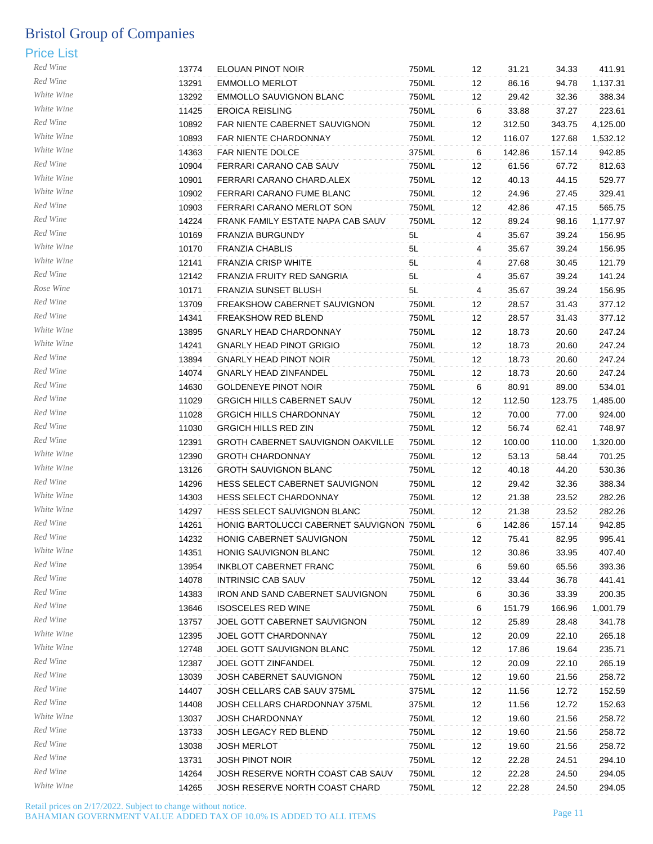| Red Wine   | 13774 | ELOUAN PINOT NOIR                                              | 750ML          | 12 | 31.21          | 34.33  | 411.91             |
|------------|-------|----------------------------------------------------------------|----------------|----|----------------|--------|--------------------|
| Red Wine   | 13291 | <b>EMMOLLO MERLOT</b>                                          | 750ML          | 12 | 86.16          | 94.78  | 1,137.31           |
| White Wine | 13292 | <b>EMMOLLO SAUVIGNON BLANC</b>                                 | 750ML          | 12 | 29.42          | 32.36  | 388.34             |
| White Wine | 11425 | <b>EROICA REISLING</b>                                         | 750ML          | 6  | 33.88          | 37.27  | 223.61             |
| Red Wine   | 10892 | FAR NIENTE CABERNET SAUVIGNON                                  | 750ML          | 12 | 312.50         | 343.75 | 4,125.00           |
| White Wine | 10893 | FAR NIENTE CHARDONNAY                                          | 750ML          | 12 | 116.07         | 127.68 | 1,532.12           |
| White Wine | 14363 | FAR NIENTE DOLCE                                               | 375ML          | 6  | 142.86         | 157.14 | 942.85             |
| Red Wine   | 10904 | FERRARI CARANO CAB SAUV                                        | 750ML          | 12 | 61.56          | 67.72  | 812.63             |
| White Wine | 10901 | FERRARI CARANO CHARD.ALEX                                      | 750ML          | 12 | 40.13          | 44.15  | 529.77             |
| White Wine | 10902 | FERRARI CARANO FUME BLANC                                      | 750ML          | 12 | 24.96          | 27.45  | 329.41             |
| Red Wine   | 10903 | FERRARI CARANO MERLOT SON                                      | 750ML          | 12 | 42.86          | 47.15  | 565.75             |
| Red Wine   | 14224 | FRANK FAMILY ESTATE NAPA CAB SAUV                              | 750ML          | 12 | 89.24          | 98.16  | 1,177.97           |
| Red Wine   | 10169 | FRANZIA BURGUNDY                                               | 5L             | 4  | 35.67          | 39.24  | 156.95             |
| White Wine | 10170 | <b>FRANZIA CHABLIS</b>                                         | 5L             | 4  | 35.67          | 39.24  | 156.95             |
| White Wine | 12141 | <b>FRANZIA CRISP WHITE</b>                                     | 5L             | 4  | 27.68          | 30.45  | 121.79             |
| Red Wine   | 12142 | FRANZIA FRUITY RED SANGRIA                                     | 5L             | 4  | 35.67          | 39.24  | 141.24             |
| Rose Wine  | 10171 | FRANZIA SUNSET BLUSH                                           | 5L             | 4  | 35.67          | 39.24  | 156.95             |
| Red Wine   | 13709 | FREAKSHOW CABERNET SAUVIGNON                                   | 750ML          | 12 | 28.57          | 31.43  | 377.12             |
| Red Wine   | 14341 | FREAKSHOW RED BLEND                                            | 750ML          | 12 | 28.57          | 31.43  | 377.12             |
| White Wine | 13895 | <b>GNARLY HEAD CHARDONNAY</b>                                  | 750ML          | 12 | 18.73          | 20.60  | 247.24             |
| White Wine | 14241 | <b>GNARLY HEAD PINOT GRIGIO</b>                                | 750ML          | 12 | 18.73          | 20.60  | 247.24             |
| Red Wine   | 13894 | <b>GNARLY HEAD PINOT NOIR</b>                                  | 750ML          | 12 | 18.73          | 20.60  | 247.24             |
| Red Wine   | 14074 | <b>GNARLY HEAD ZINFANDEL</b>                                   | 750ML          | 12 | 18.73          | 20.60  | 247.24             |
| Red Wine   | 14630 | <b>GOLDENEYE PINOT NOIR</b>                                    | 750ML          | 6  | 80.91          | 89.00  | 534.01             |
| Red Wine   | 11029 | GRGICH HILLS CABERNET SAUV                                     | 750ML          | 12 | 112.50         | 123.75 | 1,485.00           |
| Red Wine   | 11028 | <b>GRGICH HILLS CHARDONNAY</b>                                 | 750ML          | 12 | 70.00          | 77.00  | 924.00             |
| Red Wine   | 11030 | <b>GRGICH HILLS RED ZIN</b>                                    | 750ML          | 12 | 56.74          | 62.41  | 748.97             |
| Red Wine   | 12391 | GROTH CABERNET SAUVIGNON OAKVILLE                              | 750ML          | 12 | 100.00         | 110.00 |                    |
| White Wine | 12390 | <b>GROTH CHARDONNAY</b>                                        | 750ML          | 12 | 53.13          | 58.44  | 1,320.00<br>701.25 |
| White Wine |       |                                                                |                |    |                |        |                    |
| Red Wine   | 13126 | <b>GROTH SAUVIGNON BLANC</b><br>HESS SELECT CABERNET SAUVIGNON | 750ML<br>750ML | 12 | 40.18<br>29.42 | 44.20  | 530.36             |
| White Wine | 14296 | HESS SELECT CHARDONNAY                                         |                | 12 |                | 32.36  | 388.34             |
| White Wine | 14303 |                                                                | 750ML          | 12 | 21.38          | 23.52  | 282.26             |
| Red Wine   | 14297 | HESS SELECT SAUVIGNON BLANC                                    | 750ML          | 12 | 21.38          | 23.52  | 282.26             |
| Red Wine   | 14261 | HONIG BARTOLUCCI CABERNET SAUVIGNON 750ML                      |                | 6  | 142.86         | 157.14 | 942.85             |
| White Wine | 14232 | HONIG CABERNET SAUVIGNON                                       | 750ML          | 12 | 75.41          | 82.95  | 995.41             |
| Red Wine   | 14351 | <b>HONIG SAUVIGNON BLANC</b>                                   | 750ML          | 12 | 30.86          | 33.95  | 407.40             |
| Red Wine   | 13954 | INKBLOT CABERNET FRANC                                         | 750ML          | 6  | 59.60          | 65.56  | 393.36             |
| Red Wine   | 14078 | <b>INTRINSIC CAB SAUV</b>                                      | 750ML          | 12 | 33.44          | 36.78  | 441.41             |
| Red Wine   | 14383 | IRON AND SAND CABERNET SAUVIGNON                               | 750ML          | 6  | 30.36          | 33.39  | 200.35             |
|            | 13646 | <b>ISOSCELES RED WINE</b>                                      | 750ML          | 6  | 151.79         | 166.96 | 1,001.79           |
| Red Wine   | 13757 | JOEL GOTT CABERNET SAUVIGNON                                   | 750ML          | 12 | 25.89          | 28.48  | 341.78             |
| White Wine | 12395 | JOEL GOTT CHARDONNAY                                           | 750ML          | 12 | 20.09          | 22.10  | 265.18             |
| White Wine | 12748 | JOEL GOTT SAUVIGNON BLANC                                      | 750ML          | 12 | 17.86          | 19.64  | 235.71             |
| Red Wine   | 12387 | JOEL GOTT ZINFANDEL                                            | 750ML          | 12 | 20.09          | 22.10  | 265.19             |
| Red Wine   | 13039 | JOSH CABERNET SAUVIGNON                                        | 750ML          | 12 | 19.60          | 21.56  | 258.72             |
| Red Wine   | 14407 | JOSH CELLARS CAB SAUV 375ML                                    | 375ML          | 12 | 11.56          | 12.72  | 152.59             |
| Red Wine   | 14408 | JOSH CELLARS CHARDONNAY 375ML                                  | 375ML          | 12 | 11.56          | 12.72  | 152.63             |
| White Wine | 13037 | JOSH CHARDONNAY                                                | 750ML          | 12 | 19.60          | 21.56  | 258.72             |
| Red Wine   | 13733 | JOSH LEGACY RED BLEND                                          | 750ML          | 12 | 19.60          | 21.56  | 258.72             |
| Red Wine   | 13038 | <b>JOSH MERLOT</b>                                             | 750ML          | 12 | 19.60          | 21.56  | 258.72             |
| Red Wine   | 13731 | <b>JOSH PINOT NOIR</b>                                         | 750ML          | 12 | 22.28          | 24.51  | 294.10             |
| Red Wine   | 14264 | JOSH RESERVE NORTH COAST CAB SAUV                              | 750ML          | 12 | 22.28          | 24.50  | 294.05             |
| White Wine | 14265 | JOSH RESERVE NORTH COAST CHARD                                 | 750ML          | 12 | 22.28          | 24.50  | 294.05             |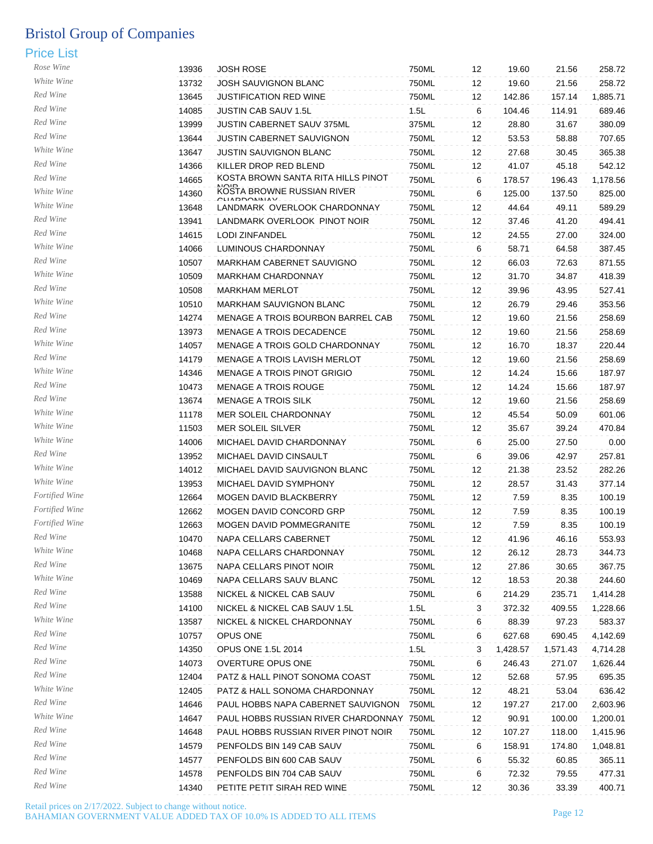| Rose Wine      | 13936          | <b>JOSH ROSE</b>                                                    | 750ML          | 12       | 19.60           | 21.56           | 258.72             |
|----------------|----------------|---------------------------------------------------------------------|----------------|----------|-----------------|-----------------|--------------------|
| White Wine     | 13732          | JOSH SAUVIGNON BLANC                                                | 750ML          | 12       | 19.60           | 21.56           | 258.72             |
| Red Wine       | 13645          | <b>JUSTIFICATION RED WINE</b>                                       | 750ML          | 12       | 142.86          | 157.14          | 1,885.71           |
| Red Wine       | 14085          | JUSTIN CAB SAUV 1.5L                                                | 1.5L           | 6        | 104.46          | 114.91          | 689.46             |
| Red Wine       | 13999          | JUSTIN CABERNET SAUV 375ML                                          | 375ML          | 12       | 28.80           | 31.67           | 380.09             |
| Red Wine       | 13644          | <b>JUSTIN CABERNET SAUVIGNON</b>                                    | 750ML          | 12       | 53.53           | 58.88           | 707.65             |
| White Wine     | 13647          | JUSTIN SAUVIGNON BLANC                                              | 750ML          | 12       | 27.68           | 30.45           | 365.38             |
| Red Wine       | 14366          | KILLER DROP RED BLEND                                               | 750ML          | 12       | 41.07           | 45.18           | 542.12             |
| Red Wine       | 14665          | KOSTA BROWN SANTA RITA HILLS PINOT                                  | 750ML          | 6        | 178.57          | 196.43          | 1,178.56           |
| White Wine     | 14360          | KOSTA BROWNE RUSSIAN RIVER                                          | 750ML          | 6        | 125.00          | 137.50          | 825.00             |
| White Wine     | 13648          | <b>DDONINIAV</b><br>LANDMARK OVERLOOK CHARDONNAY                    | 750ML          | 12       | 44.64           | 49.11           | 589.29             |
| Red Wine       |                |                                                                     |                |          |                 |                 | 494.41             |
| Red Wine       | 13941<br>14615 | LANDMARK OVERLOOK PINOT NOIR<br><b>LODI ZINFANDEL</b>               | 750ML<br>750ML | 12       | 37.46<br>24.55  | 41.20<br>27.00  | 324.00             |
| White Wine     |                |                                                                     |                | 12       |                 |                 |                    |
| Red Wine       | 14066          | LUMINOUS CHARDONNAY                                                 | 750ML          | 6        | 58.71           | 64.58           | 387.45             |
| White Wine     | 10507          | MARKHAM CABERNET SAUVIGNO                                           | 750ML          | 12       | 66.03           | 72.63           | 871.55             |
| Red Wine       | 10509          | MARKHAM CHARDONNAY                                                  | 750ML          | 12       | 31.70           | 34.87           | 418.39             |
| White Wine     | 10508          | <b>MARKHAM MERLOT</b>                                               | 750ML          | 12       | 39.96           | 43.95           | 527.41             |
|                | 10510          | MARKHAM SAUVIGNON BLANC                                             | 750ML          | 12       | 26.79           | 29.46           | 353.56             |
| Red Wine       | 14274          | MENAGE A TROIS BOURBON BARREL CAB                                   | 750ML          | 12       | 19.60           | 21.56           | 258.69             |
| Red Wine       | 13973          | MENAGE A TROIS DECADENCE                                            | 750ML          | 12       | 19.60           | 21.56           | 258.69             |
| White Wine     | 14057          | MENAGE A TROIS GOLD CHARDONNAY                                      | 750ML          | 12       | 16.70           | 18.37           | 220.44             |
| Red Wine       | 14179          | MENAGE A TROIS LAVISH MERLOT                                        | 750ML          | 12       | 19.60           | 21.56           | 258.69             |
| White Wine     | 14346          | MENAGE A TROIS PINOT GRIGIO                                         | 750ML          | 12       | 14.24           | 15.66           | 187.97             |
| Red Wine       | 10473          | MENAGE A TROIS ROUGE                                                | 750ML          | 12       | 14.24           | 15.66           | 187.97             |
| Red Wine       | 13674          | <b>MENAGE A TROIS SILK</b>                                          | 750ML          | 12       | 19.60           | 21.56           | 258.69             |
| White Wine     | 11178          | MER SOLEIL CHARDONNAY                                               | 750ML          | 12       | 45.54           | 50.09           | 601.06             |
| White Wine     | 11503          | MER SOLEIL SILVER                                                   | 750ML          | 12       | 35.67           | 39.24           | 470.84             |
| White Wine     | 14006          | MICHAEL DAVID CHARDONNAY                                            | 750ML          | 6        | 25.00           | 27.50           | 0.00               |
| Red Wine       | 13952          | MICHAEL DAVID CINSAULT                                              | 750ML          | 6        | 39.06           | 42.97           | 257.81             |
| White Wine     | 14012          | MICHAEL DAVID SAUVIGNON BLANC                                       | 750ML          | 12       | 21.38           | 23.52           | 282.26             |
| White Wine     | 13953          | MICHAEL DAVID SYMPHONY                                              | 750ML          | 12       | 28.57           | 31.43           | 377.14             |
| Fortified Wine | 12664          | MOGEN DAVID BLACKBERRY                                              | 750ML          | 12       | 7.59            | 8.35            | 100.19             |
| Fortified Wine | 12662          | MOGEN DAVID CONCORD GRP                                             | 750ML          | 12       | 7.59            | 8.35            | 100.19             |
| Fortified Wine | 12663          | MOGEN DAVID POMMEGRANITE                                            | 750ML          | 12       | 7.59            | 8.35            | 100.19             |
| Red Wine       | 10470          | NAPA CELLARS CABERNET                                               | 750ML          | 12       | 41.96           | 46.16           | 553.93             |
| White Wine     | 10468          | NAPA CELLARS CHARDONNAY                                             | 750ML          | 12       | 26.12           | 28.73           | 344.73             |
| Red Wine       | 13675          | NAPA CELLARS PINOT NOIR                                             | 750ML          | 12       | 27.86           | 30.65           | 367.75             |
| White Wine     | 10469          | NAPA CELLARS SAUV BLANC                                             | 750ML          | 12       | 18.53           | 20.38           | 244.60             |
| Red Wine       | 13588          | NICKEL & NICKEL CAB SAUV                                            | 750ML          | 6        | 214.29          | 235.71          | 1,414.28           |
| Red Wine       | 14100          | NICKEL & NICKEL CAB SAUV 1.5L                                       | 1.5L           | 3        | 372.32          | 409.55          | 1,228.66           |
| White Wine     | 13587          | NICKEL & NICKEL CHARDONNAY                                          | 750ML          | 6        | 88.39           | 97.23           | 583.37             |
| Red Wine       | 10757          | OPUS ONE                                                            | 750ML          | 6        | 627.68          | 690.45          | 4,142.69           |
| Red Wine       | 14350          | <b>OPUS ONE 1.5L 2014</b>                                           | 1.5L           | 3        | 1,428.57        | 1,571.43        | 4,714.28           |
| Red Wine       | 14073          | <b>OVERTURE OPUS ONE</b>                                            | 750ML          | 6        | 246.43          | 271.07          | 1,626.44           |
| Red Wine       | 12404          | PATZ & HALL PINOT SONOMA COAST                                      | 750ML          | 12       | 52.68           | 57.95           | 695.35             |
| White Wine     | 12405          |                                                                     | 750ML          |          |                 |                 |                    |
| Red Wine       | 14646          | PATZ & HALL SONOMA CHARDONNAY<br>PAUL HOBBS NAPA CABERNET SAUVIGNON | 750ML          | 12<br>12 | 48.21<br>197.27 | 53.04<br>217.00 | 636.42<br>2,603.96 |
| White Wine     | 14647          |                                                                     |                |          |                 |                 |                    |
| Red Wine       |                | PAUL HOBBS RUSSIAN RIVER CHARDONNAY 750ML                           |                | 12       | 90.91           | 100.00          | 1,200.01           |
| Red Wine       | 14648          | PAUL HOBBS RUSSIAN RIVER PINOT NOIR                                 | 750ML          | 12       | 107.27          | 118.00          | 1,415.96           |
| Red Wine       | 14579          | PENFOLDS BIN 149 CAB SAUV                                           | 750ML          | 6        | 158.91          | 174.80          | 1,048.81           |
| Red Wine       | 14577          | PENFOLDS BIN 600 CAB SAUV                                           | 750ML          | 6        | 55.32           | 60.85           | 365.11             |
| Red Wine       | 14578          | PENFOLDS BIN 704 CAB SAUV                                           | 750ML          | 6        | 72.32           | 79.55           | 477.31             |
|                | 14340          | PETITE PETIT SIRAH RED WINE                                         | 750ML          | 12       | 30.36           | 33.39           | 400.71             |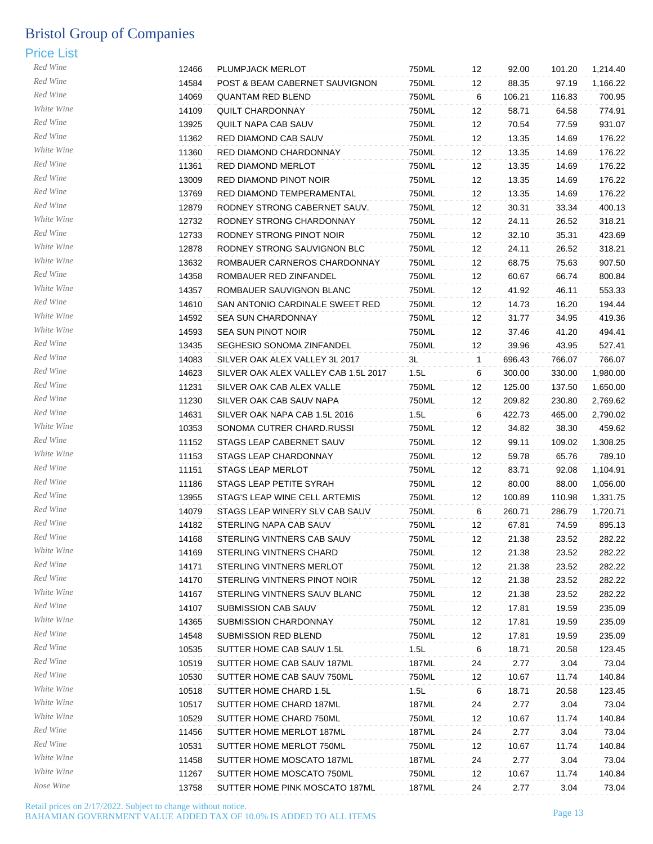| Red Wine   | 12466 | PLUMPJACK MERLOT                     | 750ML | 12           | 92.00  | 101.20 | 1,214.40 |
|------------|-------|--------------------------------------|-------|--------------|--------|--------|----------|
| Red Wine   | 14584 | POST & BEAM CABERNET SAUVIGNON       | 750ML | 12           | 88.35  | 97.19  | 1,166.22 |
| Red Wine   | 14069 | <b>QUANTAM RED BLEND</b>             | 750ML | 6            | 106.21 | 116.83 | 700.95   |
| White Wine | 14109 | <b>QUILT CHARDONNAY</b>              | 750ML | 12           | 58.71  | 64.58  | 774.91   |
| Red Wine   | 13925 | QUILT NAPA CAB SAUV                  | 750ML | 12           | 70.54  | 77.59  | 931.07   |
| Red Wine   | 11362 | RED DIAMOND CAB SAUV                 | 750ML | 12           | 13.35  | 14.69  | 176.22   |
| White Wine | 11360 | RED DIAMOND CHARDONNAY               | 750ML | 12           | 13.35  | 14.69  | 176.22   |
| Red Wine   | 11361 | RED DIAMOND MERLOT                   | 750ML | 12           | 13.35  | 14.69  | 176.22   |
| Red Wine   | 13009 | RED DIAMOND PINOT NOIR               | 750ML | 12           | 13.35  | 14.69  | 176.22   |
| Red Wine   | 13769 | RED DIAMOND TEMPERAMENTAL            | 750ML | 12           | 13.35  | 14.69  | 176.22   |
| Red Wine   |       |                                      |       |              |        |        |          |
| White Wine | 12879 | RODNEY STRONG CABERNET SAUV.         | 750ML | 12           | 30.31  | 33.34  | 400.13   |
| Red Wine   | 12732 | RODNEY STRONG CHARDONNAY             | 750ML | 12           | 24.11  | 26.52  | 318.21   |
| White Wine | 12733 | RODNEY STRONG PINOT NOIR             | 750ML | 12           | 32.10  | 35.31  | 423.69   |
|            | 12878 | RODNEY STRONG SAUVIGNON BLC          | 750ML | 12           | 24.11  | 26.52  | 318.21   |
| White Wine | 13632 | ROMBAUER CARNEROS CHARDONNAY         | 750ML | 12           | 68.75  | 75.63  | 907.50   |
| Red Wine   | 14358 | ROMBAUER RED ZINFANDEL               | 750ML | 12           | 60.67  | 66.74  | 800.84   |
| White Wine | 14357 | ROMBAUER SAUVIGNON BLANC             | 750ML | 12           | 41.92  | 46.11  | 553.33   |
| Red Wine   | 14610 | SAN ANTONIO CARDINALE SWEET RED      | 750ML | 12           | 14.73  | 16.20  | 194.44   |
| White Wine | 14592 | <b>SEA SUN CHARDONNAY</b>            | 750ML | 12           | 31.77  | 34.95  | 419.36   |
| White Wine | 14593 | SEA SUN PINOT NOIR                   | 750ML | 12           | 37.46  | 41.20  | 494.41   |
| Red Wine   | 13435 | SEGHESIO SONOMA ZINFANDEL            | 750ML | 12           | 39.96  | 43.95  | 527.41   |
| Red Wine   | 14083 | SILVER OAK ALEX VALLEY 3L 2017       | 3L    | $\mathbf{1}$ | 696.43 | 766.07 | 766.07   |
| Red Wine   | 14623 | SILVER OAK ALEX VALLEY CAB 1.5L 2017 | 1.5L  | 6            | 300.00 | 330.00 | 1,980.00 |
| Red Wine   | 11231 | SILVER OAK CAB ALEX VALLE            | 750ML | 12           | 125.00 | 137.50 | 1,650.00 |
| Red Wine   | 11230 | SILVER OAK CAB SAUV NAPA             | 750ML | 12           | 209.82 | 230.80 | 2,769.62 |
| Red Wine   | 14631 | SILVER OAK NAPA CAB 1.5L 2016        | 1.5L  | 6            | 422.73 | 465.00 | 2,790.02 |
| White Wine | 10353 | SONOMA CUTRER CHARD.RUSSI            | 750ML | 12           | 34.82  | 38.30  | 459.62   |
| Red Wine   | 11152 | STAGS LEAP CABERNET SAUV             | 750ML | 12           | 99.11  | 109.02 | 1,308.25 |
| White Wine | 11153 | STAGS LEAP CHARDONNAY                | 750ML | 12           | 59.78  | 65.76  | 789.10   |
| Red Wine   | 11151 | <b>STAGS LEAP MERLOT</b>             | 750ML | 12           | 83.71  | 92.08  | 1,104.91 |
| Red Wine   | 11186 | STAGS LEAP PETITE SYRAH              | 750ML | 12           | 80.00  | 88.00  | 1,056.00 |
| Red Wine   | 13955 | STAG'S LEAP WINE CELL ARTEMIS        | 750ML | 12           | 100.89 | 110.98 | 1,331.75 |
| Red Wine   | 14079 | STAGS LEAP WINERY SLV CAB SAUV       | 750ML | 6            | 260.71 | 286.79 | 1,720.71 |
| Red Wine   | 14182 | STERLING NAPA CAB SAUV               | 750ML | 12           | 67.81  | 74.59  | 895.13   |
| Red Wine   | 14168 | STERLING VINTNERS CAB SAUV           | 750ML | 12           | 21.38  | 23.52  | 282.22   |
| White Wine | 14169 | STERLING VINTNERS CHARD              | 750ML | 12           | 21.38  | 23.52  | 282.22   |
| Red Wine   | 14171 | STERLING VINTNERS MERLOT             | 750ML | 12           | 21.38  |        | 282.22   |
| Red Wine   |       |                                      |       |              |        | 23.52  |          |
| White Wine | 14170 | STERLING VINTNERS PINOT NOIR         | 750ML | 12           | 21.38  | 23.52  | 282.22   |
| Red Wine   | 14167 | STERLING VINTNERS SAUV BLANC         | 750ML | 12           | 21.38  | 23.52  | 282.22   |
| White Wine | 14107 | SUBMISSION CAB SAUV                  | 750ML | 12           | 17.81  | 19.59  | 235.09   |
| Red Wine   | 14365 | SUBMISSION CHARDONNAY                | 750ML | 12           | 17.81  | 19.59  | 235.09   |
| Red Wine   | 14548 | SUBMISSION RED BLEND                 | 750ML | 12           | 17.81  | 19.59  | 235.09   |
|            | 10535 | SUTTER HOME CAB SAUV 1.5L            | 1.5L  | 6            | 18.71  | 20.58  | 123.45   |
| Red Wine   | 10519 | SUTTER HOME CAB SAUV 187ML           | 187ML | 24           | 2.77   | 3.04   | 73.04    |
| Red Wine   | 10530 | SUTTER HOME CAB SAUV 750ML           | 750ML | 12           | 10.67  | 11.74  | 140.84   |
| White Wine | 10518 | SUTTER HOME CHARD 1.5L               | 1.5L  | 6            | 18.71  | 20.58  | 123.45   |
| White Wine | 10517 | SUTTER HOME CHARD 187ML              | 187ML | 24           | 2.77   | 3.04   | 73.04    |
| White Wine | 10529 | SUTTER HOME CHARD 750ML              | 750ML | 12           | 10.67  | 11.74  | 140.84   |
| Red Wine   | 11456 | SUTTER HOME MERLOT 187ML             | 187ML | 24           | 2.77   | 3.04   | 73.04    |
| Red Wine   | 10531 | SUTTER HOME MERLOT 750ML             | 750ML | 12           | 10.67  | 11.74  | 140.84   |
| White Wine | 11458 | SUTTER HOME MOSCATO 187ML            | 187ML | 24           | 2.77   | 3.04   | 73.04    |
| White Wine | 11267 | SUTTER HOME MOSCATO 750ML            | 750ML | 12           | 10.67  | 11.74  | 140.84   |
| Rose Wine  | 13758 | SUTTER HOME PINK MOSCATO 187ML       | 187ML | 24           | 2.77   | 3.04   | 73.04    |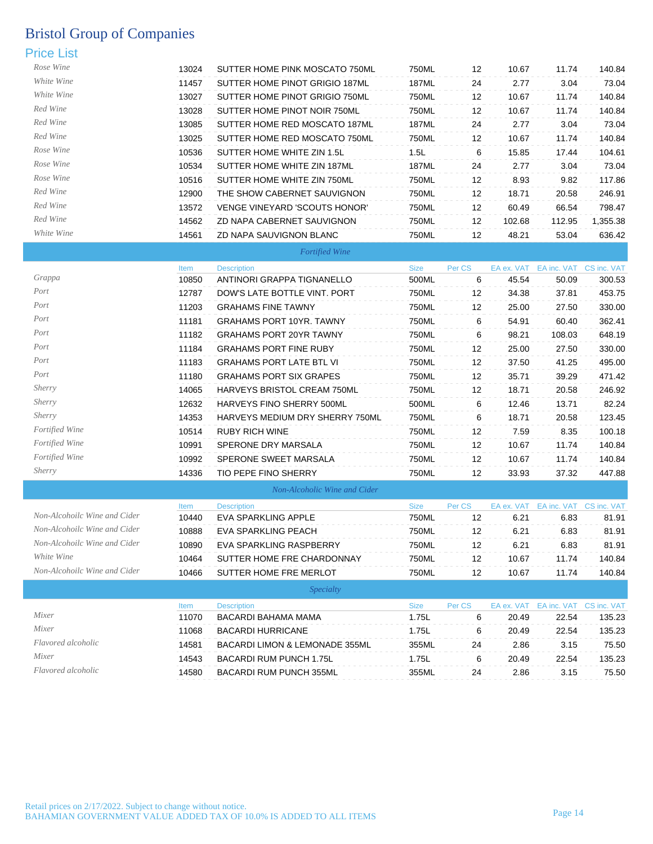| Rose Wine                    | 13024 | SUTTER HOME PINK MOSCATO 750ML  | 750ML       | 12     | 10.67      | 11.74                              | 140.84                  |
|------------------------------|-------|---------------------------------|-------------|--------|------------|------------------------------------|-------------------------|
| White Wine                   | 11457 | SUTTER HOME PINOT GRIGIO 187ML  | 187ML       | 24     | 2.77       | 3.04                               | 73.04                   |
| White Wine                   | 13027 | SUTTER HOME PINOT GRIGIO 750ML  | 750ML       | 12     | 10.67      | 11.74                              | 140.84                  |
| Red Wine                     | 13028 | SUTTER HOME PINOT NOIR 750ML    | 750ML       | 12     | 10.67      | 11.74                              | 140.84                  |
| Red Wine                     | 13085 | SUTTER HOME RED MOSCATO 187ML   | 187ML       | 24     | 2.77       | 3.04                               | 73.04                   |
| Red Wine                     | 13025 | SUTTER HOME RED MOSCATO 750ML   | 750ML       | 12     | 10.67      | 11.74                              | 140.84                  |
| Rose Wine                    | 10536 | SUTTER HOME WHITE ZIN 1.5L      | 1.5L        | 6      | 15.85      | 17.44                              | 104.61                  |
| Rose Wine                    | 10534 | SUTTER HOME WHITE ZIN 187ML     | 187ML       | 24     | 2.77       | 3.04                               | 73.04                   |
| Rose Wine                    | 10516 | SUTTER HOME WHITE ZIN 750ML     | 750ML       | 12     | 8.93       | 9.82                               | 117.86                  |
| Red Wine                     | 12900 | THE SHOW CABERNET SAUVIGNON     | 750ML       | 12     | 18.71      | 20.58                              | 246.91                  |
| Red Wine                     | 13572 | VENGE VINEYARD 'SCOUTS HONOR'   | 750ML       | 12     | 60.49      | 66.54                              | 798.47                  |
| Red Wine                     | 14562 | ZD NAPA CABERNET SAUVIGNON      | 750ML       | 12     | 102.68     | 112.95                             | 1,355.38                |
| White Wine                   | 14561 | ZD NAPA SAUVIGNON BLANC         | 750ML       | 12     | 48.21      | 53.04                              | 636.42                  |
|                              |       | <b>Fortified Wine</b>           |             |        |            |                                    |                         |
|                              | Item  | <b>Description</b>              | <b>Size</b> | Per CS |            | EA ex. VAT EA inc. VAT CS inc. VAT |                         |
| Grappa                       | 10850 | ANTINORI GRAPPA TIGNANELLO      | 500ML       | 6      | 45.54      | 50.09                              | 300.53                  |
| Port                         | 12787 | DOW'S LATE BOTTLE VINT. PORT    | 750ML       | 12     | 34.38      | 37.81                              | 453.75                  |
| Port                         | 11203 | <b>GRAHAMS FINE TAWNY</b>       | 750ML       | 12     | 25.00      | 27.50                              | 330.00                  |
| Port                         | 11181 | <b>GRAHAMS PORT 10YR. TAWNY</b> | 750ML       | 6      | 54.91      | 60.40                              | 362.41                  |
| Port                         | 11182 | <b>GRAHAMS PORT 20YR TAWNY</b>  | 750ML       | 6      | 98.21      | 108.03                             | 648.19                  |
| Port                         | 11184 | <b>GRAHAMS PORT FINE RUBY</b>   | 750ML       | 12     | 25.00      | 27.50                              | 330.00                  |
| Port                         | 11183 | <b>GRAHAMS PORT LATE BTL VI</b> | 750ML       | 12     | 37.50      | 41.25                              | 495.00                  |
| Port                         | 11180 | <b>GRAHAMS PORT SIX GRAPES</b>  | 750ML       | 12     | 35.71      | 39.29                              | 471.42                  |
| Sherry                       | 14065 | HARVEYS BRISTOL CREAM 750ML     | 750ML       | 12     | 18.71      | 20.58                              | 246.92                  |
| <i>Sherry</i>                | 12632 | HARVEYS FINO SHERRY 500ML       | 500ML       | 6      | 12.46      | 13.71                              | 82.24                   |
| <i>Sherry</i>                | 14353 | HARVEYS MEDIUM DRY SHERRY 750ML | 750ML       | 6      | 18.71      | 20.58                              | 123.45                  |
| Fortified Wine               | 10514 | <b>RUBY RICH WINE</b>           | 750ML       | 12     | 7.59       | 8.35                               | 100.18                  |
| Fortified Wine               | 10991 | SPERONE DRY MARSALA             | 750ML       | 12     | 10.67      | 11.74                              | 140.84                  |
| <b>Fortified Wine</b>        | 10992 | SPERONE SWEET MARSALA           | 750ML       | 12     | 10.67      | 11.74                              | 140.84                  |
| <i>Sherry</i>                | 14336 | TIO PEPE FINO SHERRY            | 750ML       | 12     | 33.93      | 37.32                              | 447.88                  |
|                              |       | Non-Alcoholic Wine and Cider    |             |        |            |                                    |                         |
|                              | Item  | <b>Description</b>              | <b>Size</b> | Per CS | EA ex. VAT | EA inc. VAT CS inc. VAT            |                         |
| Non-Alcohoilc Wine and Cider | 10440 | EVA SPARKLING APPLE             | 750ML       | 12     | 6.21       | 6.83                               | 81.91                   |
| Non-Alcohoilc Wine and Cider | 10888 | <b>EVA SPARKLING PEACH</b>      | 750ML       | 12     | 6.21       | 6.83                               | 81.91                   |
| Non-Alcohoilc Wine and Cider | 10890 | EVA SPARKLING RASPBERRY         | 750ML       | 12     | 6.21       | 6.83                               | 81.91                   |
| White Wine                   | 10464 | SUTTER HOME FRE CHARDONNAY      | 750ML       | 12     | 10.67      | 11.74                              | 140.84                  |
| Non-Alcohoilc Wine and Cider | 10466 | SUTTER HOME FRE MERLOT          | 750ML       | 12     | 10.67      | 11.74                              | 140.84                  |
|                              |       | <i>Specialty</i>                |             |        |            |                                    |                         |
| Mixer                        | Item  | <b>Description</b>              | <b>Size</b> | Per CS | EA ex. VAT |                                    | EA inc. VAT CS inc. VAT |
| Mixer                        | 11070 | BACARDI BAHAMA MAMA             | 1.75L       | 6      | 20.49      | 22.54                              | 135.23                  |
| Flavored alcoholic           | 11068 | BACARDI HURRICANE               | 1.75L       | 6      | 20.49      | 22.54                              | 135.23                  |
| Mixer                        | 14581 | BACARDI LIMON & LEMONADE 355ML  | 355ML       | 24     | 2.86       | 3.15                               | 75.50                   |
| Flavored alcoholic           | 14543 | <b>BACARDI RUM PUNCH 1.75L</b>  | 1.75L       | 6      | 20.49      | 22.54                              | 135.23                  |
|                              | 14580 | BACARDI RUM PUNCH 355ML         | 355ML       | 24     | 2.86       | 3.15                               | 75.50                   |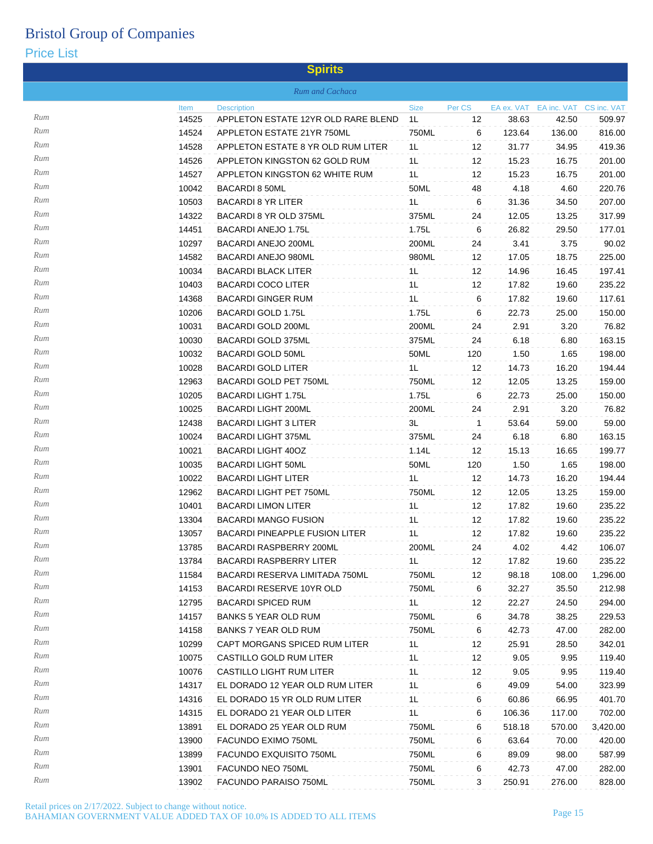|     |       | <b>Spirits</b>                        |                |        |            |                         |          |
|-----|-------|---------------------------------------|----------------|--------|------------|-------------------------|----------|
|     |       | Rum and Cachaca                       |                |        |            |                         |          |
|     | Item  | <b>Description</b>                    | <b>Size</b>    | Per CS | EA ex. VAT | EA inc. VAT CS inc. VAT |          |
| Rum | 14525 | APPLETON ESTATE 12YR OLD RARE BLEND   | 1L             | 12     | 38.63      | 42.50                   | 509.97   |
| Rum | 14524 | APPLETON ESTATE 21YR 750ML            | 750ML          | 6      | 123.64     | 136.00                  | 816.00   |
| Rum | 14528 | APPLETON ESTATE 8 YR OLD RUM LITER    | 1L             | 12     | 31.77      | 34.95                   | 419.36   |
| Rum | 14526 | APPLETON KINGSTON 62 GOLD RUM         | 1L             | 12     | 15.23      | 16.75                   | 201.00   |
| Rum | 14527 | APPLETON KINGSTON 62 WHITE RUM        | 1L             | 12     | 15.23      | 16.75                   | 201.00   |
| Rum | 10042 | <b>BACARDI 8 50ML</b>                 | 50ML           | 48     | 4.18       | 4.60                    | 220.76   |
| Rum | 10503 | <b>BACARDI 8 YR LITER</b>             | 1L             | 6      | 31.36      | 34.50                   | 207.00   |
| Rum | 14322 | BACARDI 8 YR OLD 375ML                | 375ML          | 24     | 12.05      | 13.25                   | 317.99   |
| Rum | 14451 | BACARDI ANEJO 1.75L                   | 1.75L          | 6      | 26.82      | 29.50                   | 177.01   |
| Rum | 10297 | <b>BACARDI ANEJO 200ML</b>            | 200ML          | 24     | 3.41       | 3.75                    | 90.02    |
| Rum | 14582 | <b>BACARDI ANEJO 980ML</b>            | 980ML          | 12     | 17.05      | 18.75                   | 225.00   |
| Rum | 10034 | <b>BACARDI BLACK LITER</b>            | 1L             | 12     | 14.96      | 16.45                   | 197.41   |
| Rum | 10403 | <b>BACARDI COCO LITER</b>             | 1L             | 12     | 17.82      | 19.60                   | 235.22   |
| Rum | 14368 | <b>BACARDI GINGER RUM</b>             | 1L             | 6      | 17.82      | 19.60                   | 117.61   |
| Rum | 10206 | <b>BACARDI GOLD 1.75L</b>             | 1.75L          | 6      | 22.73      | 25.00                   | 150.00   |
| Rum | 10031 | <b>BACARDI GOLD 200ML</b>             | 200ML          | 24     | 2.91       | 3.20                    | 76.82    |
| Rum | 10030 | <b>BACARDI GOLD 375ML</b>             | 375ML          | 24     | 6.18       | 6.80                    | 163.15   |
| Rum | 10032 | <b>BACARDI GOLD 50ML</b>              | 50ML           | 120    | 1.50       | 1.65                    | 198.00   |
| Rum | 10028 | <b>BACARDI GOLD LITER</b>             | 1L             | 12     | 14.73      | 16.20                   | 194.44   |
| Rum | 12963 | BACARDI GOLD PET 750ML                | 750ML          | 12     | 12.05      | 13.25                   | 159.00   |
| Rum | 10205 | <b>BACARDI LIGHT 1.75L</b>            | 1.75L          | 6      | 22.73      | 25.00                   | 150.00   |
| Rum | 10025 | <b>BACARDI LIGHT 200ML</b>            | 200ML          | 24     | 2.91       | 3.20                    | 76.82    |
| Rum | 12438 | <b>BACARDI LIGHT 3 LITER</b>          | 3L             | 1      | 53.64      | 59.00                   | 59.00    |
| Rum | 10024 | <b>BACARDI LIGHT 375ML</b>            | 375ML          | 24     | 6.18       | 6.80                    | 163.15   |
| Rum | 10021 | <b>BACARDI LIGHT 40OZ</b>             | 1.14L          | 12     | 15.13      | 16.65                   | 199.77   |
| Rum | 10035 | <b>BACARDI LIGHT 50ML</b>             | 50ML           | 120    | 1.50       | 1.65                    | 198.00   |
| Rum | 10022 | <b>BACARDI LIGHT LITER</b>            | 1L             | 12     | 14.73      | 16.20                   | 194.44   |
| Rum | 12962 | <b>BACARDI LIGHT PET 750ML</b>        | 750ML          | 12     | 12.05      | 13.25                   | 159.00   |
| Rum | 10401 | <b>BACARDI LIMON LITER</b>            | 1L             | 12     | 17.82      | 19.60                   | 235.22   |
| Rum | 13304 | <b>BACARDI MANGO FUSION</b>           | 1L             | 12     | 17.82      | 19.60                   | 235.22   |
| Rum | 13057 | <b>BACARDI PINEAPPLE FUSION LITER</b> | 1L             | 12     | 17.82      | 19.60                   | 235.22   |
| Rum | 13785 | BACARDI RASPBERRY 200ML               | 200ML          | 24     | 4.02       | 4.42                    | 106.07   |
| Rum | 13784 | <b>BACARDI RASPBERRY LITER</b>        | 1L             | 12     | 17.82      | 19.60                   | 235.22   |
| Rum | 11584 | BACARDI RESERVA LIMITADA 750ML        | 750ML          | 12     | 98.18      | 108.00                  | 1,296.00 |
| Rum | 14153 | BACARDI RESERVE 10YR OLD              | 750ML          | 6      | 32.27      | 35.50                   | 212.98   |
| Rum | 12795 | <b>BACARDI SPICED RUM</b>             | 1L             | 12     | 22.27      | 24.50                   | 294.00   |
| Rum | 14157 | <b>BANKS 5 YEAR OLD RUM</b>           | 750ML          | 6      | 34.78      | 38.25                   | 229.53   |
| Rum | 14158 | <b>BANKS 7 YEAR OLD RUM</b>           | 750ML          | 6      | 42.73      | 47.00                   | 282.00   |
| Rum | 10299 | CAPT MORGANS SPICED RUM LITER         | 1L             | 12     | 25.91      | 28.50                   | 342.01   |
| Rum | 10075 | CASTILLO GOLD RUM LITER               | 1L             | 12     | 9.05       | 9.95                    | 119.40   |
| Rum | 10076 | CASTILLO LIGHT RUM LITER              | 1L             | 12     | 9.05       | 9.95                    | 119.40   |
| Rum | 14317 | EL DORADO 12 YEAR OLD RUM LITER       | 1 <sub>L</sub> | 6      | 49.09      | 54.00                   | 323.99   |
| Rum | 14316 | EL DORADO 15 YR OLD RUM LITER         | 1L             | 6      | 60.86      | 66.95                   | 401.70   |
| Rum | 14315 | EL DORADO 21 YEAR OLD LITER           | 1L             | 6      | 106.36     | 117.00                  | 702.00   |
| Rum | 13891 | EL DORADO 25 YEAR OLD RUM             | 750ML          | 6      | 518.18     | 570.00                  | 3,420.00 |
| Rum | 13900 | FACUNDO EXIMO 750ML                   | 750ML          | 6      | 63.64      | 70.00                   | 420.00   |
| Rum | 13899 | FACUNDO EXQUISITO 750ML               | 750ML          | 6      | 89.09      | 98.00                   | 587.99   |
| Rum | 13901 | FACUNDO NEO 750ML                     | 750ML          | 6      | 42.73      | 47.00                   | 282.00   |
| Rum | 13902 | FACUNDO PARAISO 750ML                 | 750ML          | 3      | 250.91     | 276.00                  | 828.00   |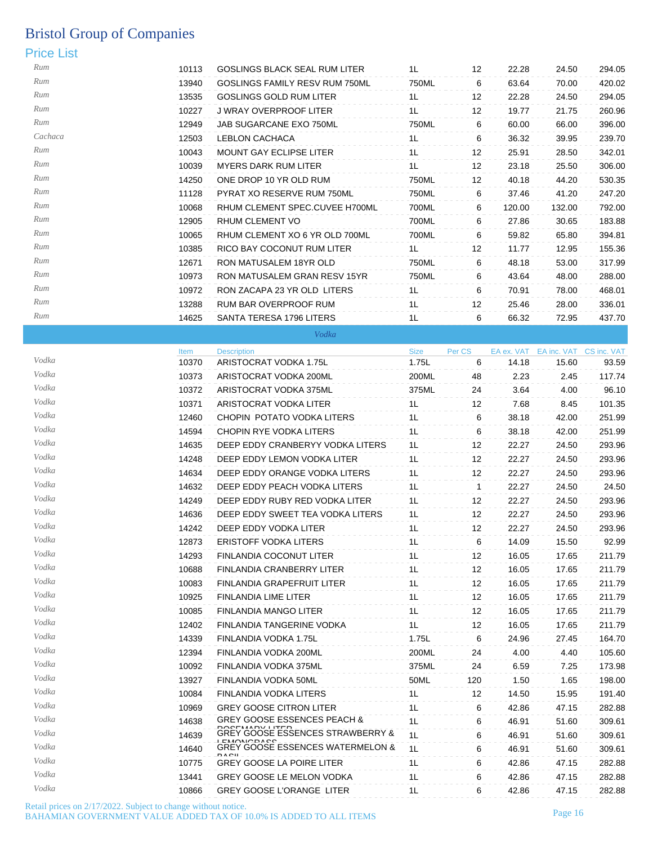### Price List

| .<br>--- |       |                                                    |             |        |            |                         |        |
|----------|-------|----------------------------------------------------|-------------|--------|------------|-------------------------|--------|
| Rum      | 10113 | <b>GOSLINGS BLACK SEAL RUM LITER</b>               | 1L          | 12     | 22.28      | 24.50                   | 294.05 |
| Rum      | 13940 | GOSLINGS FAMILY RESV RUM 750ML                     | 750ML       | 6      | 63.64      | 70.00                   | 420.02 |
| Rum      | 13535 | <b>GOSLINGS GOLD RUM LITER</b>                     | 1L          | 12     | 22.28      | 24.50                   | 294.05 |
| Rum      | 10227 | J WRAY OVERPROOF LITER                             | 1L          | 12     | 19.77      | 21.75                   | 260.96 |
| Rum      | 12949 | JAB SUGARCANE EXO 750ML                            | 750ML       | 6      | 60.00      | 66.00                   | 396.00 |
| Cachaca  | 12503 | <b>LEBLON CACHACA</b>                              | 1L          | 6      | 36.32      | 39.95                   | 239.70 |
| Rum      | 10043 | <b>MOUNT GAY ECLIPSE LITER</b>                     | 1L          | 12     | 25.91      | 28.50                   | 342.01 |
| Rum      | 10039 | <b>MYERS DARK RUM LITER</b>                        | 1L          | 12     | 23.18      | 25.50                   | 306.00 |
| Rum      | 14250 | ONE DROP 10 YR OLD RUM                             | 750ML       | 12     | 40.18      | 44.20                   | 530.35 |
| Rum      | 11128 | PYRAT XO RESERVE RUM 750ML                         | 750ML       | 6      | 37.46      | 41.20                   | 247.20 |
| Rum      | 10068 | RHUM CLEMENT SPEC.CUVEE H700ML                     | 700ML       | 6      | 120.00     | 132.00                  | 792.00 |
| Rum      | 12905 | RHUM CLEMENT VO                                    | 700ML       | 6      | 27.86      | 30.65                   | 183.88 |
| Rum      | 10065 | RHUM CLEMENT XO 6 YR OLD 700ML                     | 700ML       | 6      | 59.82      | 65.80                   | 394.81 |
| Rum      | 10385 | RICO BAY COCONUT RUM LITER                         | 1L          | 12     | 11.77      | 12.95                   | 155.36 |
| Rum      | 12671 | RON MATUSALEM 18YR OLD                             | 750ML       | 6      | 48.18      | 53.00                   | 317.99 |
| Rum      | 10973 | RON MATUSALEM GRAN RESV 15YR                       | 750ML       | 6      | 43.64      | 48.00                   | 288.00 |
| Rum      | 10972 | RON ZACAPA 23 YR OLD LITERS                        | 1L          | 6      | 70.91      | 78.00                   | 468.01 |
| Rum      | 13288 | RUM BAR OVERPROOF RUM                              | 1L          | 12     | 25.46      | 28.00                   | 336.01 |
| Rum      | 14625 | SANTA TERESA 1796 LITERS                           | 1L          | 6      | 66.32      | 72.95                   | 437.70 |
|          |       | Vodka                                              |             |        |            |                         |        |
|          | Item  | <b>Description</b>                                 | <b>Size</b> | Per CS | EA ex. VAT | EA inc. VAT CS inc. VAT |        |
| Vodka    | 10370 | ARISTOCRAT VODKA 1.75L                             | 1.75L       | 6      | 14.18      | 15.60                   | 93.59  |
| Vodka    | 10373 | ARISTOCRAT VODKA 200ML                             | 200ML       | 48     | 2.23       | 2.45                    | 117.74 |
| Vodka    | 10372 | ARISTOCRAT VODKA 375ML                             | 375ML       | 24     | 3.64       | 4.00                    | 96.10  |
| Vodka    | 10371 | ARISTOCRAT VODKA LITER                             | 1L          | 12     | 7.68       | 8.45                    | 101.35 |
| Vodka    | 12460 | CHOPIN POTATO VODKA LITERS                         | 1L          | 6      | 38.18      | 42.00                   | 251.99 |
| Vodka    | 14594 | CHOPIN RYE VODKA LITERS                            | 1L          | 6      | 38.18      | 42.00                   | 251.99 |
| Vodka    | 14635 | DEEP EDDY CRANBERYY VODKA LITERS                   | 1L          | 12     | 22.27      | 24.50                   | 293.96 |
| Vodka    | 14248 | DEEP EDDY LEMON VODKA LITER                        | 1L          | 12     | 22.27      | 24.50                   | 293.96 |
| Vodka    | 14634 | DEEP EDDY ORANGE VODKA LITERS                      | 1L          | 12     | 22.27      | 24.50                   | 293.96 |
| Vodka    | 14632 | DEEP EDDY PEACH VODKA LITERS                       | 1L          | 1      | 22.27      | 24.50                   | 24.50  |
| Vodka    | 14249 | DEEP EDDY RUBY RED VODKA LITER                     | 1L          | 12     | 22.27      | 24.50                   | 293.96 |
| Vodka    | 14636 | DEEP EDDY SWEET TEA VODKA LITERS                   | 1L          | 12     | 22.27      | 24.50                   | 293.96 |
| Vodka    | 14242 | DEEP EDDY VODKA LITER                              | 1L          | 12     | 22.27      | 24.50                   | 293.96 |
| Vodka    | 12873 | ERISTOFF VODKA LITERS                              | 1L          | 6      | 14.09      | 15.50                   | 92.99  |
| Vodka    | 14293 | FINLANDIA COCONUT LITER                            | 1L          | 12     | 16.05      | 17.65                   | 211.79 |
| Vodka    | 10688 | FINLANDIA CRANBERRY LITER                          | 1L          | 12     | 16.05      | 17.65                   | 211.79 |
| Vodka    | 10083 | FINLANDIA GRAPEFRUIT LITER                         | 1L          | 12     | 16.05      | 17.65                   | 211.79 |
| Vodka    | 10925 | FINLANDIA LIME LITER                               | 1L          | 12     | 16.05      | 17.65                   | 211.79 |
| Vodka    | 10085 | FINLANDIA MANGO LITER                              | 1L          | 12     | 16.05      | 17.65                   | 211.79 |
| Vodka    | 12402 | FINLANDIA TANGERINE VODKA                          | 1L          | 12     | 16.05      | 17.65                   | 211.79 |
| Vodka    | 14339 | FINLANDIA VODKA 1.75L                              | 1.75L       | 6      | 24.96      | 27.45                   | 164.70 |
| Vodka    | 12394 | FINLANDIA VODKA 200ML                              | 200ML       | 24     | 4.00       | 4.40                    | 105.60 |
| Vodka    | 10092 | FINLANDIA VODKA 375ML                              | 375ML       | 24     | 6.59       | 7.25                    | 173.98 |
| Vodka    | 13927 | FINLANDIA VODKA 50ML                               | 50ML        | 120    | 1.50       | 1.65                    | 198.00 |
| Vodka    | 10084 | FINLANDIA VODKA LITERS                             | 1L          | 12     | 14.50      | 15.95                   | 191.40 |
| Vodka    | 10969 | <b>GREY GOOSE CITRON LITER</b>                     | 1L          | 6      | 42.86      | 47.15                   | 282.88 |
| Vodka    | 14638 | GREY GOOSE ESSENCES PEACH &                        | 1L          | 6      | 46.91      | 51.60                   | 309.61 |
| Vodka    | 14639 | DOCEMADV LITED<br>GREY GOOSE ESSENCES STRAWBERRY & | 1L          | 6      | 46.91      | 51.60                   | 309.61 |
| Vodka    | 14640 | GREY GOOSE ESSENCES WATERMELON &                   | 1L          | 6      | 46.91      | 51.60                   | 309.61 |
| Vodka    | 10775 | DACIL<br><b>GREY GOOSE LA POIRE LITER</b>          | 1L          | 6      | 42.86      | 47.15                   | 282.88 |

*Vodka* 13441 GREY GOOSE LE MELON VODKA 1L 6 42.86 47.15 282.88 Vodka **10866** GREY GOOSE L'ORANGE LITER 1L 6 42.86 47.15 282.88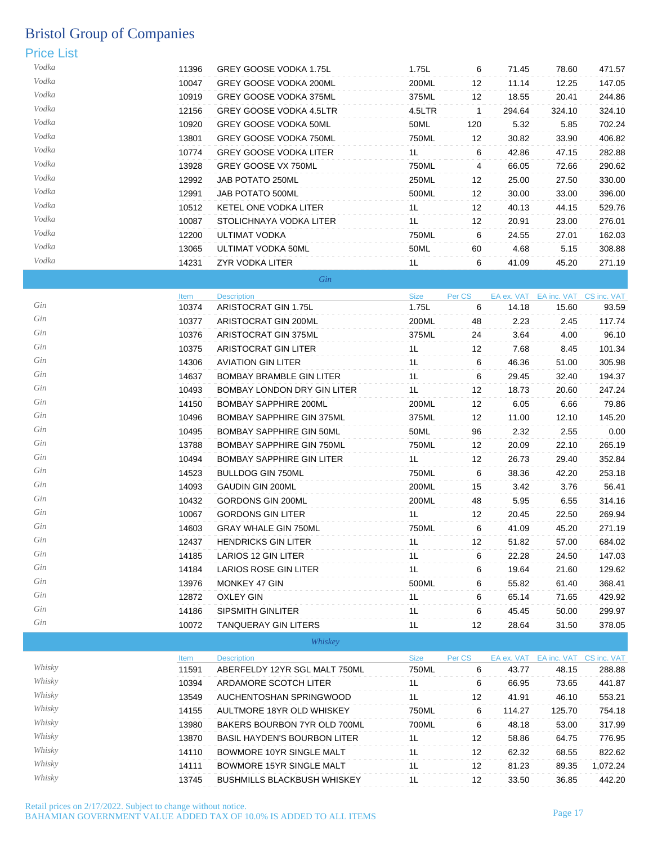## Price List

| Vodka | 11396 | GREY GOOSE VODKA 1.75L         | 1.75L          | 6                 | 71.45  | 78.60  | 471.57 |
|-------|-------|--------------------------------|----------------|-------------------|--------|--------|--------|
| Vodka | 10047 | GREY GOOSE VODKA 200ML         | 200ML          | $12 \overline{ }$ | 11.14  | 12.25  | 147.05 |
| Vodka | 10919 | <b>GREY GOOSE VODKA 375ML</b>  | 375ML          | 12 <sup>°</sup>   | 18.55  | 20.41  | 244.86 |
| Vodka | 12156 | <b>GREY GOOSE VODKA 4.5LTR</b> | 4.5LTR         |                   | 294.64 | 324.10 | 324.10 |
| Vodka | 10920 | GREY GOOSE VODKA 50ML          | 50ML           | 120               | 5.32   | 5.85   | 702.24 |
| Vodka | 13801 | <b>GREY GOOSE VODKA 750ML</b>  | 750ML          | 12 <sup>°</sup>   | 30.82  | 33.90  | 406.82 |
| Vodka | 10774 | <b>GREY GOOSE VODKA LITER</b>  | 1L             | 6                 | 42.86  | 47.15  | 282.88 |
| Vodka | 13928 | GREY GOOSE VX 750ML            | 750ML          | 4                 | 66.05  | 72.66  | 290.62 |
| Vodka | 12992 | JAB POTATO 250ML               | 250ML          | 12 <sup>°</sup>   | 25.00  | 27.50  | 330.00 |
| Vodka | 12991 | JAB POTATO 500ML               | 500ML          | 12 <sup>°</sup>   | 30.00  | 33.00  | 396.00 |
| Vodka | 10512 | KETEL ONE VODKA LITER          | 1 <sub>L</sub> | 12 <sup>°</sup>   | 40.13  | 44.15  | 529.76 |
| Vodka | 10087 | STOLICHNAYA VODKA LITER        | 1 <sub>L</sub> | 12 <sup>°</sup>   | 20.91  | 23.00  | 276.01 |
| Vodka | 12200 | ULTIMAT VODKA                  | 750ML          | 6                 | 24.55  | 27.01  | 162.03 |
| Vodka | 13065 | ULTIMAT VODKA 50ML             | 50ML           | 60                | 4.68   | 5.15   | 308.88 |
| Vodka | 14231 | ZYR VODKA LITER                | 1 <sub>L</sub> | 6                 | 41.09  | 45.20  | 271.19 |

| Gin |
|-----|
|     |
|     |
|     |

|     | Item  | <b>Description</b>               | <b>Size</b>    | Per CS            |       | EA ex. VAT EA inc. VAT CS inc. VAT |        |
|-----|-------|----------------------------------|----------------|-------------------|-------|------------------------------------|--------|
| Gin | 10374 | ARISTOCRAT GIN 1.75L             | 1.75L          | 6                 | 14.18 | 15.60                              | 93.59  |
| Gin | 10377 | ARISTOCRAT GIN 200ML             | 200ML          | 48                | 2.23  | 2.45                               | 117.74 |
| Gin | 10376 | ARISTOCRAT GIN 375ML             | 375ML          | 24                | 3.64  | 4.00                               | 96.10  |
| Gin | 10375 | ARISTOCRAT GIN LITER             | 1L             | 12                | 7.68  | 8.45                               | 101.34 |
| Gin | 14306 | <b>AVIATION GIN LITER</b>        | 1L             | 6                 | 46.36 | 51.00                              | 305.98 |
| Gin | 14637 | <b>BOMBAY BRAMBLE GIN LITER</b>  | 1L             | 6                 | 29.45 | 32.40                              | 194.37 |
| Gin | 10493 | BOMBAY LONDON DRY GIN LITER      | 1L             | 12                | 18.73 | 20.60                              | 247.24 |
| Gin | 14150 | <b>BOMBAY SAPPHIRE 200ML</b>     | 200ML          | 12                | 6.05  | 6.66                               | 79.86  |
| Gin | 10496 | <b>BOMBAY SAPPHIRE GIN 375ML</b> | 375ML          | 12                | 11.00 | 12.10                              | 145.20 |
| Gin | 10495 | <b>BOMBAY SAPPHIRE GIN 50ML</b>  | 50ML           | 96                | 2.32  | 2.55                               | 0.00   |
| Gin | 13788 | <b>BOMBAY SAPPHIRE GIN 750ML</b> | 750ML          | 12 <sup>°</sup>   | 20.09 | 22.10                              | 265.19 |
| Gin | 10494 | <b>BOMBAY SAPPHIRE GIN LITER</b> | 1L             | 12                | 26.73 | 29.40                              | 352.84 |
| Gin | 14523 | <b>BULLDOG GIN 750ML</b>         | 750ML          | 6                 | 38.36 | 42.20                              | 253.18 |
| Gin | 14093 | <b>GAUDIN GIN 200ML</b>          | 200ML          | 15                | 3.42  | 3.76                               | 56.41  |
| Gin | 10432 | <b>GORDONS GIN 200ML</b>         | 200ML          | 48                | 5.95  | 6.55                               | 314.16 |
| Gin | 10067 | <b>GORDONS GIN LITER</b>         | 1 <sub>L</sub> | 12                | 20.45 | 22.50                              | 269.94 |
| Gin | 14603 | <b>GRAY WHALE GIN 750ML</b>      | 750ML          | 6                 | 41.09 | 45.20                              | 271.19 |
| Gin | 12437 | <b>HENDRICKS GIN LITER</b>       | 1L             | 12                | 51.82 | 57.00                              | 684.02 |
| Gin | 14185 | <b>LARIOS 12 GIN LITER</b>       | 1L             | 6                 | 22.28 | 24.50                              | 147.03 |
| Gin | 14184 | <b>LARIOS ROSE GIN LITER</b>     | 1L             | 6                 | 19.64 | 21.60                              | 129.62 |
| Gin | 13976 | MONKEY 47 GIN                    | 500ML          | 6                 | 55.82 | 61.40                              | 368.41 |
| Gin | 12872 | <b>OXLEY GIN</b>                 | 1L             | 6                 | 65.14 | 71.65                              | 429.92 |
| Gin | 14186 | SIPSMITH GINLITER                | 1L             | 6                 | 45.45 | 50.00                              | 299.97 |
| Gin | 10072 | <b>TANQUERAY GIN LITERS</b>      | 1 <sub>L</sub> | $12 \overline{ }$ | 28.64 | 31.50                              | 378.05 |

*Whiskey*

|        | Item  | <b>Description</b>                  | <b>Size</b> | Per CS | EA ex. VAT | EA inc. VAT | CS inc. VAT |
|--------|-------|-------------------------------------|-------------|--------|------------|-------------|-------------|
| Whisky | 11591 | ABERFELDY 12YR SGL MALT 750ML       | 750ML       | 6      | 43.77      | 48.15       | 288.88      |
| Whisky | 10394 | ARDAMORE SCOTCH LITER               | 1L          | 6      | 66.95      | 73.65       | 441.87      |
| Whisky | 13549 | AUCHENTOSHAN SPRINGWOOD             | 1L          | 12     | 41.91      | 46.10       | 553.21      |
| Whisky | 14155 | AULTMORE 18YR OLD WHISKEY           | 750ML       | 6      | 114.27     | 125.70      | 754.18      |
| Whisky | 13980 | BAKERS BOURBON 7YR OLD 700ML        | 700ML       | 6      | 48.18      | 53.00       | 317.99      |
| Whisky | 13870 | <b>BASIL HAYDEN'S BOURBON LITER</b> | 1L          | 12     | 58.86      | 64.75       | 776.95      |
| Whisky | 14110 | BOWMORE 10YR SINGLE MALT            | 11          | 12     | 62.32      | 68.55       | 822.62      |
| Whisky | 14111 | BOWMORE 15YR SINGLE MALT            | 1L          | 12     | 81.23      | 89.35       | 1.072.24    |
| Whisky | 13745 | <b>BUSHMILLS BLACKBUSH WHISKEY</b>  | 1L          | 12     | 33.50      | 36.85       | 442.20      |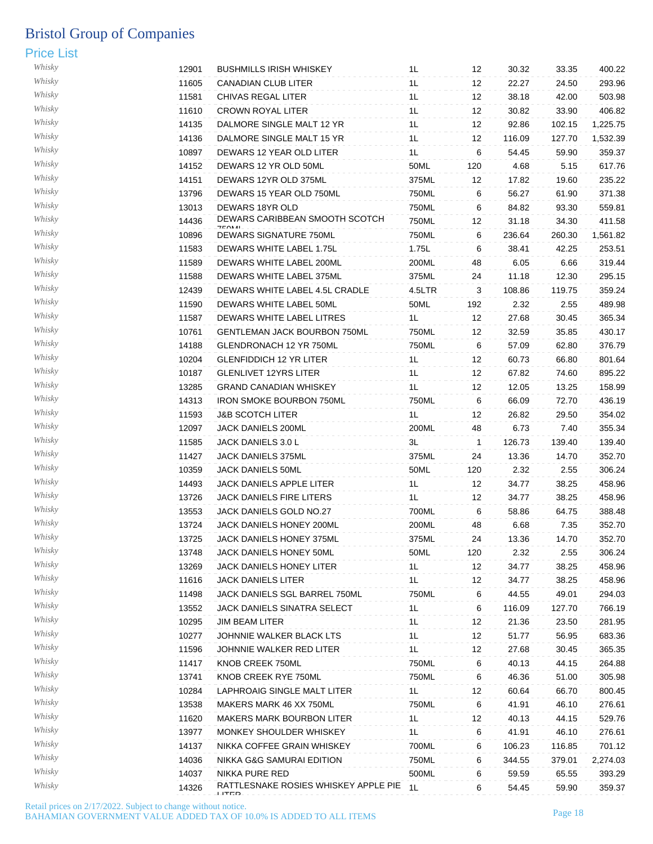| Whisky | 12901 | <b>BUSHMILLS IRISH WHISKEY</b>                | 1L             | 12           | 30.32  | 33.35  | 400.22           |
|--------|-------|-----------------------------------------------|----------------|--------------|--------|--------|------------------|
| Whisky | 11605 | <b>CANADIAN CLUB LITER</b>                    | 1L             | 12           | 22.27  | 24.50  | 293.96           |
| Whisky | 11581 | CHIVAS REGAL LITER                            | 1L             | 12           | 38.18  | 42.00  | 503.98           |
| Whisky | 11610 | <b>CROWN ROYAL LITER</b>                      | 1L             | 12           | 30.82  | 33.90  | 406.82           |
| Whisky | 14135 | DALMORE SINGLE MALT 12 YR                     | 1L             | 12           | 92.86  | 102.15 | 1,225.75         |
| Whisky | 14136 | DALMORE SINGLE MALT 15 YR                     | 1L             | 12           | 116.09 | 127.70 | 1,532.39         |
| Whisky | 10897 | DEWARS 12 YEAR OLD LITER                      | 1L             | 6            | 54.45  | 59.90  | 359.37           |
| Whisky | 14152 | DEWARS 12 YR OLD 50ML                         | 50ML           | 120          | 4.68   | 5.15   | 617.76           |
| Whisky | 14151 | DEWARS 12YR OLD 375ML                         | 375ML          | 12           | 17.82  | 19.60  | 235.22           |
| Whisky | 13796 | DEWARS 15 YEAR OLD 750ML                      | 750ML          | 6            | 56.27  | 61.90  | 371.38           |
| Whisky | 13013 | <b>DEWARS 18YR OLD</b>                        | 750ML          | 6            | 84.82  | 93.30  | 559.81           |
| Whisky |       | DEWARS CARIBBEAN SMOOTH SCOTCH                |                |              |        |        |                  |
| Whisky | 14436 | <b>750M</b>                                   | 750ML          | 12           | 31.18  | 34.30  | 411.58           |
| Whisky | 10896 | DEWARS SIGNATURE 750ML                        | 750ML          | 6            | 236.64 | 260.30 | 1,561.82         |
| Whisky | 11583 | DEWARS WHITE LABEL 1.75L                      | 1.75L          | 6            | 38.41  | 42.25  | 253.51           |
|        | 11589 | DEWARS WHITE LABEL 200ML                      | 200ML          | 48           | 6.05   | 6.66   | 319.44           |
| Whisky | 11588 | DEWARS WHITE LABEL 375ML                      | 375ML          | 24           | 11.18  | 12.30  | 295.15           |
| Whisky | 12439 | DEWARS WHITE LABEL 4.5L CRADLE                | 4.5LTR         | 3            | 108.86 | 119.75 | 359.24           |
| Whisky | 11590 | DEWARS WHITE LABEL 50ML                       | 50ML           | 192          | 2.32   | 2.55   | 489.98           |
| Whisky | 11587 | DEWARS WHITE LABEL LITRES                     | 1 <sub>L</sub> | 12           | 27.68  | 30.45  | 365.34           |
| Whisky | 10761 | GENTLEMAN JACK BOURBON 750ML                  | 750ML          | 12           | 32.59  | 35.85  | 430.17           |
| Whisky | 14188 | GLENDRONACH 12 YR 750ML                       | 750ML          | 6            | 57.09  | 62.80  | 376.79           |
| Whisky | 10204 | <b>GLENFIDDICH 12 YR LITER</b>                | 1L             | 12           | 60.73  | 66.80  | 801.64           |
| Whisky | 10187 | <b>GLENLIVET 12YRS LITER</b>                  | 1L             | 12           | 67.82  | 74.60  | 895.22           |
| Whisky | 13285 | <b>GRAND CANADIAN WHISKEY</b>                 | 1L             | 12           | 12.05  | 13.25  | 158.99           |
| Whisky | 14313 | <b>IRON SMOKE BOURBON 750ML</b>               | 750ML          | 6            | 66.09  | 72.70  | 436.19           |
| Whisky | 11593 | <b>J&amp;B SCOTCH LITER</b>                   | 1L             | 12           | 26.82  | 29.50  | 354.02           |
| Whisky | 12097 | JACK DANIELS 200ML                            | 200ML          | 48           | 6.73   | 7.40   | 355.34           |
| Whisky | 11585 | JACK DANIELS 3.0 L                            | 3L             | $\mathbf{1}$ | 126.73 | 139.40 | 139.40           |
| Whisky | 11427 | JACK DANIELS 375ML                            | 375ML          | 24           | 13.36  | 14.70  | 352.70           |
| Whisky | 10359 | JACK DANIELS 50ML                             | 50ML           | 120          | 2.32   | 2.55   | 306.24           |
| Whisky | 14493 | JACK DANIELS APPLE LITER                      | 1L             | 12           | 34.77  | 38.25  | 458.96           |
| Whisky | 13726 | JACK DANIELS FIRE LITERS                      | 1L             | 12           | 34.77  | 38.25  | 458.96           |
| Whisky | 13553 | JACK DANIELS GOLD NO.27                       | 700ML          | 6            | 58.86  | 64.75  | 388.48           |
| Whisky | 13724 | JACK DANIELS HONEY 200ML                      | 200ML          | 48           | 6.68   | 7.35   | 352.70           |
| Whisky | 13725 | JACK DANIELS HONEY 375ML                      | 375ML          | 24           | 13.36  | 14.70  | 352.70           |
| Whisky | 13748 | JACK DANIELS HONEY 50ML                       | 50ML           | 120          | 2.32   | 2.55   | 306.24           |
| Whisky | 13269 | <b>JACK DANIELS HONEY LITER</b>               | 1L             | 12           | 34.77  | 38.25  | 458.96           |
| Whisky | 11616 | <b>JACK DANIELS LITER</b>                     | 1L             | 12           | 34.77  | 38.25  | 458.96           |
| Whisky | 11498 | JACK DANIELS SGL BARREL 750ML                 | 750ML          | 6            | 44.55  | 49.01  | 294.03           |
| Whisky | 13552 | JACK DANIELS SINATRA SELECT                   | 1L             | 6            | 116.09 | 127.70 | 766.19           |
| Whisky | 10295 | <b>JIM BEAM LITER</b>                         |                |              |        |        |                  |
| Whisky |       |                                               | 1 <sub>L</sub> | 12           | 21.36  | 23.50  | 281.95<br>683.36 |
| Whisky | 10277 | JOHNNIE WALKER BLACK LTS                      | 1L             | 12           | 51.77  | 56.95  |                  |
| Whisky | 11596 | JOHNNIE WALKER RED LITER                      | 1L             | 12           | 27.68  | 30.45  | 365.35           |
|        | 11417 | KNOB CREEK 750ML                              | 750ML          | 6            | 40.13  | 44.15  | 264.88           |
| Whisky | 13741 | KNOB CREEK RYE 750ML                          | 750ML          | 6            | 46.36  | 51.00  | 305.98           |
| Whisky | 10284 | LAPHROAIG SINGLE MALT LITER                   | 1L             | 12           | 60.64  | 66.70  | 800.45           |
| Whisky | 13538 | MAKERS MARK 46 XX 750ML                       | 750ML          | 6            | 41.91  | 46.10  | 276.61           |
| Whisky | 11620 | <b>MAKERS MARK BOURBON LITER</b>              | 1 <sub>L</sub> | 12           | 40.13  | 44.15  | 529.76           |
| Whisky | 13977 | MONKEY SHOULDER WHISKEY                       | 1L             | 6            | 41.91  | 46.10  | 276.61           |
| Whisky | 14137 | NIKKA COFFEE GRAIN WHISKEY                    | 700ML          | 6            | 106.23 | 116.85 | 701.12           |
| Whisky | 14036 | NIKKA G&G SAMURAI EDITION                     | 750ML          | 6            | 344.55 | 379.01 | 2,274.03         |
| Whisky | 14037 | NIKKA PURE RED                                | 500ML          | 6            | 59.59  | 65.55  | 393.29           |
| Whisky | 14326 | RATTLESNAKE ROSIES WHISKEY APPLE PIE<br>LITED | 1L             | 6            | 54.45  | 59.90  | 359.37           |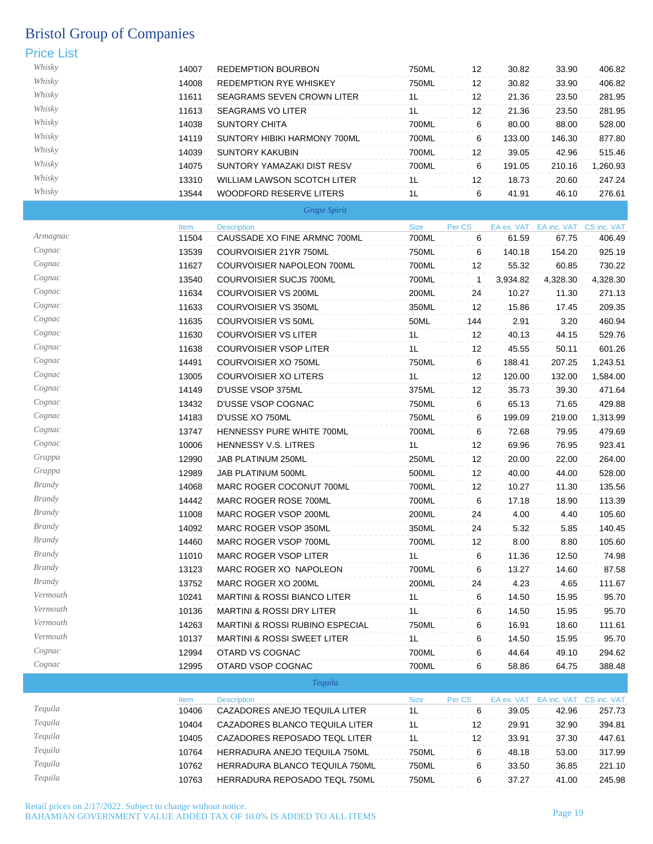#### Price List

| Whisky | 14007 | <b>REDEMPTION BOURBON</b>          | 750ML | 12 | 30.82  | 33.90  | 406.82   |
|--------|-------|------------------------------------|-------|----|--------|--------|----------|
| Whisky | 14008 | <b>REDEMPTION RYE WHISKEY</b>      | 750ML | 12 | 30.82  | 33.90  | 406.82   |
| Whisky | 11611 | <b>SEAGRAMS SEVEN CROWN LITER</b>  | 1L    | 12 | 21.36  | 23.50  | 281.95   |
| Whisky | 11613 | <b>SEAGRAMS VO LITER</b>           | 1L    | 12 | 21.36  | 23.50  | 281.95   |
| Whisky | 14038 | SUNTORY CHITA                      | 700ML | 6  | 80.00  | 88.00  | 528.00   |
| Whisky | 14119 | SUNTORY HIBIKI HARMONY 700ML       | 700ML | 6  | 133.00 | 146.30 | 877.80   |
| Whisky | 14039 | SUNTORY KAKUBIN                    | 700ML | 12 | 39.05  | 42.96  | 515.46   |
| Whisky | 14075 | SUNTORY YAMAZAKI DIST RESV         | 700ML | 6  | 191.05 | 210.16 | 1,260.93 |
| Whisky | 13310 | <b>WILLIAM LAWSON SCOTCH LITER</b> | 1L    | 12 | 18.73  | 20.60  | 247.24   |
| Whisky | 13544 | WOODFORD RESERVE LITERS            | 1L    | 6  | 41.91  | 46.10  | 276.61   |

| Grape Spirit |  |
|--------------|--|
|              |  |

|               | Item  | <b>Description</b>                         | <b>Size</b> | Per CS |          | EA ex. VAT EA inc. VAT CS inc. VAT |          |
|---------------|-------|--------------------------------------------|-------------|--------|----------|------------------------------------|----------|
| Armagnac      | 11504 | CAUSSADE XO FINE ARMNC 700ML               | 700ML       | 6      | 61.59    | 67.75                              | 406.49   |
| Cognac        | 13539 | COURVOISIER 21YR 750ML                     | 750ML       | 6      | 140.18   | 154.20                             | 925.19   |
| Cognac        | 11627 | COURVOISIER NAPOLEON 700ML                 | 700ML       | 12     | 55.32    | 60.85                              | 730.22   |
| Cognac        | 13540 | <b>COURVOISIER SUCJS 700ML</b>             | 700ML       | 1      | 3,934.82 | 4,328.30                           | 4,328.30 |
| Cognac        | 11634 | <b>COURVOISIER VS 200ML</b>                | 200ML       | 24     | 10.27    | 11.30                              | 271.13   |
| Cognac        | 11633 | <b>COURVOISIER VS 350ML</b>                | 350ML       | 12     | 15.86    | 17.45                              | 209.35   |
| Cognac        | 11635 | COURVOISIER VS 50ML                        | 50ML        | 144    | 2.91     | 3.20                               | 460.94   |
| Cognac        | 11630 | <b>COURVOISIER VS LITER</b>                | 1L          | 12     | 40.13    | 44.15                              | 529.76   |
| Cognac        | 11638 | <b>COURVOISIER VSOP LITER</b>              | 1L          | 12     | 45.55    | 50.11                              | 601.26   |
| Cognac        | 14491 | COURVOISIER XO 750ML                       | 750ML       | 6      | 188.41   | 207.25                             | 1,243.51 |
| Cognac        | 13005 | <b>COURVOISIER XO LITERS</b>               | 1L          | 12     | 120.00   | 132.00                             | 1,584.00 |
| Cognac        | 14149 | D'USSE VSOP 375ML                          | 375ML       | 12     | 35.73    | 39.30                              | 471.64   |
| Cognac        | 13432 | D'USSE VSOP COGNAC                         | 750ML       | 6      | 65.13    | 71.65                              | 429.88   |
| Cognac        | 14183 | D'USSE XO 750ML                            | 750ML       | 6      | 199.09   | 219.00                             | 1,313.99 |
| Cognac        | 13747 | HENNESSY PURE WHITE 700ML                  | 700ML       | 6      | 72.68    | 79.95                              | 479.69   |
| Cognac        | 10006 | HENNESSY V.S. LITRES                       | 1L          | 12     | 69.96    | 76.95                              | 923.41   |
| Grappa        | 12990 | JAB PLATINUM 250ML                         | 250ML       | 12     | 20.00    | 22.00                              | 264.00   |
| Grappa        | 12989 | JAB PLATINUM 500ML                         | 500ML       | 12     | 40.00    | 44.00                              | 528.00   |
| <b>Brandy</b> | 14068 | MARC ROGER COCONUT 700ML                   | 700ML       | 12     | 10.27    | 11.30                              | 135.56   |
| <b>Brandy</b> | 14442 | MARC ROGER ROSE 700ML                      | 700ML       | 6      | 17.18    | 18.90                              | 113.39   |
| <b>Brandy</b> | 11008 | MARC ROGER VSOP 200ML                      | 200ML       | 24     | 4.00     | 4.40                               | 105.60   |
| <b>Brandy</b> | 14092 | MARC ROGER VSOP 350ML                      | 350ML       | 24     | 5.32     | 5.85                               | 140.45   |
| <i>Brandy</i> | 14460 | MARC ROGER VSOP 700ML                      | 700ML       | 12     | 8.00     | 8.80                               | 105.60   |
| <b>Brandy</b> | 11010 | <b>MARC ROGER VSOP LITER</b>               | 1L          | 6      | 11.36    | 12.50                              | 74.98    |
| <b>Brandy</b> | 13123 | MARC ROGER XO NAPOLEON                     | 700ML       | 6      | 13.27    | 14.60                              | 87.58    |
| <b>Brandy</b> | 13752 | MARC ROGER XO 200ML                        | 200ML       | 24     | 4.23     | 4.65                               | 111.67   |
| Vermouth      | 10241 | <b>MARTINI &amp; ROSSI BIANCO LITER</b>    | 1L          | 6      | 14.50    | 15.95                              | 95.70    |
| Vermouth      | 10136 | <b>MARTINI &amp; ROSSI DRY LITER</b>       | 1L          | 6      | 14.50    | 15.95                              | 95.70    |
| Vermouth      | 14263 | <b>MARTINI &amp; ROSSI RUBINO ESPECIAL</b> | 750ML       | 6      | 16.91    | 18.60                              | 111.61   |
| Vermouth      | 10137 | <b>MARTINI &amp; ROSSI SWEET LITER</b>     | 1L          | 6      | 14.50    | 15.95                              | 95.70    |
| Cognac        | 12994 | OTARD VS COGNAC                            | 700ML       | 6      | 44.64    | 49.10                              | 294.62   |
| Cognac        | 12995 | OTARD VSOP COGNAC                          | 700ML       | 6      | 58.86    | 64.75                              | 388.48   |
|               |       | Tequila                                    |             |        |          |                                    |          |
|               | Item  | <b>Description</b>                         | <b>Size</b> | Per CS |          | EA ex. VAT EA inc. VAT CS inc. VAT |          |
| Tequila       | 10406 | CAZADORES ANEJO TEQUILA LITER              | 1L          | 6      | 39.05    | 42.96                              | 257.73   |
| Tequila       | 10404 | CAZADORES BLANCO TEQUILA LITER             | 1L          | 12     | 29.91    | 32.90                              | 394.81   |
| Tequila       | 10405 | CAZADORES REPOSADO TEQL LITER              | 1L          | 12     | 33.91    | 37.30                              | 447.61   |

*Tequila* 10764 HERRADURA ANEJO TEQUILA 750ML 750ML 6 48.18 53.00 317.99 *Tequila* 10762 HERRADURA BLANCO TEQUILA 750ML 750ML 6 33.50 36.85 221.10 *Tequila* 10763 HERRADURA REPOSADO TEQL 750ML 750ML 6 37.27 41.00 245.98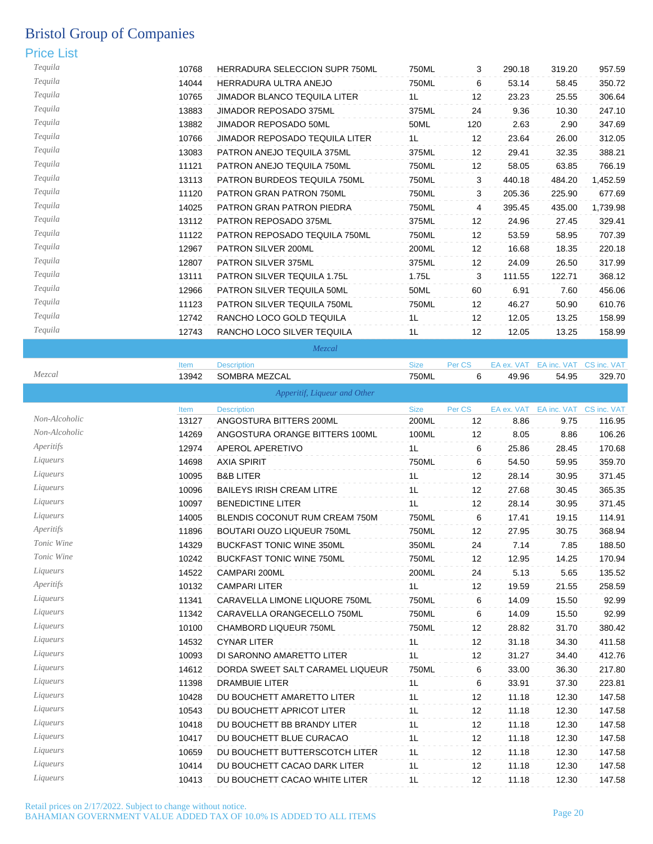### Price List

| Tequila | 10768 | <b>HERRADURA SELECCION SUPR 750ML</b> | 750ML | 3   | 290.18 | 319.20 | 957.59   |
|---------|-------|---------------------------------------|-------|-----|--------|--------|----------|
| Tequila | 14044 | HERRADURA ULTRA ANEJO                 | 750ML | 6   | 53.14  | 58.45  | 350.72   |
| Tequila | 10765 | <b>JIMADOR BLANCO TEQUILA LITER</b>   | 1L    | 12  | 23.23  | 25.55  | 306.64   |
| Tequila | 13883 | JIMADOR REPOSADO 375ML                | 375ML | 24  | 9.36   | 10.30  | 247.10   |
| Tequila | 13882 | <b>JIMADOR REPOSADO 50ML</b>          | 50ML  | 120 | 2.63   | 2.90   | 347.69   |
| Tequila | 10766 | <b>JIMADOR REPOSADO TEQUILA LITER</b> | 1L    | 12  | 23.64  | 26.00  | 312.05   |
| Tequila | 13083 | <b>PATRON ANEJO TEQUILA 375ML</b>     | 375ML | 12  | 29.41  | 32.35  | 388.21   |
| Tequila | 11121 | PATRON ANEJO TEQUILA 750ML            | 750ML | 12  | 58.05  | 63.85  | 766.19   |
| Tequila | 13113 | PATRON BURDEOS TEQUILA 750ML          | 750ML | 3   | 440.18 | 484.20 | 1,452.59 |
| Tequila | 11120 | <b>PATRON GRAN PATRON 750ML</b>       | 750ML | 3   | 205.36 | 225.90 | 677.69   |
| Tequila | 14025 | PATRON GRAN PATRON PIEDRA             | 750ML | 4   | 395.45 | 435.00 | 1,739.98 |
| Tequila | 13112 | PATRON REPOSADO 375ML                 | 375ML | 12  | 24.96  | 27.45  | 329.41   |
| Tequila | 11122 | PATRON REPOSADO TEQUILA 750ML         | 750ML | 12  | 53.59  | 58.95  | 707.39   |
| Tequila | 12967 | <b>PATRON SILVER 200ML</b>            | 200ML | 12  | 16.68  | 18.35  | 220.18   |
| Tequila | 12807 | <b>PATRON SILVER 375ML</b>            | 375ML | 12  | 24.09  | 26.50  | 317.99   |
| Tequila | 13111 | <b>PATRON SILVER TEQUILA 1.75L</b>    | 1.75L | 3   | 111.55 | 122.71 | 368.12   |
| Tequila | 12966 | PATRON SILVER TEQUILA 50ML            | 50ML  | 60  | 6.91   | 7.60   | 456.06   |
| Tequila | 11123 | PATRON SILVER TEQUILA 750ML           | 750ML | 12  | 46.27  | 50.90  | 610.76   |
| Tequila | 12742 | RANCHO LOCO GOLD TEQUILA              | 1L    | 12  | 12.05  | 13.25  | 158.99   |
| Tequila | 12743 | RANCHO LOCO SILVER TEQUILA            | 1L    | 12  | 12.05  | 13.25  | 158.99   |

*Mezcal*

Item Description Size Per CS EA ex. VAT EA inc. VAT CS inc. VAT

| Mezcal        | 13942 | SOMBRA MEZCAL                    | <b>750ML</b>   | 6      | 49.96      | 54.95       | 329.70      |
|---------------|-------|----------------------------------|----------------|--------|------------|-------------|-------------|
|               |       | Apperitif, Liqueur and Other     |                |        |            |             |             |
|               | Item  | <b>Description</b>               | <b>Size</b>    | Per CS | EA ex. VAT | EA inc. VAT | CS inc. VAT |
| Non-Alcoholic | 13127 | ANGOSTURA BITTERS 200ML          | 200ML          | 12     | 8.86       | 9.75        | 116.95      |
| Non-Alcoholic | 14269 | ANGOSTURA ORANGE BITTERS 100ML   | 100ML          | 12     | 8.05       | 8.86        | 106.26      |
| Aperitifs     | 12974 | APEROL APERETIVO                 | 1L             | 6      | 25.86      | 28.45       | 170.68      |
| Liqueurs      | 14698 | <b>AXIA SPIRIT</b>               | 750ML          | 6      | 54.50      | 59.95       | 359.70      |
| Liqueurs      | 10095 | <b>B&amp;B LITER</b>             | 1L             | 12     | 28.14      | 30.95       | 371.45      |
| Liqueurs      | 10096 | <b>BAILEYS IRISH CREAM LITRE</b> | 1L             | 12     | 27.68      | 30.45       | 365.35      |
| Liqueurs      | 10097 | <b>BENEDICTINE LITER</b>         | 1L             | 12     | 28.14      | 30.95       | 371.45      |
| Liqueurs      | 14005 | BLENDIS COCONUT RUM CREAM 750M   | 750ML          | 6      | 17.41      | 19.15       | 114.91      |
| Aperitifs     | 11896 | BOUTARI OUZO LIQUEUR 750ML       | 750ML          | 12     | 27.95      | 30.75       | 368.94      |
| Tonic Wine    | 14329 | <b>BUCKFAST TONIC WINE 350ML</b> | 350ML          | 24     | 7.14       | 7.85        | 188.50      |
| Tonic Wine    | 10242 | <b>BUCKFAST TONIC WINE 750ML</b> | 750ML          | 12     | 12.95      | 14.25       | 170.94      |
| Liqueurs      | 14522 | CAMPARI 200ML                    | 200ML          | 24     | 5.13       | 5.65        | 135.52      |
| Aperitifs     | 10132 | <b>CAMPARI LITER</b>             | 1L             | 12     | 19.59      | 21.55       | 258.59      |
| Liqueurs      | 11341 | CARAVELLA LIMONE LIQUORE 750ML   | 750ML          | 6      | 14.09      | 15.50       | 92.99       |
| Liqueurs      | 11342 | CARAVELLA ORANGECELLO 750ML      | 750ML          | 6      | 14.09      | 15.50       | 92.99       |
| Liqueurs      | 10100 | CHAMBORD LIQUEUR 750ML           | 750ML          | 12     | 28.82      | 31.70       | 380.42      |
| Liqueurs      | 14532 | <b>CYNAR LITER</b>               | 1 <sub>L</sub> | 12     | 31.18      | 34.30       | 411.58      |
| Liqueurs      | 10093 | DI SARONNO AMARETTO LITER        | 1L             | 12     | 31.27      | 34.40       | 412.76      |
| Liqueurs      | 14612 | DORDA SWEET SALT CARAMEL LIQUEUR | 750ML          | 6      | 33.00      | 36.30       | 217.80      |
| Liqueurs      | 11398 | <b>DRAMBUIE LITER</b>            | 1L             | 6      | 33.91      | 37.30       | 223.81      |
| Liqueurs      | 10428 | DU BOUCHETT AMARETTO LITER       | 1L             | 12     | 11.18      | 12.30       | 147.58      |
| Liqueurs      | 10543 | DU BOUCHETT APRICOT LITER        | 1L             | 12     | 11.18      | 12.30       | 147.58      |

*Liqueurs* 10418 DU BOUCHETT BB BRANDY LITER 12 12 11.18 12.30 147.58 *Liqueurs* 10417 DU BOUCHETT BLUE CURACAO 1L 12 11.18 12.30 147.58 *Liqueurs* 10659 DU BOUCHETT BUTTERSCOTCH LITER 1L 12 11.18 12.30 147.58 *Liqueurs* 10414 DU BOUCHETT CACAO DARK LITER 1L 12 11.18 12.30 147.58 *Liqueurs* 10413 DU BOUCHETT CACAO WHITE LITER 1L 12 11.18 12.30 147.58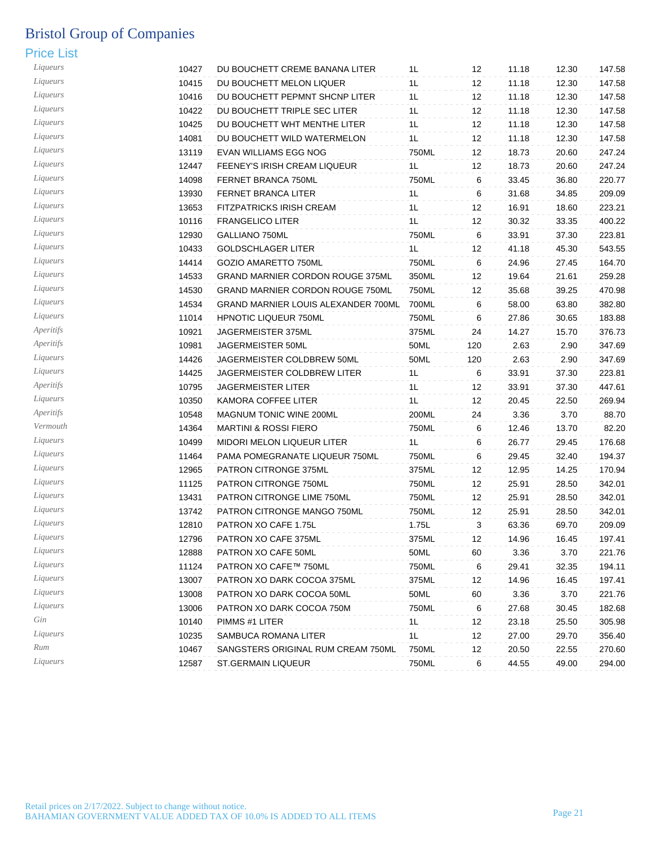| Liqueurs  | 10427 | DU BOUCHETT CREME BANANA LITER             | 1L    | 12  | 11.18 | 12.30 | 147.58 |
|-----------|-------|--------------------------------------------|-------|-----|-------|-------|--------|
| Liqueurs  | 10415 | DU BOUCHETT MELON LIQUER                   | 1L    | 12  | 11.18 | 12.30 | 147.58 |
| Liqueurs  | 10416 | DU BOUCHETT PEPMNT SHCNP LITER             | 1L    | 12  | 11.18 | 12.30 | 147.58 |
| Liqueurs  | 10422 | DU BOUCHETT TRIPLE SEC LITER               | 1L    | 12  | 11.18 | 12.30 | 147.58 |
| Liqueurs  | 10425 | DU BOUCHETT WHT MENTHE LITER               | 1L    | 12  | 11.18 | 12.30 | 147.58 |
| Liqueurs  | 14081 | DU BOUCHETT WILD WATERMELON                | 1L    | 12  | 11.18 | 12.30 | 147.58 |
| Liqueurs  | 13119 | EVAN WILLIAMS EGG NOG                      | 750ML | 12  | 18.73 | 20.60 | 247.24 |
| Liqueurs  | 12447 | FEENEY'S IRISH CREAM LIQUEUR               | 1L    | 12  | 18.73 | 20.60 | 247.24 |
| Liqueurs  | 14098 | FERNET BRANCA 750ML                        | 750ML | 6   | 33.45 | 36.80 | 220.77 |
| Liqueurs  | 13930 | FERNET BRANCA LITER                        | 1L    | 6   | 31.68 | 34.85 | 209.09 |
| Liqueurs  | 13653 | FITZPATRICKS IRISH CREAM                   | 1L    | 12  | 16.91 | 18.60 | 223.21 |
| Liqueurs  | 10116 | <b>FRANGELICO LITER</b>                    | 1L    | 12  | 30.32 | 33.35 | 400.22 |
| Liqueurs  | 12930 | GALLIANO 750ML                             | 750ML | 6   | 33.91 | 37.30 | 223.81 |
| Liqueurs  | 10433 | <b>GOLDSCHLAGER LITER</b>                  | 1L    | 12  | 41.18 | 45.30 | 543.55 |
| Liqueurs  | 14414 | GOZIO AMARETTO 750ML                       | 750ML | 6   | 24.96 | 27.45 | 164.70 |
| Liqueurs  | 14533 | <b>GRAND MARNIER CORDON ROUGE 375ML</b>    | 350ML | 12  | 19.64 | 21.61 | 259.28 |
| Liqueurs  | 14530 | <b>GRAND MARNIER CORDON ROUGE 750ML</b>    | 750ML | 12  | 35.68 | 39.25 | 470.98 |
| Liqueurs  | 14534 | <b>GRAND MARNIER LOUIS ALEXANDER 700ML</b> | 700ML | 6   | 58.00 | 63.80 | 382.80 |
| Liqueurs  | 11014 | HPNOTIC LIQUEUR 750ML                      | 750ML | 6   | 27.86 | 30.65 | 183.88 |
| Aperitifs | 10921 | JAGERMEISTER 375ML                         | 375ML | 24  | 14.27 | 15.70 | 376.73 |
| Aperitifs | 10981 | JAGERMEISTER 50ML                          | 50ML  | 120 | 2.63  | 2.90  | 347.69 |
| Liqueurs  | 14426 | JAGERMEISTER COLDBREW 50ML                 | 50ML  | 120 | 2.63  | 2.90  | 347.69 |
| Liqueurs  | 14425 | JAGERMEISTER COLDBREW LITER                | 1L    | 6   | 33.91 | 37.30 | 223.81 |
| Aperitifs | 10795 | JAGERMEISTER LITER                         | 1L    | 12  | 33.91 | 37.30 | 447.61 |
| Liqueurs  | 10350 | KAMORA COFFEE LITER                        | 1L    | 12  | 20.45 | 22.50 | 269.94 |
| Aperitifs | 10548 | MAGNUM TONIC WINE 200ML                    | 200ML | 24  | 3.36  | 3.70  | 88.70  |
| Vermouth  | 14364 | <b>MARTINI &amp; ROSSI FIERO</b>           | 750ML | 6   | 12.46 | 13.70 | 82.20  |
| Liqueurs  | 10499 | MIDORI MELON LIQUEUR LITER                 | 1L    | 6   | 26.77 | 29.45 | 176.68 |
| Liqueurs  | 11464 | PAMA POMEGRANATE LIQUEUR 750ML             | 750ML | 6   | 29.45 | 32.40 | 194.37 |
| Liqueurs  | 12965 | PATRON CITRONGE 375ML                      | 375ML | 12  | 12.95 | 14.25 | 170.94 |
| Liqueurs  | 11125 | PATRON CITRONGE 750ML                      | 750ML | 12  | 25.91 | 28.50 | 342.01 |
| Liqueurs  | 13431 | PATRON CITRONGE LIME 750ML                 | 750ML | 12  | 25.91 | 28.50 | 342.01 |
| Liqueurs  | 13742 | PATRON CITRONGE MANGO 750ML                | 750ML | 12  | 25.91 | 28.50 | 342.01 |
| Liqueurs  | 12810 | PATRON XO CAFE 1.75L                       | 1.75L | 3   | 63.36 | 69.70 | 209.09 |
| Liqueurs  | 12796 | PATRON XO CAFE 375ML                       | 375ML | 12  | 14.96 | 16.45 | 197.41 |
| Liqueurs  | 12888 | PATRON XO CAFE 50ML                        | 50ML  | 60  | 3.36  | 3.70  | 221.76 |
| Liqueurs  | 11124 | PATRON XO CAFE™ 750ML                      | 750ML | 6   | 29.41 | 32.35 | 194.11 |
| Liqueurs  | 13007 | PATRON XO DARK COCOA 375ML                 | 375ML | 12  | 14.96 | 16.45 | 197.41 |
| Liqueurs  | 13008 | PATRON XO DARK COCOA 50ML                  | 50ML  | 60  | 3.36  | 3.70  | 221.76 |
| Liqueurs  | 13006 | PATRON XO DARK COCOA 750M                  | 750ML | 6   | 27.68 | 30.45 | 182.68 |
| Gin       | 10140 | PIMMS #1 LITER                             | 1L    | 12  | 23.18 | 25.50 | 305.98 |
| Liqueurs  | 10235 | SAMBUCA ROMANA LITER                       | 1L    | 12  | 27.00 | 29.70 | 356.40 |
| Rum       | 10467 | SANGSTERS ORIGINAL RUM CREAM 750ML         | 750ML | 12  | 20.50 | 22.55 | 270.60 |
| Liqueurs  | 12587 | ST.GERMAIN LIQUEUR                         | 750ML | 6   | 44.55 | 49.00 | 294.00 |
|           |       |                                            |       |     |       |       |        |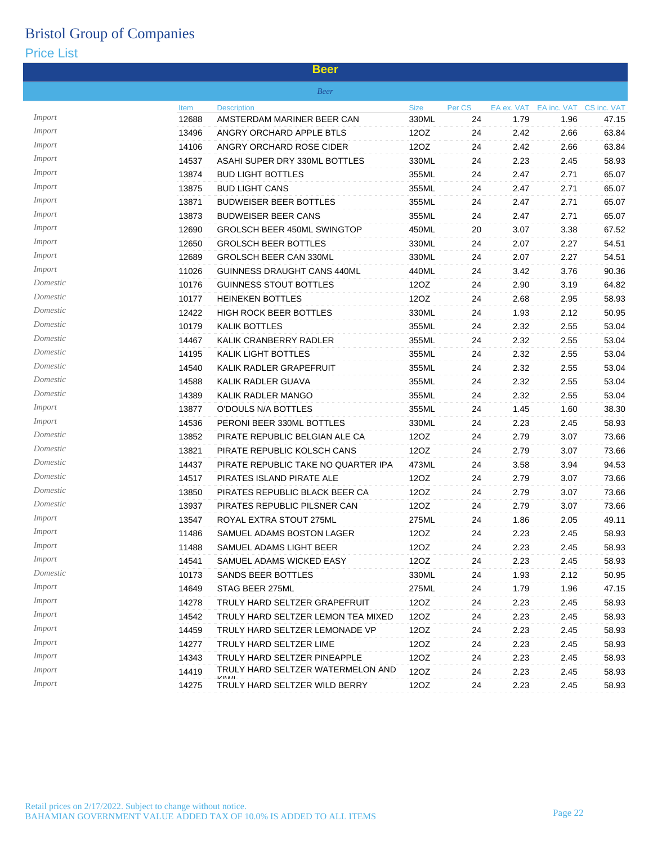|               |       | <b>Beer</b>                                                       |                |        |            |             |             |
|---------------|-------|-------------------------------------------------------------------|----------------|--------|------------|-------------|-------------|
|               |       | <b>Beer</b>                                                       |                |        |            |             |             |
|               | Item  | <b>Description</b>                                                | <b>Size</b>    | Per CS | EA ex. VAT | EA inc. VAT | CS inc. VAT |
| Import        | 12688 | AMSTERDAM MARINER BEER CAN                                        | 330ML          | 24     | 1.79       | 1.96        | 47.15       |
| Import        | 13496 | ANGRY ORCHARD APPLE BTLS                                          | 12OZ           | 24     | 2.42       | 2.66        | 63.84       |
| Import        | 14106 | ANGRY ORCHARD ROSE CIDER                                          | 12OZ           | 24     | 2.42       | 2.66        | 63.84       |
| Import        | 14537 | ASAHI SUPER DRY 330ML BOTTLES                                     | 330ML          | 24     | 2.23       | 2.45        | 58.93       |
| Import        | 13874 | <b>BUD LIGHT BOTTLES</b>                                          | 355ML          | 24     | 2.47       | 2.71        | 65.07       |
| Import        | 13875 | <b>BUD LIGHT CANS</b>                                             | 355ML          | 24     | 2.47       | 2.71        | 65.07       |
| Import        | 13871 | <b>BUDWEISER BEER BOTTLES</b>                                     | 355ML          | 24     | 2.47       | 2.71        | 65.07       |
| Import        | 13873 | <b>BUDWEISER BEER CANS</b>                                        | 355ML          | 24     | 2.47       | 2.71        | 65.07       |
| Import        | 12690 | GROLSCH BEER 450ML SWINGTOP                                       | 450ML          | 20     | 3.07       | 3.38        | 67.52       |
| Import        | 12650 | <b>GROLSCH BEER BOTTLES</b>                                       | 330ML          | 24     | 2.07       | 2.27        | 54.51       |
| Import        | 12689 | <b>GROLSCH BEER CAN 330ML</b>                                     | 330ML          | 24     | 2.07       | 2.27        | 54.51       |
| Import        | 11026 | GUINNESS DRAUGHT CANS 440ML                                       | 440ML          | 24     | 3.42       | 3.76        | 90.36       |
| Domestic      | 10176 | <b>GUINNESS STOUT BOTTLES</b>                                     | 12OZ           | 24     | 2.90       | 3.19        | 64.82       |
| Domestic      | 10177 | <b>HEINEKEN BOTTLES</b>                                           | 12OZ           | 24     | 2.68       | 2.95        | 58.93       |
| Domestic      | 12422 | <b>HIGH ROCK BEER BOTTLES</b>                                     | 330ML          | 24     | 1.93       | 2.12        | 50.95       |
| Domestic      | 10179 | <b>KALIK BOTTLES</b>                                              | 355ML          | 24     | 2.32       | 2.55        | 53.04       |
| Domestic      | 14467 | KALIK CRANBERRY RADLER                                            | 355ML          | 24     | 2.32       | 2.55        | 53.04       |
| Domestic      | 14195 | <b>KALIK LIGHT BOTTLES</b>                                        | 355ML          | 24     | 2.32       | 2.55        | 53.04       |
| Domestic      | 14540 | KALIK RADLER GRAPEFRUIT                                           | 355ML          | 24     | 2.32       | 2.55        | 53.04       |
| Domestic      | 14588 | KALIK RADLER GUAVA                                                | 355ML          | 24     | 2.32       | 2.55        | 53.04       |
| Domestic      | 14389 | KALIK RADLER MANGO                                                | 355ML          | 24     | 2.32       | 2.55        | 53.04       |
| Import        | 13877 | O'DOULS N/A BOTTLES                                               | 355ML          | 24     | 1.45       | 1.60        | 38.30       |
| Import        | 14536 | PERONI BEER 330ML BOTTLES                                         | 330ML          | 24     | 2.23       | 2.45        | 58.93       |
| Domestic      | 13852 | PIRATE REPUBLIC BELGIAN ALE CA                                    | 12OZ           | 24     | 2.79       | 3.07        | 73.66       |
| Domestic      | 13821 | PIRATE REPUBLIC KOLSCH CANS                                       | 12OZ           | 24     | 2.79       | 3.07        | 73.66       |
| Domestic      | 14437 | PIRATE REPUBLIC TAKE NO QUARTER IPA                               | 473ML          | 24     | 3.58       | 3.94        | 94.53       |
| Domestic      | 14517 | PIRATES ISLAND PIRATE ALE                                         | 12OZ           | 24     | 2.79       | 3.07        | 73.66       |
| Domestic      | 13850 | PIRATES REPUBLIC BLACK BEER CA                                    | 12OZ           | 24     | 2.79       | 3.07        | 73.66       |
| Domestic      | 13937 | PIRATES REPUBLIC PILSNER CAN                                      | 12OZ           | 24     | 2.79       | 3.07        | 73.66       |
| Import        | 13547 | ROYAL EXTRA STOUT 275ML                                           | 275ML          | 24     | 1.86       | 2.05        | 49.11       |
| Import        | 11486 | SAMUEL ADAMS BOSTON LAGER                                         | 12OZ           | 24     | 2.23       | 2.45        | 58.93       |
| <i>Import</i> | 11488 | SAMUEL ADAMS LIGHT BEER                                           | 12OZ           | 24     | 2.23       | 2.45        | 58.93       |
| Import        | 14541 | SAMUEL ADAMS WICKED EASY                                          | 12OZ           | 24     | 2.23       | 2.45        | 58.93       |
| Domestic      | 10173 | SANDS BEER BOTTLES                                                |                | 24     | 1.93       |             | 50.95       |
| Import        | 14649 | STAG BEER 275ML                                                   | 330ML<br>275ML |        | 1.79       | 2.12        |             |
| Import        |       |                                                                   |                | 24     |            | 1.96        | 47.15       |
| Import        | 14278 | TRULY HARD SELTZER GRAPEFRUIT                                     | 12OZ           | 24     | 2.23       | 2.45        | 58.93       |
| Import        | 14542 | TRULY HARD SELTZER LEMON TEA MIXED                                | 12OZ           | 24     | 2.23       | 2.45        | 58.93       |
| <i>Import</i> | 14459 | TRULY HARD SELTZER LEMONADE VP                                    | 12OZ           | 24     | 2.23       | 2.45        | 58.93       |
| <i>Import</i> | 14277 | TRULY HARD SELTZER LIME                                           | 12OZ           | 24     | 2.23       | 2.45        | 58.93       |
|               | 14343 | TRULY HARD SELTZER PINEAPPLE<br>TRULY HARD SELTZER WATERMELON AND | 12OZ           | 24     | 2.23       | 2.45        | 58.93       |
| <i>Import</i> | 14419 | <b>IZIVA/L</b>                                                    | 12OZ           | 24     | 2.23       | 2.45        | 58.93       |
| Import        | 14275 | TRULY HARD SELTZER WILD BERRY                                     | 12OZ           | 24     | 2.23       | 2.45        | 58.93       |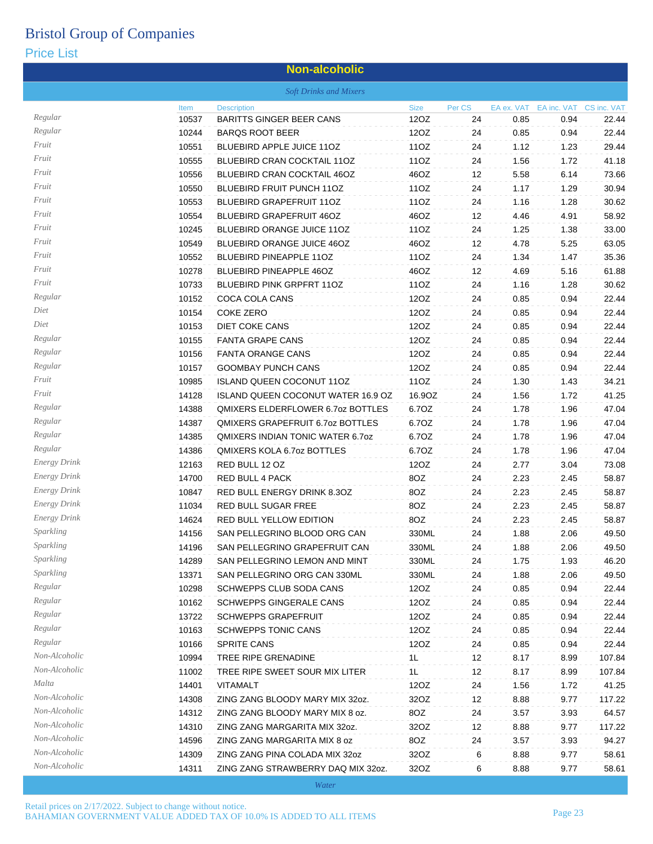#### Price List

#### **Non-alcoholic** *Soft Drinks and Mixers* Item Description Size Per CS EA ex. VAT EA inc. VAT CS inc. VAT US inc. VAT *Regular* 10537 BARITTS GINGER BEER CANS 12OZ 24 0.85 0.94 22.44 *Regular* 10244 BARQS ROOT BEER 12OZ 24 0.85 0.94 22.44 *Fruit* 10551 BLUEBIRD APPLE JUICE 11OZ 11OZ 24 1.12 1.23 29.44 *Fruit* 10555 BLUEBIRD CRAN COCKTAIL 11OZ 11OZ 24 1.56 1.72 41.18 *Fruit* 10556 BLUEBIRD CRAN COCKTAIL 46OZ 46OZ 12 5.58 6.14 73.66 *Fruit* 10550 BLUEBIRD FRUIT PUNCH 11OZ 11OZ 24 1.17 1.29 30.94 *Fruit* 10553 BLUEBIRD GRAPEFRUIT 11OZ 11OZ 24 1.16 1.28 30.62 *Fruit* 10554 BLUEBIRD GRAPEFRUIT 46OZ 46OZ 12 4.46 4.91 58.92 *Fruit* 10245 BLUEBIRD ORANGE JUICE 11OZ 11OZ 24 1.25 1.38 33.00 *Fruit* 10549 BLUEBIRD ORANGE JUICE 46OZ 46OZ 12 4.78 5.25 63.05 *Fruit* 10552 BLUEBIRD PINEAPPLE 11OZ 11OZ 24 1.34 1.47 35.36 *Fruit* 10278 BLUEBIRD PINEAPPLE 46OZ 46OZ 12 4.69 5.16 61.88 *Fruit* 10733 BLUEBIRD PINK GRPFRT 11OZ 11OZ 24 1.16 1.28 30.62 *Regular* 10152 COCA COLA CANS 12OZ 24 0.85 0.94 22.44 *Diet* 10154 COKE ZERO 12OZ 24 0.85 0.94 22.44 *Diet* 10153 DIET COKE CANS 12OZ 24 0.85 0.94 22.44 *Regular* 10155 FANTA GRAPE CANS 12OZ 24 0.85 0.94 22.44 *Regular* 10156 FANTA ORANGE CANS 12OZ 24 0.85 0.94 22.44 *Regular* 10157 GOOMBAY PUNCH CANS 12OZ 24 0.85 0.94 22.44 *Fruit* 10985 ISLAND QUEEN COCONUT 11OZ 11OZ 24 1.30 1.43 34.21 *Fruit* 14128 ISLAND QUEEN COCONUT WATER 16.9 OZ 16.9OZ 24 1.56 1.72 41.25 *Regular* 14388 QMIXERS ELDERFLOWER 6.7oz BOTTLES 6.7OZ 24 1.78 1.96 47.04 *Regular* 14387 QMIXERS GRAPEFRUIT 6.7oz BOTTLES 6.7OZ 24 1.78 1.96 47.04 *Regular* 14385 QMIXERS INDIAN TONIC WATER 6.7oz 6.7OZ 24 1.78 1.96 47.04 *Regular* 14386 QMIXERS KOLA 6.7oz BOTTLES 6.7OZ 24 1.78 1.96 47.04 *Energy Drink* 12163 RED BULL 12 OZ 12OZ 24 2.77 3.04 73.08 *Energy Drink* 14700 RED BULL 4 PACK 8OZ 24 2.23 2.45 58.87 *Energy Drink* 10847 RED BULL ENERGY DRINK 8.3OZ 8OZ 24 2.23 2.45 58.87 *Energy Drink* 11034 RED BULL SUGAR FREE 8OZ 24 2.23 2.45 58.87 *Energy Drink* 14624 RED BULL YELLOW EDITION 8OZ 24 2.23 2.45 58.87 *Sparkling* 14156 SAN PELLEGRINO BLOOD ORG CAN 330ML 24 1.88 2.06 49.50 *Sparkling* 14196 SAN PELLEGRINO GRAPEFRUIT CAN 330ML 24 1.88 2.06 49.50 *Sparkling* 14289 SAN PELLEGRINO LEMON AND MINT 330ML 24 1.75 1.93 46.20 *Sparkling* 13371 SAN PELLEGRINO ORG CAN 330ML 330ML 24 1.88 2.06 49.50 *Regular* 10298 SCHWEPPS CLUB SODA CANS 12OZ 24 0.85 0.94 22.44 *Regular* 10162 SCHWEPPS GINGERALE CANS 12OZ 24 0.85 0.94 22.44 *Regular* 13722 SCHWEPPS GRAPEFRUIT 12OZ 24 0.85 0.94 22.44 *Regular* 10163 SCHWEPPS TONIC CANS 12OZ 24 0.85 0.94 22.44 *Regular* 10166 SPRITE CANS 12OZ 24 0.85 0.94 22.44 *Non-Alcoholic* 10994 TREE RIPE GRENADINE 1L 12 8.17 8.99 107.84 *Non-Alcoholic* 11002 TREE RIPE SWEET SOUR MIX LITER 1L 12 8.17 8.99 107.84 *Malta* 14401 VITAMALT 12OZ 24 1.56 1.72 41.25 *Non-Alcoholic* 14308 ZING ZANG BLOODY MARY MIX 32oz. 32OZ 12 8.88 9.77 117.22 *Non-Alcoholic* 14312 ZING ZANG BLOODY MARY MIX 8 oz. 8OZ 24 3.57 3.93 64.57 *Non-Alcoholic* 14310 ZING ZANG MARGARITA MIX 32oz. 32OZ 12 8.88 9.77 117.22 *Non-Alcoholic* 14596 ZING ZANG MARGARITA MIX 8 oz 8OZ 24 3.57 3.93 94.27 *Non-Alcoholic* 14309 ZING ZANG PINA COLADA MIX 32oz 32OZ 6 8.88 9.77 58.61 *Non-Alcoholic* 14311 ZING ZANG STRAWBERRY DAQ MIX 32oz. 32OZ 6 8.88 9.77 58.61

*Water*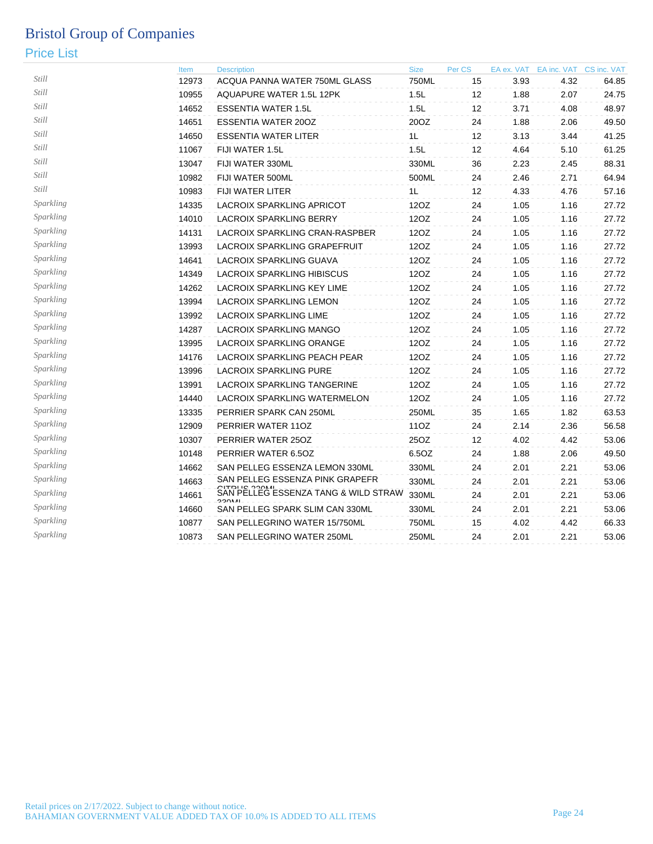|           | Item  | <b>Description</b>                      | <b>Size</b> | Per CS | EA ex. VAT | EA inc. VAT CS inc. VAT |       |
|-----------|-------|-----------------------------------------|-------------|--------|------------|-------------------------|-------|
| Still     | 12973 | ACQUA PANNA WATER 750ML GLASS           | 750ML       | 15     | 3.93       | 4.32                    | 64.85 |
| Still     | 10955 | AQUAPURE WATER 1.5L 12PK                | 1.5L        | 12     | 1.88       | 2.07                    | 24.75 |
| Still     | 14652 | <b>ESSENTIA WATER 1.5L</b>              | 1.5L        | 12     | 3.71       | 4.08                    | 48.97 |
| Still     | 14651 | <b>ESSENTIA WATER 200Z</b>              | 20OZ        | 24     | 1.88       | 2.06                    | 49.50 |
| Still     | 14650 | <b>ESSENTIA WATER LITER</b>             | 1L          | 12     | 3.13       | 3.44                    | 41.25 |
| Still     | 11067 | FIJI WATER 1.5L                         | 1.5L        | 12     | 4.64       | 5.10                    | 61.25 |
| Still     | 13047 | FIJI WATER 330ML                        | 330ML       | 36     | 2.23       | 2.45                    | 88.31 |
| Still     | 10982 | FIJI WATER 500ML                        | 500ML       | 24     | 2.46       | 2.71                    | 64.94 |
| Still     | 10983 | <b>FIJI WATER LITER</b>                 | 1L          | 12     | 4.33       | 4.76                    | 57.16 |
| Sparkling | 14335 | <b>LACROIX SPARKLING APRICOT</b>        | 12OZ        | 24     | 1.05       | 1.16                    | 27.72 |
| Sparkling | 14010 | <b>LACROIX SPARKLING BERRY</b>          | 12OZ        | 24     | 1.05       | 1.16                    | 27.72 |
| Sparkling | 14131 | LACROIX SPARKLING CRAN-RASPBER          | 12OZ        | 24     | 1.05       | 1.16                    | 27.72 |
| Sparkling | 13993 | LACROIX SPARKLING GRAPEFRUIT            | 12OZ        | 24     | 1.05       | 1.16                    | 27.72 |
| Sparkling | 14641 | LACROIX SPARKLING GUAVA                 | 12OZ        | 24     | 1.05       | 1.16                    | 27.72 |
| Sparkling | 14349 | LACROIX SPARKLING HIBISCUS              | 12OZ        | 24     | 1.05       | 1.16                    | 27.72 |
| Sparkling | 14262 | LACROIX SPARKLING KEY LIME              | 12OZ        | 24     | 1.05       | 1.16                    | 27.72 |
| Sparkling | 13994 | <b>LACROIX SPARKLING LEMON</b>          | 12OZ        | 24     | 1.05       | 1.16                    | 27.72 |
| Sparkling | 13992 | <b>LACROIX SPARKLING LIME</b>           | 12OZ        | 24     | 1.05       | 1.16                    | 27.72 |
| Sparkling | 14287 | LACROIX SPARKLING MANGO                 | 12OZ        | 24     | 1.05       | 1.16                    | 27.72 |
| Sparkling | 13995 | LACROIX SPARKLING ORANGE                | 12OZ        | 24     | 1.05       | 1.16                    | 27.72 |
| Sparkling | 14176 | LACROIX SPARKLING PEACH PEAR            | 12OZ        | 24     | 1.05       | 1.16                    | 27.72 |
| Sparkling | 13996 | <b>LACROIX SPARKLING PURE</b>           | 12OZ        | 24     | 1.05       | 1.16                    | 27.72 |
| Sparkling | 13991 | LACROIX SPARKLING TANGERINE             | 12OZ        | 24     | 1.05       | 1.16                    | 27.72 |
| Sparkling | 14440 | LACROIX SPARKLING WATERMELON            | 12OZ        | 24     | 1.05       | 1.16                    | 27.72 |
| Sparkling | 13335 | PERRIER SPARK CAN 250ML                 | 250ML       | 35     | 1.65       | 1.82                    | 63.53 |
| Sparkling | 12909 | PERRIER WATER 11OZ                      | 11OZ        | 24     | 2.14       | 2.36                    | 56.58 |
| Sparkling | 10307 | PERRIER WATER 25OZ                      | 25OZ        | 12     | 4.02       | 4.42                    | 53.06 |
| Sparkling | 10148 | PERRIER WATER 6.5OZ                     | 6.5OZ       | 24     | 1.88       | 2.06                    | 49.50 |
| Sparkling | 14662 | SAN PELLEG ESSENZA LEMON 330ML          | 330ML       | 24     | 2.01       | 2.21                    | 53.06 |
| Sparkling | 14663 | SAN PELLEG ESSENZA PINK GRAPEFR         | 330ML       | 24     | 2.01       | 2.21                    | 53.06 |
| Sparkling | 14661 | SAN PELLEG ESSENZA TANG & WILD STRAW    | 330ML       | 24     | 2.01       | 2.21                    | 53.06 |
| Sparkling | 14660 | 220M<br>SAN PELLEG SPARK SLIM CAN 330ML | 330ML       | 24     | 2.01       | 2.21                    | 53.06 |
| Sparkling | 10877 | SAN PELLEGRINO WATER 15/750ML           | 750ML       | 15     | 4.02       | 4.42                    | 66.33 |
| Sparkling | 10873 | <b>SAN PELLEGRINO WATER 250ML</b>       | 250ML       | 24     | 2.01       | 2.21                    | 53.06 |
|           |       |                                         |             |        |            |                         |       |